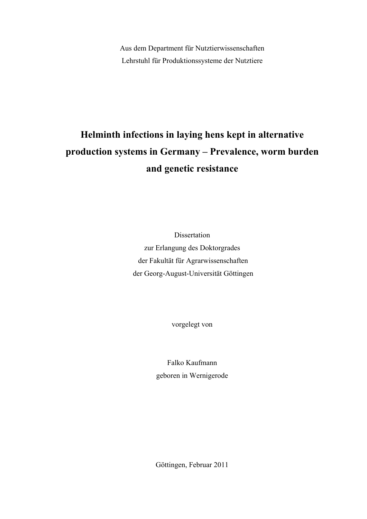Aus dem Department für Nutztierwissenschaften Lehrstuhl für Produktionssysteme der Nutztiere

# **Helminth infections in laying hens kept in alternative production systems in Germany – Prevalence, worm burden and genetic resistance**

Dissertation zur Erlangung des Doktorgrades der Fakultät für Agrarwissenschaften der Georg-August-Universität Göttingen

vorgelegt von

Falko Kaufmann geboren in Wernigerode

Göttingen, Februar 2011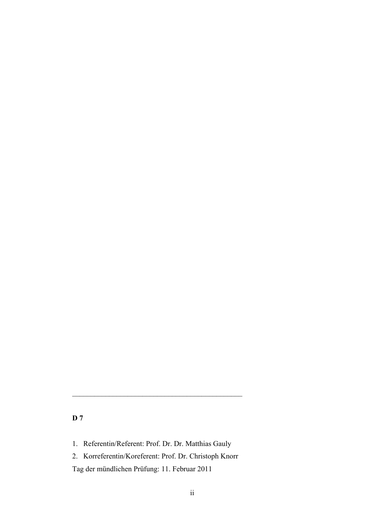## **D 7**

- 1. Referentin/Referent: Prof. Dr. Dr. Matthias Gauly
- 2. Korreferentin/Koreferent: Prof. Dr. Christoph Knorr

\_\_\_\_\_\_\_\_\_\_\_\_\_\_\_\_\_\_\_\_\_\_\_\_\_\_\_\_\_\_\_\_\_\_\_\_\_\_\_\_\_\_\_\_\_\_

Tag der mündlichen Prüfung: 11. Februar 2011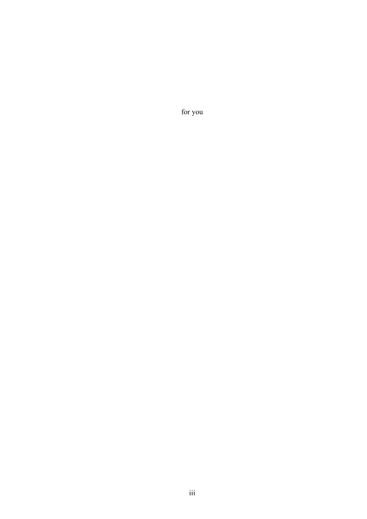for you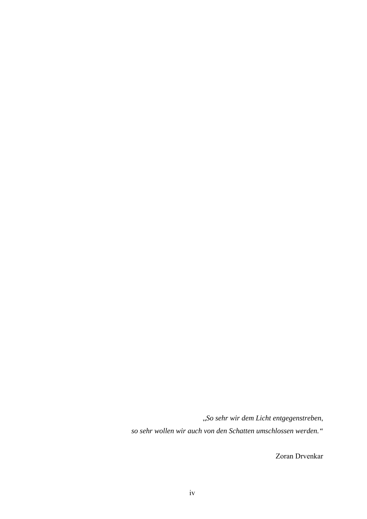"*So sehr wir dem Licht entgegenstreben*,

*so sehr wollen wir auch von den Schatten umschlossen werden."* 

Zoran Drvenkar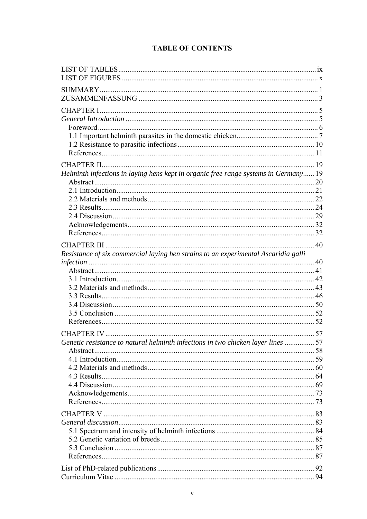# **TABLE OF CONTENTS**

| Helminth infections in laying hens kept in organic free range systems in Germany 19 |  |
|-------------------------------------------------------------------------------------|--|
|                                                                                     |  |
|                                                                                     |  |
|                                                                                     |  |
|                                                                                     |  |
|                                                                                     |  |
|                                                                                     |  |
|                                                                                     |  |
|                                                                                     |  |
| Resistance of six commercial laying hen strains to an experimental Ascaridia galli  |  |
|                                                                                     |  |
|                                                                                     |  |
|                                                                                     |  |
|                                                                                     |  |
|                                                                                     |  |
|                                                                                     |  |
|                                                                                     |  |
|                                                                                     |  |
|                                                                                     |  |
| Genetic resistance to natural helminth infections in two chicken layer lines 57     |  |
|                                                                                     |  |
|                                                                                     |  |
|                                                                                     |  |
|                                                                                     |  |
|                                                                                     |  |
|                                                                                     |  |
|                                                                                     |  |
|                                                                                     |  |
|                                                                                     |  |
|                                                                                     |  |
|                                                                                     |  |
|                                                                                     |  |
|                                                                                     |  |
|                                                                                     |  |
|                                                                                     |  |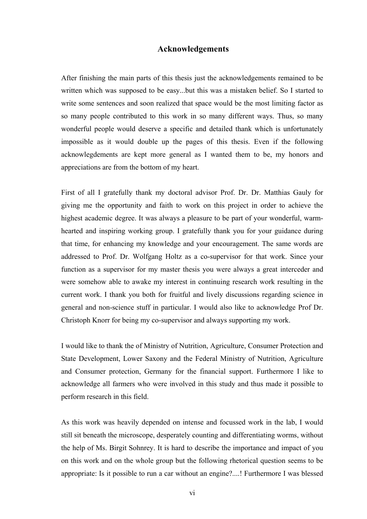### **Acknowledgements**

After finishing the main parts of this thesis just the acknowledgements remained to be written which was supposed to be easy...but this was a mistaken belief. So I started to write some sentences and soon realized that space would be the most limiting factor as so many people contributed to this work in so many different ways. Thus, so many wonderful people would deserve a specific and detailed thank which is unfortunately impossible as it would double up the pages of this thesis. Even if the following acknowlegdements are kept more general as I wanted them to be, my honors and appreciations are from the bottom of my heart.

First of all I gratefully thank my doctoral advisor Prof. Dr. Dr. Matthias Gauly for giving me the opportunity and faith to work on this project in order to achieve the highest academic degree. It was always a pleasure to be part of your wonderful, warmhearted and inspiring working group. I gratefully thank you for your guidance during that time, for enhancing my knowledge and your encouragement. The same words are addressed to Prof. Dr. Wolfgang Holtz as a co-supervisor for that work. Since your function as a supervisor for my master thesis you were always a great interceder and were somehow able to awake my interest in continuing research work resulting in the current work. I thank you both for fruitful and lively discussions regarding science in general and non-science stuff in particular. I would also like to acknowledge Prof Dr. Christoph Knorr for being my co-supervisor and always supporting my work.

I would like to thank the of Ministry of Nutrition, Agriculture, Consumer Protection and State Development, Lower Saxony and the Federal Ministry of Nutrition, Agriculture and Consumer protection, Germany for the financial support. Furthermore I like to acknowledge all farmers who were involved in this study and thus made it possible to perform research in this field.

As this work was heavily depended on intense and focussed work in the lab, I would still sit beneath the microscope, desperately counting and differentiating worms, without the help of Ms. Birgit Sohnrey. It is hard to describe the importance and impact of you on this work and on the whole group but the following rhetorical question seems to be appropriate: Is it possible to run a car without an engine?....! Furthermore I was blessed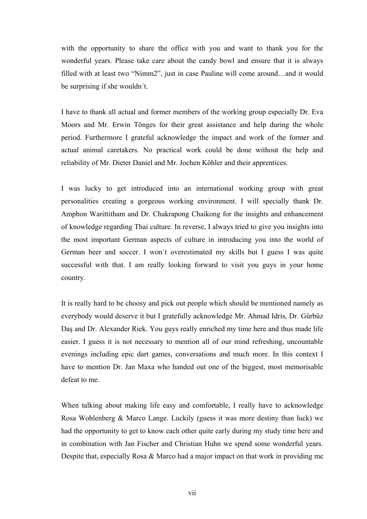with the opportunity to share the office with you and want to thank you for the wonderful years. Please take care about the candy bowl and ensure that it is always filled with at least two "Nimm2", just in case Pauline will come around…and it would be surprising if she wouldn´t.

I have to thank all actual and former members of the working group especially Dr. Eva Moors and Mr. Erwin Tönges for their great assistance and help during the whole period. Furthermore I grateful acknowledge the impact and work of the former and actual animal caretakers. No practical work could be done without the help and reliability of Mr. Dieter Daniel and Mr. Jochen Köhler and their apprentices.

I was lucky to get introduced into an international working group with great personalities creating a gorgeous working environment. I will specially thank Dr. Amphon Warittitham and Dr. Chakrapong Chaikong for the insights and enhancement of knowledge regarding Thai culture. In reverse, I always tried to give you insights into the most important German aspects of culture in introducing you into the world of German beer and soccer. I won´t overestimated my skills but I guess I was quite successful with that. I am really looking forward to visit you guys in your home country.

It is really hard to be choosy and pick out people which should be mentioned namely as everybody would deserve it but I gratefully acknowledge Mr. Ahmad Idris, Dr. Gürbüz Daş and Dr. Alexander Riek. You guys really enriched my time here and thus made life easier. I guess it is not necessary to mention all of our mind refreshing, uncountable evenings including epic dart games, conversations and much more. In this context I have to mention Dr. Jan Maxa who handed out one of the biggest, most memorisable defeat to me.

When talking about making life easy and comfortable, I really have to acknowledge Rosa Wohlenberg & Marco Lange. Luckily (guess it was more destiny than luck) we had the opportunity to get to know each other quite early during my study time here and in combination with Jan Fischer and Christian Huhn we spend some wonderful years. Despite that, especially Rosa & Marco had a major impact on that work in providing me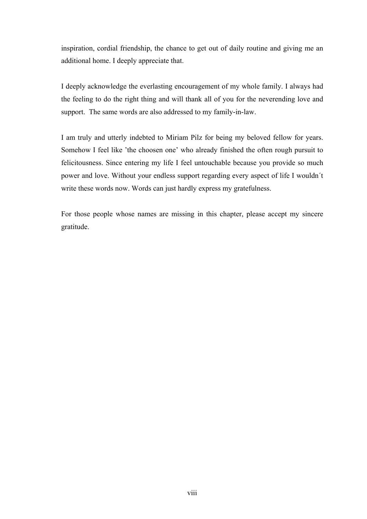inspiration, cordial friendship, the chance to get out of daily routine and giving me an additional home. I deeply appreciate that.

I deeply acknowledge the everlasting encouragement of my whole family. I always had the feeling to do the right thing and will thank all of you for the neverending love and support. The same words are also addressed to my family-in-law.

I am truly and utterly indebted to Miriam Pilz for being my beloved fellow for years. Somehow I feel like 'the choosen one' who already finished the often rough pursuit to felicitousness. Since entering my life I feel untouchable because you provide so much power and love. Without your endless support regarding every aspect of life I wouldn´t write these words now. Words can just hardly express my gratefulness.

For those people whose names are missing in this chapter, please accept my sincere gratitude.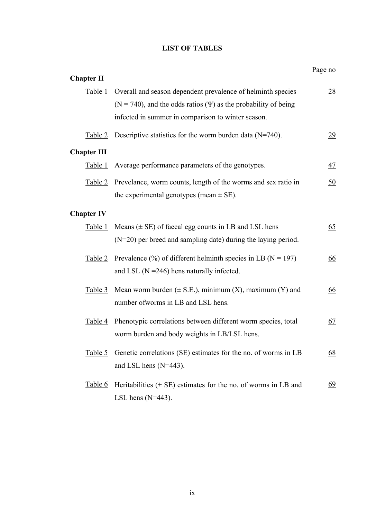### **LIST OF TABLES**

<span id="page-8-0"></span>

|                    |                                                                            | Page no         |
|--------------------|----------------------------------------------------------------------------|-----------------|
| <b>Chapter II</b>  |                                                                            |                 |
| Table 1            | Overall and season dependent prevalence of helminth species                | $\frac{28}{2}$  |
|                    | $(N = 740)$ , and the odds ratios ( $\Psi$ ) as the probability of being   |                 |
|                    | infected in summer in comparison to winter season.                         |                 |
| Table 2            | Descriptive statistics for the worm burden data $(N=740)$ .                | $\overline{29}$ |
| <b>Chapter III</b> |                                                                            |                 |
| Table 1            | Average performance parameters of the genotypes.                           | $\frac{47}{1}$  |
| Table 2            | Prevelance, worm counts, length of the worms and sex ratio in              | 50              |
|                    | the experimental genotypes (mean $\pm$ SE).                                |                 |
| <b>Chapter IV</b>  |                                                                            |                 |
| Table 1            | Means $(\pm \text{ SE})$ of faecal egg counts in LB and LSL hens           | 65              |
|                    | $(N=20)$ per breed and sampling date) during the laying period.            |                 |
| Table 2            | Prevalence $(\% )$ of different helminth species in LB (N = 197)           | <u>66</u>       |
|                    | and LSL $(N = 246)$ hens naturally infected.                               |                 |
| <u>Table 3</u>     | Mean worm burden ( $\pm$ S.E.), minimum (X), maximum (Y) and               | 66              |
|                    | number of worms in LB and LSL hens.                                        |                 |
| Table 4            | Phenotypic correlations between different worm species, total              | 67              |
|                    | worm burden and body weights in LB/LSL hens.                               |                 |
| Table 5            | Genetic correlations (SE) estimates for the no. of worms in LB             | <u>68</u>       |
|                    | and LSL hens $(N=443)$ .                                                   |                 |
| <u>Table 6</u>     | Heritabilities $(\pm \text{ SE})$ estimates for the no. of worms in LB and | 69              |
|                    |                                                                            |                 |
|                    | LSL hens $(N=443)$ .                                                       |                 |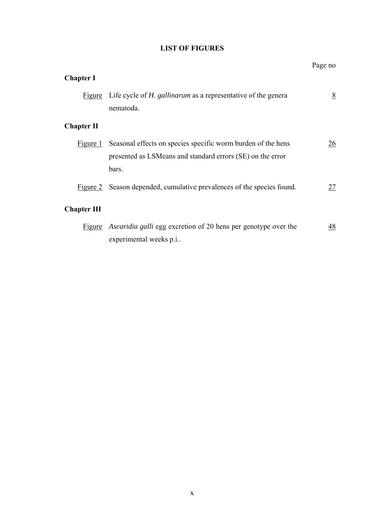### **LIST OF FIGURES**

<span id="page-9-0"></span>

|                    |                                                                                                                                     | Page no |
|--------------------|-------------------------------------------------------------------------------------------------------------------------------------|---------|
| <b>Chapter I</b>   |                                                                                                                                     |         |
| Figure             | Life cycle of <i>H. gallinarum</i> as a representative of the genera<br>nematoda.                                                   | 8       |
| <b>Chapter II</b>  |                                                                                                                                     |         |
| Figure 1           | Seasonal effects on species specific worm burden of the hens<br>presented as LSMeans and standard errors (SE) on the error<br>bars. | 26      |
|                    | Figure 2 Season depended, cumulative prevalences of the species found.                                                              | 27      |
| <b>Chapter III</b> |                                                                                                                                     |         |
| Figure             | <i>Ascaridia galli</i> egg excretion of 20 hens per genotype over the<br>experimental weeks p.i                                     | 48      |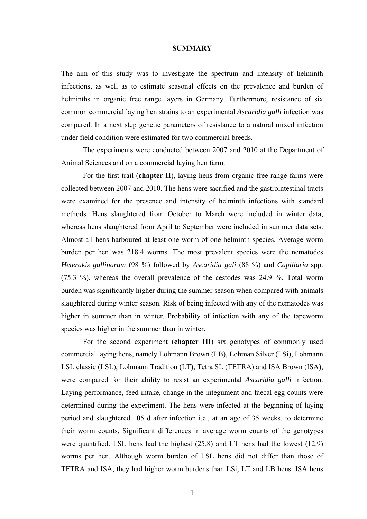### **SUMMARY**

<span id="page-10-0"></span>The aim of this study was to investigate the spectrum and intensity of helminth infections, as well as to estimate seasonal effects on the prevalence and burden of helminths in organic free range layers in Germany. Furthermore, resistance of six common commercial laying hen strains to an experimental *Ascaridia galli* infection was compared. In a next step genetic parameters of resistance to a natural mixed infection under field condition were estimated for two commercial breeds.

The experiments were conducted between 2007 and 2010 at the Department of Animal Sciences and on a commercial laying hen farm.

For the first trail (**[chapter II](#page-28-0)**), laying hens from organic free range farms were collected between 2007 and 2010. The hens were sacrified and the gastrointestinal tracts were examined for the presence and intensity of helminth infections with standard methods. Hens slaughtered from October to March were included in winter data, whereas hens slaughtered from April to September were included in summer data sets. Almost all hens harboured at least one worm of one helminth species. Average worm burden per hen was 218.4 worms. The most prevalent species were the nematodes *Heterakis gallinarum* (98 %) followed by *Ascaridia gali* (88 %) and *Capillaria* spp. (75.3 %), whereas the overall prevalence of the cestodes was 24.9 %. Total worm burden was significantly higher during the summer season when compared with animals slaughtered during winter season. Risk of being infected with any of the nematodes was higher in summer than in winter. Probability of infection with any of the tapeworm species was higher in the summer than in winter.

For the second experiment (**[chapter III](#page-49-0)**) six genotypes of commonly used commercial laying hens, namely Lohmann Brown (LB), Lohman Silver (LSi), Lohmann LSL classic (LSL), Lohmann Tradition (LT), Tetra SL (TETRA) and ISA Brown (ISA), were compared for their ability to resist an experimental *Ascaridia galli* infection. Laying performance, feed intake, change in the integument and faecal egg counts were determined during the experiment. The hens were infected at the beginning of laying period and slaughtered 105 d after infection i.e., at an age of 35 weeks, to determine their worm counts. Significant differences in average worm counts of the genotypes were quantified. LSL hens had the highest (25.8) and LT hens had the lowest (12.9) worms per hen. Although worm burden of LSL hens did not differ than those of TETRA and ISA, they had higher worm burdens than LSi, LT and LB hens. ISA hens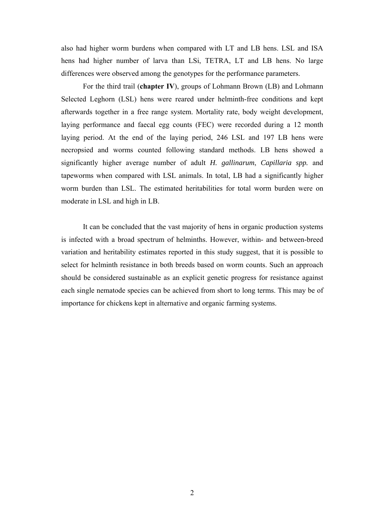also had higher worm burdens when compared with LT and LB hens. LSL and ISA hens had higher number of larva than LSi, TETRA, LT and LB hens. No large differences were observed among the genotypes for the performance parameters.

For the third trail (**[chapter IV](#page-66-2)**), groups of Lohmann Brown (LB) and Lohmann Selected Leghorn (LSL) hens were reared under helminth-free conditions and kept afterwards together in a free range system. Mortality rate, body weight development, laying performance and faecal egg counts (FEC) were recorded during a 12 month laying period. At the end of the laying period, 246 LSL and 197 LB hens were necropsied and worms counted following standard methods. LB hens showed a significantly higher average number of adult *H. gallinarum*, *Capillaria spp.* and tapeworms when compared with LSL animals. In total, LB had a significantly higher worm burden than LSL. The estimated heritabilities for total worm burden were on moderate in LSL and high in LB.

It can be concluded that the vast majority of hens in organic production systems is infected with a broad spectrum of helminths. However, within- and between-breed variation and heritability estimates reported in this study suggest, that it is possible to select for helminth resistance in both breeds based on worm counts. Such an approach should be considered sustainable as an explicit genetic progress for resistance against each single nematode species can be achieved from short to long terms. This may be of importance for chickens kept in alternative and organic farming systems.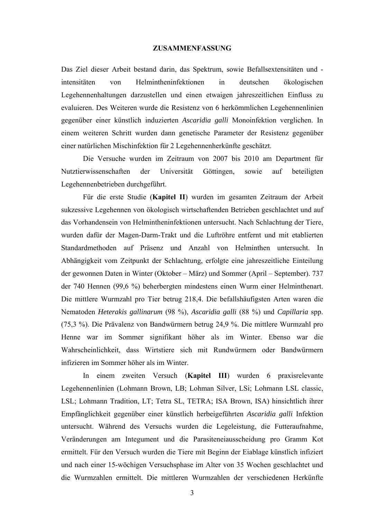### **ZUSAMMENFASSUNG**

<span id="page-12-0"></span>Das Ziel dieser Arbeit bestand darin, das Spektrum, sowie Befallsextensitäten und intensitäten von Helmintheninfektionen in deutschen ökologischen Legehennenhaltungen darzustellen und einen etwaigen jahreszeitlichen Einfluss zu evaluieren. Des Weiteren wurde die Resistenz von 6 herkömmlichen Legehennenlinien gegenüber einer künstlich induzierten *Ascaridia galli* Monoinfektion verglichen. In einem weiteren Schritt wurden dann genetische Parameter der Resistenz gegenüber einer natürlichen Mischinfektion für 2 Legehennenherkünfte geschätzt.

Die Versuche wurden im Zeitraum von 2007 bis 2010 am Department für Nutztierwissenschaften der Universität Göttingen, sowie auf beteiligten Legehennenbetrieben durchgeführt.

Für die erste Studie (**[Kapitel II](#page-28-2)**) wurden im gesamten Zeitraum der Arbeit sukzessive Legehennen von ökologisch wirtschaftenden Betrieben geschlachtet und auf das Vorhandensein von Helmintheninfektionen untersucht. Nach Schlachtung der Tiere, wurden dafür der Magen-Darm-Trakt und die Luftröhre entfernt und mit etablierten Standardmethoden auf Präsenz und Anzahl von Helminthen untersucht. In Abhängigkeit vom Zeitpunkt der Schlachtung, erfolgte eine jahreszeitliche Einteilung der gewonnen Daten in Winter (Oktober – März) und Sommer (April – September). 737 der 740 Hennen (99,6 %) beherbergten mindestens einen Wurm einer Helminthenart. Die mittlere Wurmzahl pro Tier betrug 218,4. Die befallshäufigsten Arten waren die Nematoden *Heterakis gallinarum* (98 %), *Ascaridia galli* (88 %) und *Capillaria* spp. (75,3 %). Die Prävalenz von Bandwürmern betrug 24,9 %. Die mittlere Wurmzahl pro Henne war im Sommer signifikant höher als im Winter. Ebenso war die Wahrscheinlichkeit, dass Wirtstiere sich mit Rundwürmern oder Bandwürmern infizieren im Sommer höher als im Winter.

In einem zweiten Versuch (**[Kapitel II](#page-28-0)[I](#page-49-2)**) wurden 6 praxisrelevante Legehennenlinien (Lohmann Brown, LB; Lohman Silver, LSi; Lohmann LSL classic, LSL; Lohmann Tradition, LT; Tetra SL, TETRA; ISA Brown, ISA) hinsichtlich ihrer Empfänglichkeit gegenüber einer künstlich herbeigeführten *Ascaridia galli* Infektion untersucht. Während des Versuchs wurden die Legeleistung, die Futteraufnahme, Veränderungen am Integument und die Parasiteneiausscheidung pro Gramm Kot ermittelt. Für den Versuch wurden die Tiere mit Beginn der Eiablage künstlich infiziert und nach einer 15-wöchigen Versuchsphase im Alter von 35 Wochen geschlachtet und die Wurmzahlen ermittelt. Die mittleren Wurmzahlen der verschiedenen Herkünfte

3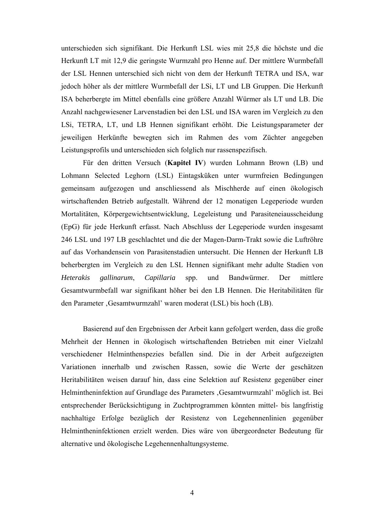unterschieden sich signifikant. Die Herkunft LSL wies mit 25,8 die höchste und die Herkunft LT mit 12,9 die geringste Wurmzahl pro Henne auf. Der mittlere Wurmbefall der LSL Hennen unterschied sich nicht von dem der Herkunft TETRA und ISA, war jedoch höher als der mittlere Wurmbefall der LSi, LT und LB Gruppen. Die Herkunft ISA beherbergte im Mittel ebenfalls eine größere Anzahl Würmer als LT und LB. Die Anzahl nachgewiesener Larvenstadien bei den LSL und ISA waren im Vergleich zu den LSi, TETRA, LT, und LB Hennen signifikant erhöht. Die Leistungsparameter der jeweiligen Herkünfte bewegten sich im Rahmen des vom Züchter angegeben Leistungsprofils und unterschieden sich folglich nur rassenspezifisch.

Für den dritten Versuch (**[Kapitel IV](#page-49-0)**) wurden Lohmann Brown (LB) und Lohmann Selected Leghorn (LSL) Eintagsküken unter wurmfreien Bedingungen gemeinsam aufgezogen und anschliessend als Mischherde auf einen ökologisch wirtschaftenden Betrieb aufgestallt. Während der 12 monatigen Legeperiode wurden Mortalitäten, Körpergewichtsentwicklung, Legeleistung und Parasiteneiausscheidung (EpG) für jede Herkunft erfasst. Nach Abschluss der Legeperiode wurden insgesamt 246 LSL und 197 LB geschlachtet und die der Magen-Darm-Trakt sowie die Luftröhre auf das Vorhandensein von Parasitenstadien untersucht. Die Hennen der Herkunft LB beherbergten im Vergleich zu den LSL Hennen signifikant mehr adulte Stadien von *Heterakis gallinarum*, *Capillaria* spp. und Bandwürmer. Der mittlere Gesamtwurmbefall war signifikant höher bei den LB Hennen. Die Heritabilitäten für den Parameter , Gesamtwurmzahl' waren moderat (LSL) bis hoch (LB).

Basierend auf den Ergebnissen der Arbeit kann gefolgert werden, dass die große Mehrheit der Hennen in ökologisch wirtschaftenden Betrieben mit einer Vielzahl verschiedener Helminthenspezies befallen sind. Die in der Arbeit aufgezeigten Variationen innerhalb und zwischen Rassen, sowie die Werte der geschätzen Heritabilitäten weisen darauf hin, dass eine Selektion auf Resistenz gegenüber einer Helmintheninfektion auf Grundlage des Parameters , Gesamtwurmzahl' möglich ist. Bei entsprechender Berücksichtigung in Zuchtprogrammen könnten mittel- bis langfristig nachhaltige Erfolge bezüglich der Resistenz von Legehennenlinien gegenüber Helmintheninfektionen erzielt werden. Dies wäre von übergeordneter Bedeutung für alternative und ökologische Legehennenhaltungsysteme.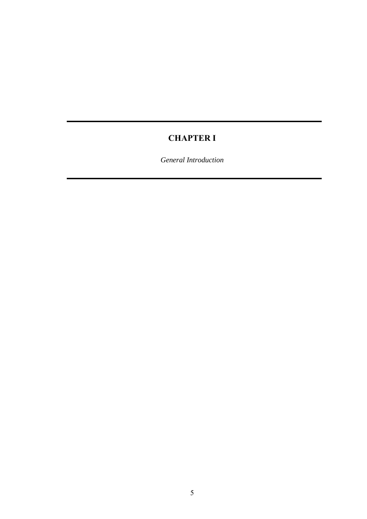# **CHAPTER I**

<span id="page-14-1"></span><span id="page-14-0"></span>*General Introduction*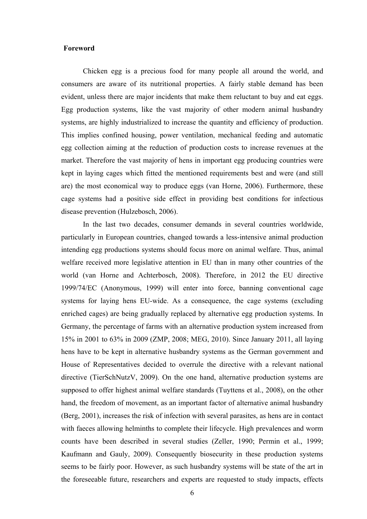### <span id="page-15-0"></span>**Foreword**

Chicken egg is a precious food for many people all around the world, and consumers are aware of its nutritional properties. A fairly stable demand has been evident, unless there are major incidents that make them reluctant to buy and eat eggs. Egg production systems, like the vast majority of other modern animal husbandry systems, are highly industrialized to increase the quantity and efficiency of production. This implies confined housing, power ventilation, mechanical feeding and automatic egg collection aiming at the reduction of production costs to increase revenues at the market. Therefore the vast majority of hens in important egg producing countries were kept in laying cages which fitted the mentioned requirements best and were (and still are) the most economical way to produce eggs (van Horne, 2006). Furthermore, these cage systems had a positive side effect in providing best conditions for infectious disease prevention (Hulzebosch, 2006).

In the last two decades, consumer demands in several countries worldwide, particularly in European countries, changed towards a less-intensive animal production intending egg productions systems should focus more on animal welfare. Thus, animal welfare received more legislative attention in EU than in many other countries of the world (van Horne and Achterbosch, 2008). Therefore, in 2012 the EU directive 1999/74/EC (Anonymous, 1999) will enter into force, banning conventional cage systems for laying hens EU-wide. As a consequence, the cage systems (excluding enriched cages) are being gradually replaced by alternative egg production systems. In Germany, the percentage of farms with an alternative production system increased from 15% in 2001 to 63% in 2009 (ZMP, 2008; MEG, 2010). Since January 2011, all laying hens have to be kept in alternative husbandry systems as the German government and House of Representatives decided to overrule the directive with a relevant national directive (TierSchNutzV, 2009). On the one hand, alternative production systems are supposed to offer highest animal welfare standards (Tuyttens et al., 2008), on the other hand, the freedom of movement, as an important factor of alternative animal husbandry (Berg, 2001), increases the risk of infection with several parasites, as hens are in contact with faeces allowing helminths to complete their lifecycle. High prevalences and worm counts have been described in several studies (Zeller, 1990; Permin et al., 1999; Kaufmann and Gauly, 2009). Consequently biosecurity in these production systems seems to be fairly poor. However, as such husbandry systems will be state of the art in the foreseeable future, researchers and experts are requested to study impacts, effects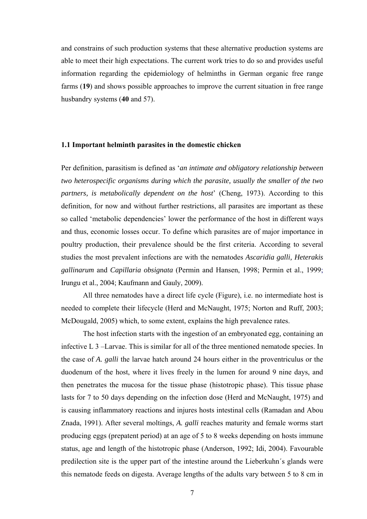and constrains of such production systems that these alternative production systems are able to meet their high expectations. The current work tries to do so and provides useful information regarding the epidemiology of helminths in German organic free range farms (**19**) and shows possible approaches to improve the current situation in free range husbandry systems (**40** and 57).

### <span id="page-16-0"></span>**1.1 Important helminth parasites in the domestic chicken**

Per definition, parasitism is defined as '*an intimate and obligatory relationship between two heterospecific organisms during which the parasite, usually the smaller of the two partners, is metabolically dependent on the host*' (Cheng, 1973). According to this definition, for now and without further restrictions, all parasites are important as these so called 'metabolic dependencies' lower the performance of the host in different ways and thus, economic losses occur. To define which parasites are of major importance in poultry production, their prevalence should be the first criteria. According to several studies the most prevalent infections are with the nematodes *Ascaridia galli, Heterakis gallinarum* and *Capillaria obsignata* (Permin and Hansen, 1998; Permin et al., 1999; Irungu et al., 2004; Kaufmann and Gauly, 2009).

All three nematodes have a direct life cycle [\(F](#page-17-1)[igur](#page-17-0)[e\)](#page-17-1), i.e. no intermediate host is needed to complete their lifecycle (Herd and McNaught, 1975; Norton and Ruff, 2003; McDougald, 2005) which, to some extent, explains the high prevalence rates.

The host infection starts with the ingestion of an embryonated egg, containing an infective L 3 –Larvae. This is similar for all of the three mentioned nematode species. In the case of *A. galli* the larvae hatch around 24 hours either in the proventriculus or the duodenum of the host, where it lives freely in the lumen for around 9 nine days, and then penetrates the mucosa for the tissue phase (histotropic phase). This tissue phase lasts for 7 to 50 days depending on the infection dose (Herd and McNaught, 1975) and is causing inflammatory reactions and injures hosts intestinal cells (Ramadan and Abou Znada, 1991). After several moltings, *A. galli* reaches maturity and female worms start producing eggs (prepatent period) at an age of 5 to 8 weeks depending on hosts immune status, age and length of the histotropic phase (Anderson, 1992; Idi, 2004). Favourable predilection site is the upper part of the intestine around the Lieberkuhn´s glands were this nematode feeds on digesta. Average lengths of the adults vary between 5 to 8 cm in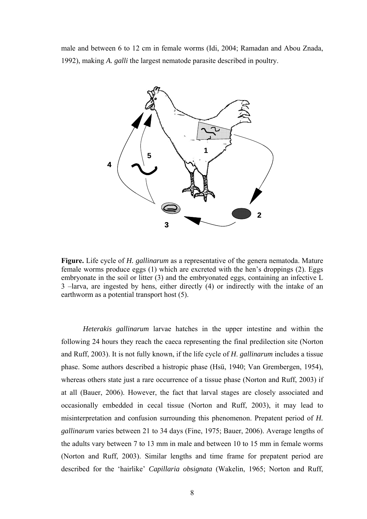<span id="page-17-1"></span>male and between 6 to 12 cm in female worms (Idi, 2004; Ramadan and Abou Znada, 1992), making *A. galli* the largest nematode parasite described in poultry.



<span id="page-17-0"></span>**Figure.** Life cycle of *H. gallinarum* as a representative of the genera nematoda. Mature female worms produce eggs (1) which are excreted with the hen's droppings (2). Eggs embryonate in the soil or litter (3) and the embryonated eggs, containing an infective L 3 –larva, are ingested by hens, either directly (4) or indirectly with the intake of an earthworm as a potential transport host (5).

*Heterakis gallinarum* larvae hatches in the upper intestine and within the following 24 hours they reach the caeca representing the final predilection site (Norton and Ruff, 2003). It is not fully known, if the life cycle of *H*. *gallinarum* includes a tissue phase. Some authors described a histropic phase (Hsü, 1940; Van Grembergen, 1954), whereas others state just a rare occurrence of a tissue phase (Norton and Ruff, 2003) if at all (Bauer, 2006). However, the fact that larval stages are closely associated and occasionally embedded in cecal tissue (Norton and Ruff, 2003), it may lead to misinterpretation and confusion surrounding this phenomenon. Prepatent period of *H. gallinarum* varies between 21 to 34 days (Fine, 1975; Bauer, 2006). Average lengths of the adults vary between 7 to 13 mm in male and between 10 to 15 mm in female worms (Norton and Ruff, 2003). Similar lengths and time frame for prepatent period are described for the 'hairlike' *Capillaria obsignata* (Wakelin, 1965; Norton and Ruff,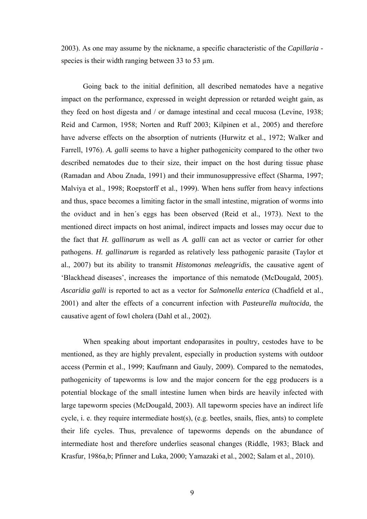2003). As one may assume by the nickname, a specific characteristic of the *Capillaria* species is their width ranging between 33 to 53 um.

Going back to the initial definition, all described nematodes have a negative impact on the performance, expressed in weight depression or retarded weight gain, as they feed on host digesta and / or damage intestinal and cecal mucosa (Levine, 1938; Reid and Carmon, 1958; Norten and Ruff 2003; Kilpinen et al., 2005) and therefore have adverse effects on the absorption of nutrients (Hurwitz et al., 1972; Walker and Farrell, 1976). *A. galli* seems to have a higher pathogenicity compared to the other two described nematodes due to their size, their impact on the host during tissue phase (Ramadan and Abou Znada, 1991) and their immunosuppressive effect (Sharma, 1997; Malviya et al., 1998; Roepstorff et al., 1999). When hens suffer from heavy infections and thus, space becomes a limiting factor in the small intestine, migration of worms into the oviduct and in hen´s eggs has been observed (Reid et al., 1973). Next to the mentioned direct impacts on host animal, indirect impacts and losses may occur due to the fact that *H. gallinarum* as well as *A. galli* can act as vector or carrier for other pathogens. *H. gallinarum* is regarded as relatively less pathogenic parasite (Taylor et al., 2007) but its ability to transmit *Histomonas meleagridis*, the causative agent of 'Blackhead diseases', increases the importance of this nematode (McDougald, 2005). *Ascaridia galli* is reported to act as a vector for *Salmonella enterica* (Chadfield et al., 2001) and alter the effects of a concurrent infection with *Pasteurella multocida,* the causative agent of fowl cholera (Dahl et al., 2002).

When speaking about important endoparasites in poultry, cestodes have to be mentioned, as they are highly prevalent, especially in production systems with outdoor access (Permin et al., 1999; Kaufmann and Gauly, 2009). Compared to the nematodes, pathogenicity of tapeworms is low and the major concern for the egg producers is a potential blockage of the small intestine lumen when birds are heavily infected with large tapeworm species (McDougald, 2003). All tapeworm species have an indirect life cycle, i. e. they require intermediate host(s), (e.g. beetles, snails, flies, ants) to complete their life cycles. Thus, prevalence of tapeworms depends on the abundance of intermediate host and therefore underlies seasonal changes (Riddle, 1983; Black and Krasfur, 1986a,b; Pfinner and Luka, 2000; Yamazaki et al., 2002; Salam et al., 2010).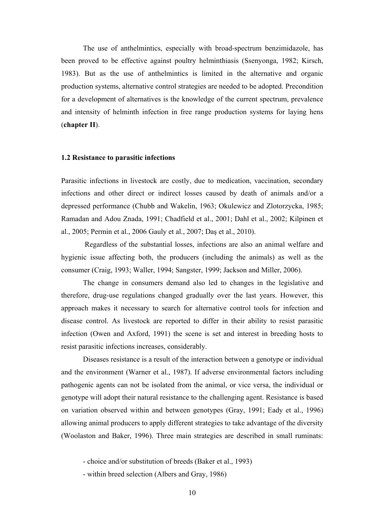The use of anthelmintics, especially with broad-spectrum benzimidazole, has been proved to be effective against poultry helminthiasis (Ssenyonga, 1982; Kirsch, 1983). But as the use of anthelmintics is limited in the alternative and organic production systems, alternative control strategies are needed to be adopted. Precondition for a development of alternatives is the knowledge of the current spectrum, prevalence and intensity of helminth infection in free range production systems for laying hens (**[chapter II](#page-28-2)**).

#### <span id="page-19-0"></span>**1.2 Resistance to parasitic infections**

Parasitic infections in livestock are costly, due to medication, vaccination, secondary infections and other direct or indirect losses caused by death of animals and/or a depressed performance (Chubb and Wakelin, 1963; Okulewicz and Zlotorzycka, 1985; Ramadan and Adou Znada, 1991; Chadfield et al., 2001; Dahl et al., 2002; Kilpinen et al., 2005; Permin et al., 2006 Gauly et al., 2007; Daş et al., 2010).

 Regardless of the substantial losses, infections are also an animal welfare and hygienic issue affecting both, the producers (including the animals) as well as the consumer (Craig, 1993; Waller, 1994; Sangster, 1999; Jackson and Miller, 2006).

The change in consumers demand also led to changes in the legislative and therefore, drug-use regulations changed gradually over the last years. However, this approach makes it necessary to search for alternative control tools for infection and disease control. As livestock are reported to differ in their ability to resist parasitic infection (Owen and Axford, 1991) the scene is set and interest in breeding hosts to resist parasitic infections increases, considerably.

Diseases resistance is a result of the interaction between a genotype or individual and the environment (Warner et al., 1987). If adverse environmental factors including pathogenic agents can not be isolated from the animal, or vice versa, the individual or genotype will adopt their natural resistance to the challenging agent. Resistance is based on variation observed within and between genotypes (Gray, 1991; Eady et al., 1996) allowing animal producers to apply different strategies to take advantage of the diversity (Woolaston and Baker, 1996). Three main strategies are described in small ruminats:

- choice and/or substitution of breeds (Baker et al., 1993)

- within breed selection (Albers and Gray, 1986)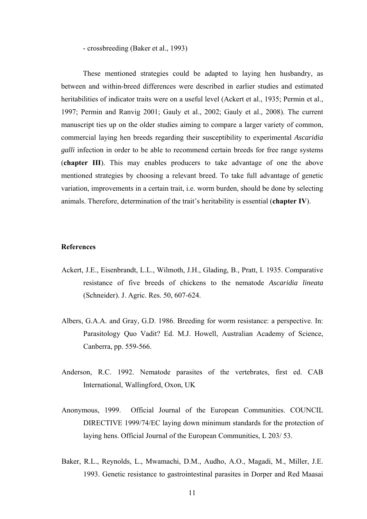- crossbreeding (Baker et al., 1993)

These mentioned strategies could be adapted to laying hen husbandry, as between and within-breed differences were described in earlier studies and estimated heritabilities of indicator traits were on a useful level (Ackert et al., 1935; Permin et al., 1997; Permin and Ranvig 2001; Gauly et al., 2002; Gauly et al., 2008). The current manuscript ties up on the older studies aiming to compare a larger variety of common, commercial laying hen breeds regarding their susceptibility to experimental *Ascaridia galli* infection in order to be able to recommend certain breeds for free range systems (**[chapter III](#page-49-2)**). This may enables producers to take advantage of one the above mentioned strategies by choosing a relevant breed. To take full advantage of genetic variation, improvements in a certain trait, i.e. worm burden, should be done by selecting animals. Therefore, determination of the trait's heritability is essential (**[chapter IV](#page-66-2)**).

### <span id="page-20-0"></span>**References**

- Ackert, J.E., Eisenbrandt, L.L., Wilmoth, J.H., Glading, B., Pratt, I. 1935. Comparative resistance of five breeds of chickens to the nematode *Ascaridia lineata* (Schneider). J. Agric. Res. 50, 607-624.
- Albers, G.A.A. and Gray, G.D. 1986. Breeding for worm resistance: a perspective. In: Parasitology Quo Vadit? Ed. M.J. Howell, Australian Academy of Science, Canberra, pp. 559-566.
- Anderson, R.C. 1992. Nematode parasites of the vertebrates, first ed. CAB International, Wallingford, Oxon, UK
- Anonymous, 1999. Official Journal of the European Communities. COUNCIL DIRECTIVE 1999/74/EC laying down minimum standards for the protection of laying hens. Official Journal of the European Communities, L 203/ 53.
- Baker, R.L., Reynolds, L., Mwamachi, D.M., Audho, A.O., Magadi, M., Miller, J.E. 1993. Genetic resistance to gastrointestinal parasites in Dorper and Red Maasai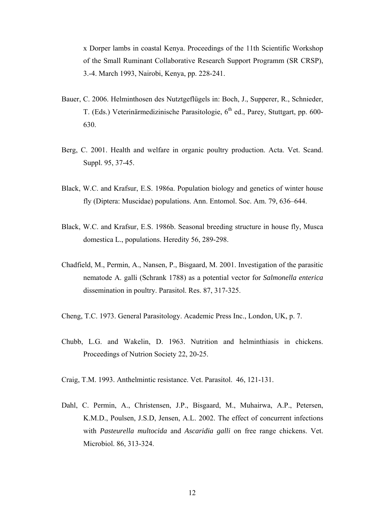x Dorper lambs in coastal Kenya. Proceedings of the 11th Scientific Workshop of the Small Ruminant Collaborative Research Support Programm (SR CRSP), 3.-4. March 1993, Nairobi, Kenya, pp. 228-241.

- Bauer, C. 2006. Helminthosen des Nutztgeflügels in: Boch, J., Supperer, R., Schnieder, T. (Eds.) Veterinärmedizinische Parasitologie, 6<sup>th</sup> ed., Parey, Stuttgart, pp. 600-630.
- Berg, C. 2001. Health and welfare in organic poultry production. Acta. Vet. Scand. Suppl. 95, 37-45.
- Black, W.C. and Krafsur, E.S. 1986a. Population biology and genetics of winter house fly (Diptera: Muscidae) populations. Ann. Entomol. Soc. Am. 79, 636–644.
- Black, W.C. and Krafsur, E.S. 1986b. Seasonal breeding structure in house fly, Musca domestica L., populations. Heredity 56, 289-298.
- Chadfield, M., Permin, A., Nansen, P., Bisgaard, M. 2001. Investigation of the parasitic nematode A. galli (Schrank 1788) as a potential vector for *Salmonella enterica* dissemination in poultry. Parasitol. Res. 87, 317-325.
- Cheng, T.C. 1973. General Parasitology. Academic Press Inc., London, UK, p. 7.
- Chubb, L.G. and Wakelin, D. 1963. Nutrition and helminthiasis in chickens. Proceedings of Nutrion Society 22, 20-25.
- Craig, T.M. 1993. Anthelmintic resistance. Vet. Parasitol. 46, 121-131.
- Dahl, C. Permin, A., Christensen, J.P., Bisgaard, M., Muhairwa, A.P., Petersen, K.M.D., Poulsen, J.S.D, Jensen, A.L. 2002. The effect of concurrent infections with *Pasteurella multocida* and *Ascaridia galli* on free range chickens. Vet. Microbiol. 86, 313-324.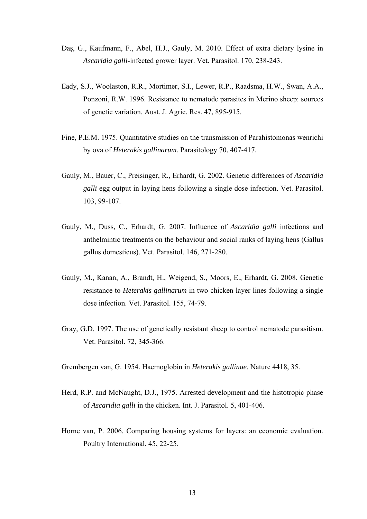- Daş, G., Kaufmann, F., Abel, H.J., Gauly, M. 2010. Effect of extra dietary lysine in *Ascaridia galli*-infected grower layer. Vet. Parasitol. 170, 238-243.
- Eady, S.J., Woolaston, R.R., Mortimer, S.I., Lewer, R.P., Raadsma, H.W., Swan, A.A., Ponzoni, R.W. 1996. Resistance to nematode parasites in Merino sheep: sources of genetic variation. Aust. J. Agric. Res. 47, 895-915.
- Fine, P.E.M. 1975. Quantitative studies on the transmission of Parahistomonas wenrichi by ova of *Heterakis gallinarum*. Parasitology 70, 407-417.
- Gauly, M., Bauer, C., Preisinger, R., Erhardt, G. 2002. Genetic differences of *Ascaridia galli* egg output in laying hens following a single dose infection. Vet. Parasitol. 103, 99-107.
- Gauly, M., Duss, C., Erhardt, G. 2007. Influence of *Ascaridia galli* infections and anthelmintic treatments on the behaviour and social ranks of laying hens (Gallus gallus domesticus). Vet. Parasitol. 146, 271-280.
- Gauly, M., Kanan, A., Brandt, H., Weigend, S., Moors, E., Erhardt, G. 2008. Genetic resistance to *Heterakis gallinarum* in two chicken layer lines following a single dose infection. Vet. Parasitol. 155, 74-79.
- Gray, G.D. 1997. The use of genetically resistant sheep to control nematode parasitism. Vet. Parasitol. 72, 345-366.
- Grembergen van, G. 1954. Haemoglobin in *Heterakis gallinae*. Nature 4418, 35.
- Herd, R.P. and McNaught, D.J., 1975. Arrested development and the histotropic phase of *Ascaridia galli* in the chicken. Int. J. Parasitol. 5, 401-406.
- Horne van, P. 2006. Comparing housing systems for layers: an economic evaluation. Poultry International. 45, 22-25.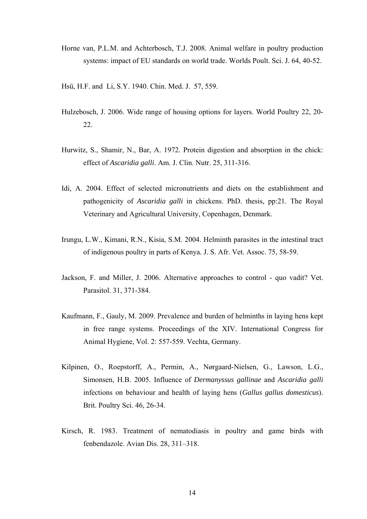- Horne van, P.L.M. and Achterbosch, T.J. 2008. Animal welfare in poultry production systems: impact of EU standards on world trade. Worlds Poult. Sci. J. 64, 40-52.
- Hsü, H.F. and Li, S.Y. 1940. Chin. Med. J. 57, 559.
- Hulzebosch, J. 2006. Wide range of housing options for layers. World Poultry 22, 20- 22.
- Hurwitz, S., Shamir, N., Bar, A. 1972. Protein digestion and absorption in the chick: effect of *Ascaridia galli*. Am. J. Clin. Nutr. 25, 311-316.
- Idi, A. 2004. Effect of selected micronutrients and diets on the establishment and pathogenicity of *Ascaridia galli* in chickens. PhD. thesis, pp:21. The Royal Veterinary and Agricultural University, Copenhagen, Denmark.
- Irungu, L.W., Kimani, R.N., Kisia, S.M. 2004. Helminth parasites in the intestinal tract of indigenous poultry in parts of Kenya. J. S. Afr. Vet. Assoc. 75, 58-59.
- Jackson, F. and Miller, J. 2006. Alternative approaches to control quo vadit? Vet. Parasitol. 31, 371-384.
- Kaufmann, F., Gauly, M. 2009. Prevalence and burden of helminths in laying hens kept in free range systems. Proceedings of the XIV. International Congress for Animal Hygiene, Vol. 2: 557-559. Vechta, Germany.
- Kilpinen, O., Roepstorff, A., Permin, A., Nørgaard-Nielsen, G., Lawson, L.G., Simonsen, H.B. 2005. Influence of *Dermanyssus gallinae* and *Ascaridia galli* infections on behaviour and health of laying hens (*Gallus gallus domesticus*). Brit. Poultry Sci. 46, 26-34.
- Kirsch, R. 1983. Treatment of nematodiasis in poultry and game birds with fenbendazole. Avian Dis. 28, 311–318.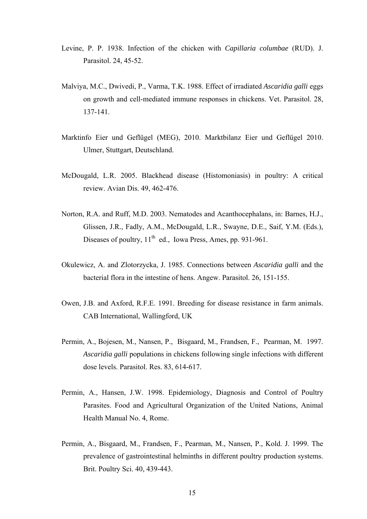- Levine, P. P. 1938. Infection of the chicken with *Capillaria columbae* (RUD). J. Parasitol. 24, 45-52.
- Malviya, M.C., Dwivedi, P., Varma, T.K. 1988. Effect of irradiated *Ascaridia galli* eggs on growth and cell-mediated immune responses in chickens. Vet. Parasitol. 28, 137-141.
- Marktinfo Eier und Geflügel (MEG), 2010. Marktbilanz Eier und Geflügel 2010. Ulmer, Stuttgart, Deutschland.
- McDougald, L.R. 2005. Blackhead disease (Histomoniasis) in poultry: A critical review. Avian Dis. 49, 462-476.
- Norton, R.A. and Ruff, M.D. 2003. Nematodes and Acanthocephalans, in: Barnes, H.J., Glissen, J.R., Fadly, A.M., McDougald, L.R., Swayne, D.E., Saif, Y.M. (Eds.), Diseases of poultry,  $11<sup>th</sup>$  ed., Iowa Press, Ames, pp. 931-961.
- Okulewicz, A. and Zlotorzycka, J. 1985. Connections between *Ascaridia galli* and the bacterial flora in the intestine of hens. Angew. Parasitol. 26, 151-155.
- Owen, J.B. and Axford, R.F.E. 1991. Breeding for disease resistance in farm animals. CAB International, Wallingford, UK
- Permin, A., Bojesen, M., Nansen, P., Bisgaard, M., Frandsen, F., Pearman, M. 1997. *Ascaridia galli* populations in chickens following single infections with different dose levels. Parasitol. Res. 83, 614-617.
- Permin, A., Hansen, J.W. 1998. Epidemiology, Diagnosis and Control of Poultry Parasites. Food and Agricultural Organization of the United Nations, Animal Health Manual No. 4, Rome.
- Permin, A., Bisgaard, M., Frandsen, F., Pearman, M., Nansen, P., Kold. J. 1999. The prevalence of gastrointestinal helminths in different poultry production systems. Brit. Poultry Sci. 40, 439-443.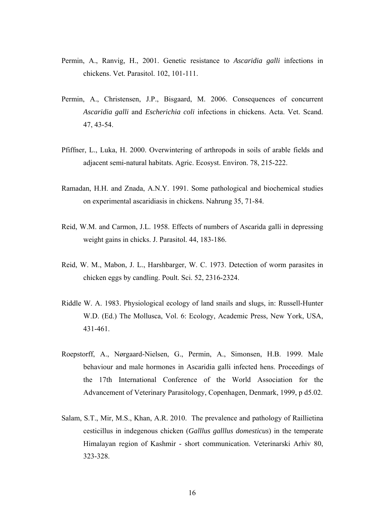- Permin, A., Ranvig, H., 2001. Genetic resistance to *Ascaridia galli* infections in chickens. Vet. Parasitol. 102, 101-111.
- Permin, A., Christensen, J.P., Bisgaard, M. 2006. Consequences of concurrent *Ascaridia galli* and *Escherichia coli* infections in chickens. Acta. Vet. Scand. 47, 43-54.
- Pfiffner, L., Luka, H. 2000. Overwintering of arthropods in soils of arable fields and adjacent semi-natural habitats. Agric. Ecosyst. Environ. 78, 215-222.
- Ramadan, H.H. and Znada, A.N.Y. 1991. Some pathological and biochemical studies on experimental ascaridiasis in chickens. Nahrung 35, 71-84.
- Reid, W.M. and Carmon, J.L. 1958. Effects of numbers of Ascarida galli in depressing weight gains in chicks. J. Parasitol. 44, 183-186.
- Reid, W. M., Mabon, J. L., Harshbarger, W. C. 1973. Detection of worm parasites in chicken eggs by candling. Poult. Sci. 52, 2316-2324.
- Riddle W. A. 1983. Physiological ecology of land snails and slugs, in: Russell-Hunter W.D. (Ed.) The Mollusca, Vol. 6: Ecology, Academic Press, New York, USA, 431-461.
- Roepstorff, A., Nørgaard-Nielsen, G., Permin, A., Simonsen, H.B. 1999. Male behaviour and male hormones in Ascaridia galli infected hens. Proceedings of the 17th International Conference of the World Association for the Advancement of Veterinary Parasitology, Copenhagen, Denmark, 1999, p d5.02.
- Salam, S.T., Mir, M.S., Khan, A.R. 2010. The prevalence and pathology of Raillietina cesticillus in indegenous chicken (*Galllus galllus domesticus*) in the temperate Himalayan region of Kashmir - short communication. Veterinarski Arhiv 80, 323-328.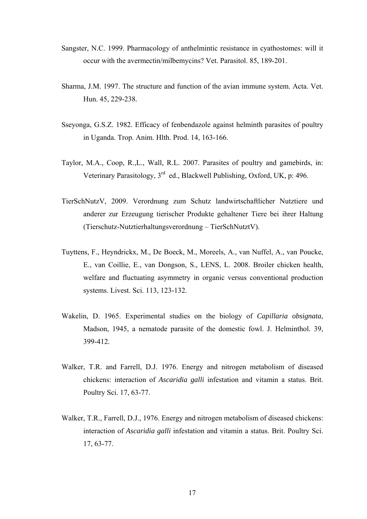- Sangster, N.C. 1999. Pharmacology of anthelmintic resistance in cyathostomes: will it occur with the avermectin/milbemycins? Vet. Parasitol. 85, 189-201.
- Sharma, J.M. 1997. The structure and function of the avian immune system. Acta. Vet. Hun. 45, 229-238.
- Sseyonga, G.S.Z. 1982. Efficacy of fenbendazole against helminth parasites of poultry in Uganda. Trop. Anim. Hlth. Prod. 14, 163-166.
- Taylor, M.A., Coop, R.,L., Wall, R.L. 2007. Parasites of poultry and gamebirds, in: Veterinary Parasitology, 3rd ed., Blackwell Publishing, Oxford, UK, p: 496.
- TierSchNutzV, 2009. Verordnung zum Schutz landwirtschaftlicher Nutztiere und anderer zur Erzeugung tierischer Produkte gehaltener Tiere bei ihrer Haltung (Tierschutz-Nutztierhaltungsverordnung – TierSchNutztV).
- Tuyttens, F., Heyndrickx, M., De Boeck, M., Moreels, A., van Nuffel, A., van Poucke, E., van Coillie, E., van Dongson, S., LENS, L. 2008. Broiler chicken health, welfare and fluctuating asymmetry in organic versus conventional production systems. Livest. Sci. 113, 123-132.
- Wakelin, D. 1965. Experimental studies on the biology of *Capillaria obsignata*, Madson, 1945, a nematode parasite of the domestic fowl. J. Helminthol. 39, 399-412.
- Walker, T.R. and Farrell, D.J. 1976. Energy and nitrogen metabolism of diseased chickens: interaction of *Ascaridia galli* infestation and vitamin a status. Brit. Poultry Sci. 17, 63-77.
- Walker, T.R., Farrell, D.J., 1976. Energy and nitrogen metabolism of diseased chickens: interaction of *Ascaridia galli* infestation and vitamin a status. Brit. Poultry Sci. 17, 63-77.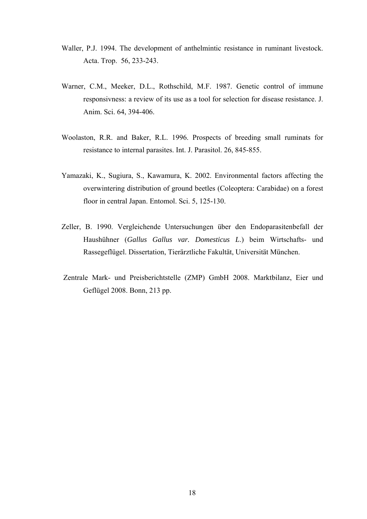- Waller, P.J. 1994. The development of anthelmintic resistance in ruminant livestock. Acta. Trop. 56, 233-243.
- Warner, C.M., Meeker, D.L., Rothschild, M.F. 1987. Genetic control of immune responsivness: a review of its use as a tool for selection for disease resistance. J. Anim. Sci. 64, 394-406.
- Woolaston, R.R. and Baker, R.L. 1996. Prospects of breeding small ruminats for resistance to internal parasites. Int. J. Parasitol. 26, 845-855.
- Yamazaki, K., Sugiura, S., Kawamura, K. 2002. Environmental factors affecting the overwintering distribution of ground beetles (Coleoptera: Carabidae) on a forest floor in central Japan. Entomol. Sci. 5, 125-130.
- Zeller, B. 1990. Vergleichende Untersuchungen über den Endoparasitenbefall der Haushühner (*Gallus Gallus var. Domesticus L*.) beim Wirtschafts- und Rassegeflügel. Dissertation, Tierärztliche Fakultät, Universität München.
- Zentrale Mark- und Preisberichtstelle (ZMP) GmbH 2008. Marktbilanz, Eier und Geflügel 2008. Bonn, 213 pp.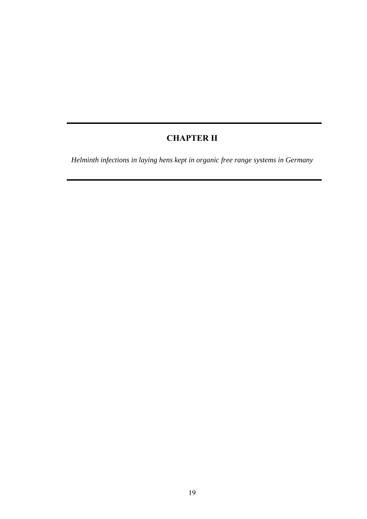# **CHAPTER II**

<span id="page-28-2"></span><span id="page-28-1"></span><span id="page-28-0"></span>*Helminth infections in laying hens kept in organic free range systems in Germany*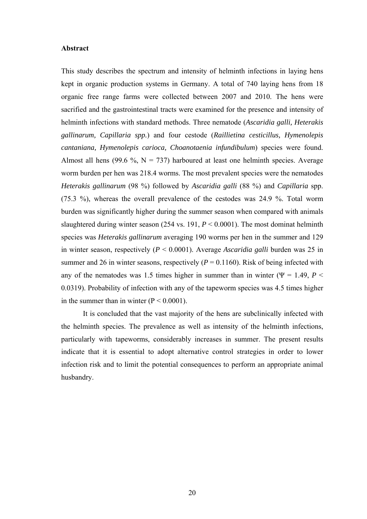#### <span id="page-29-0"></span>**Abstract**

This study describes the spectrum and intensity of helminth infections in laying hens kept in organic production systems in Germany. A total of 740 laying hens from 18 organic free range farms were collected between 2007 and 2010. The hens were sacrified and the gastrointestinal tracts were examined for the presence and intensity of helminth infections with standard methods. Three nematode (*Ascaridia galli, Heterakis gallinarum, Capillaria spp.*) and four cestode (*Raillietina cesticillus, Hymenolepis cantaniana, Hymenolepis carioca, Choanotaenia infundibulum*) species were found. Almost all hens (99.6 %,  $N = 737$ ) harboured at least one helminth species. Average worm burden per hen was 218.4 worms. The most prevalent species were the nematodes *Heterakis gallinarum* (98 %) followed by *Ascaridia galli* (88 %) and *Capillaria* spp. (75.3 %), whereas the overall prevalence of the cestodes was 24.9 %. Total worm burden was significantly higher during the summer season when compared with animals slaughtered during winter season  $(254 \text{ vs. } 191, P \le 0.0001)$ . The most dominat helminth species was *Heterakis gallinarum* averaging 190 worms per hen in the summer and 129 in winter season, respectively (*P* < 0.0001). Average *Ascaridia galli* burden was 25 in summer and 26 in winter seasons, respectively  $(P = 0.1160)$ . Risk of being infected with any of the nematodes was 1.5 times higher in summer than in winter ( $\Psi$  = 1.49, *P* < 0.0319). Probability of infection with any of the tapeworm species was 4.5 times higher in the summer than in winter  $(P < 0.0001)$ .

 It is concluded that the vast majority of the hens are subclinically infected with the helminth species. The prevalence as well as intensity of the helminth infections, particularly with tapeworms, considerably increases in summer. The present results indicate that it is essential to adopt alternative control strategies in order to lower infection risk and to limit the potential consequences to perform an appropriate animal husbandry.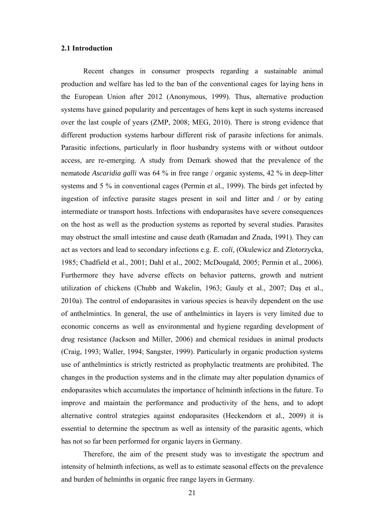### <span id="page-30-0"></span>**2.1 Introduction**

Recent changes in consumer prospects regarding a sustainable animal production and welfare has led to the ban of the conventional cages for laying hens in the European Union after 2012 (Anonymous, 1999). Thus, alternative production systems have gained popularity and percentages of hens kept in such systems increased over the last couple of years (ZMP, 2008; MEG, 2010). There is strong evidence that different production systems harbour different risk of parasite infections for animals. Parasitic infections, particularly in floor husbandry systems with or without outdoor access, are re-emerging. A study from Demark showed that the prevalence of the nematode *Ascaridia galli* was 64 % in free range / organic systems, 42 % in deep-litter systems and 5 % in conventional cages (Permin et al., 1999). The birds get infected by ingestion of infective parasite stages present in soil and litter and / or by eating intermediate or transport hosts. Infections with endoparasites have severe consequences on the host as well as the production systems as reported by several studies. Parasites may obstruct the small intestine and cause death (Ramadan and Znada, 1991). They can act as vectors and lead to secondary infections e.g. *E. coli*, (Okulewicz and Zlotorzycka, 1985; Chadfield et al., 2001; Dahl et al., 2002; McDougald, 2005; Permin et al., 2006). Furthermore they have adverse effects on behavior patterns, growth and nutrient utilization of chickens (Chubb and Wakelin, 1963; Gauly et al., 2007; Daş et al., 2010a). The control of endoparasites in various species is heavily dependent on the use of anthelmintics. In general, the use of anthelmintics in layers is very limited due to economic concerns as well as environmental and hygiene regarding development of drug resistance (Jackson and Miller, 2006) and chemical residues in animal products (Craig, 1993; Waller, 1994; Sangster, 1999). Particularly in organic production systems use of anthelmintics is strictly restricted as prophylactic treatments are prohibited. The changes in the production systems and in the climate may alter population dynamics of endoparasites which accumulates the importance of helminth infections in the future. To improve and maintain the performance and productivity of the hens, and to adopt alternative control strategies against endoparasites (Heckendorn et al., 2009) it is essential to determine the spectrum as well as intensity of the parasitic agents, which has not so far been performed for organic layers in Germany.

 Therefore, the aim of the present study was to investigate the spectrum and intensity of helminth infections, as well as to estimate seasonal effects on the prevalence and burden of helminths in organic free range layers in Germany.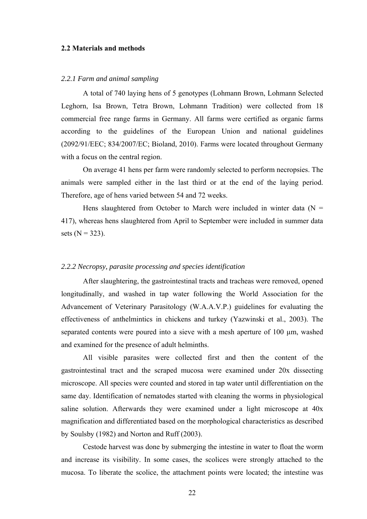### <span id="page-31-0"></span>**2.2 Materials and methods**

### *2.2.1 Farm and animal sampling*

A total of 740 laying hens of 5 genotypes (Lohmann Brown, Lohmann Selected Leghorn, Isa Brown, Tetra Brown, Lohmann Tradition) were collected from 18 commercial free range farms in Germany. All farms were certified as organic farms according to the guidelines of the European Union and national guidelines (2092/91/EEC; 834/2007/EC; Bioland, 2010). Farms were located throughout Germany with a focus on the central region.

On average 41 hens per farm were randomly selected to perform necropsies. The animals were sampled either in the last third or at the end of the laying period. Therefore, age of hens varied between 54 and 72 weeks.

Hens slaughtered from October to March were included in winter data  $(N =$ 417), whereas hens slaughtered from April to September were included in summer data sets ( $N = 323$ ).

### *2.2.2 Necropsy, parasite processing and species identification*

After slaughtering, the gastrointestinal tracts and tracheas were removed, opened longitudinally, and washed in tap water following the World Association for the Advancement of Veterinary Parasitology (W.A.A.V.P.) guidelines for evaluating the effectiveness of anthelmintics in chickens and turkey (Yazwinski et al., 2003). The separated contents were poured into a sieve with a mesh aperture of 100  $\mu$ m, washed and examined for the presence of adult helminths.

 All visible parasites were collected first and then the content of the gastrointestinal tract and the scraped mucosa were examined under 20x dissecting microscope. All species were counted and stored in tap water until differentiation on the same day. Identification of nematodes started with cleaning the worms in physiological saline solution. Afterwards they were examined under a light microscope at 40x magnification and differentiated based on the morphological characteristics as described by Soulsby (1982) and Norton and Ruff (2003).

 Cestode harvest was done by submerging the intestine in water to float the worm and increase its visibility. In some cases, the scolices were strongly attached to the mucosa. To liberate the scolice, the attachment points were located; the intestine was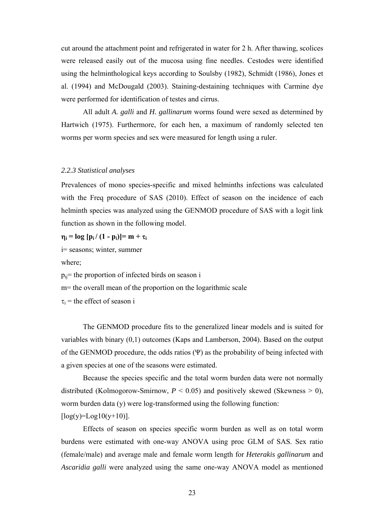cut around the attachment point and refrigerated in water for 2 h. After thawing, scolices were released easily out of the mucosa using fine needles. Cestodes were identified using the helminthological keys according to Soulsby (1982), Schmidt (1986), Jones et al. (1994) and McDougald (2003). Staining-destaining techniques with Carmine dye were performed for identification of testes and cirrus.

 All adult *A. galli* and *H. gallinarum* worms found were sexed as determined by Hartwich (1975). Furthermore, for each hen, a maximum of randomly selected ten worms per worm species and sex were measured for length using a ruler.

### *2.2.3 Statistical analyses*

Prevalences of mono species-specific and mixed helminths infections was calculated with the Freq procedure of SAS (2010). Effect of season on the incidence of each helminth species was analyzed using the GENMOD procedure of SAS with a logit link function as shown in the following model.

 $\eta_i = \log [p_i / (1 - p_i)] = m + \tau_i$ 

i= seasons; winter, summer

where;

 $p_{ii}$ = the proportion of infected birds on season i

m= the overall mean of the proportion on the logarithmic scale

 $\tau_i$  = the effect of season i

The GENMOD procedure fits to the generalized linear models and is suited for variables with binary (0,1) outcomes (Kaps and Lamberson, 2004). Based on the output of the GENMOD procedure, the odds ratios  $(\Psi)$  as the probability of being infected with a given species at one of the seasons were estimated.

Because the species specific and the total worm burden data were not normally distributed (Kolmogorow-Smirnow,  $P < 0.05$ ) and positively skewed (Skewness  $> 0$ ), worm burden data (y) were log-transformed using the following function:  $[log(y)=Log10(y+10)].$ 

Effects of season on species specific worm burden as well as on total worm burdens were estimated with one-way ANOVA using proc GLM of SAS. Sex ratio (female/male) and average male and female worm length for *Heterakis gallinarum* and *Ascaridia galli* were analyzed using the same one-way ANOVA model as mentioned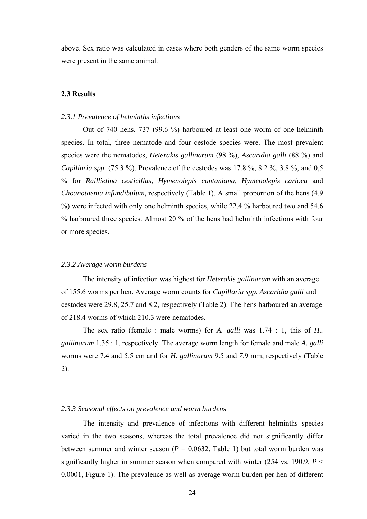above. Sex ratio was calculated in cases where both genders of the same worm species were present in the same animal.

### <span id="page-33-0"></span>**2.3 Results**

### *2.3.1 Prevalence of helminths infections*

Out of 740 hens, 737 (99.6 %) harboured at least one worm of one helminth species. In total, three nematode and four cestode species were. The most prevalent species were the nematodes, *Heterakis gallinarum* (98 %), *Ascaridia galli* (88 %) and *Capillaria spp*. (75.3 %). Prevalence of the cestodes was 17.8 %, 8.2 %, 3.8 %, and 0,5 % for *Raillietina cesticillus*, *Hymenolepis cantaniana, Hymenolepis carioca* and *Choanotaenia infundibulum,* respectively [\(Table 1\)](#page-37-0). A small proportion of the hens (4.9 %) were infected with only one helminth species, while 22.4 % harboured two and 54.6 % harboured three species. Almost 20 % of the hens had helminth infections with four or more species.

### *2.3.2 Average worm burdens*

The intensity of infection was highest for *Heterakis gallinarum* with an average of 155.6 worms per hen. Average worm counts for *Capillaria spp*, *Ascaridia galli* and cestodes were 29.8, 25.7 and 8.2, respectively ([Table 2\)](#page-38-1). The hens harboured an average of 218.4 worms of which 210.3 were nematodes.

The sex ratio (female : male worms) for *A. galli* was 1.74 : 1, this of *H.. gallinarum* 1.35 : 1, respectively. The average worm length for female and male *A. galli*  worms were 7.4 and 5.5 cm and for *H. gallinarum* 9.5 and *7*.9 mm, respectively (Table 2).

### *2.3.3 Seasonal effects on prevalence and worm burdens*

The intensity and prevalence of infections with different helminths species varied in the two seasons, whereas the total prevalence did not significantly differ between summer and winter season  $(P = 0.0632,$  [Table 1\)](#page-37-0) but total worm burden was significantly higher in summer season when compared with winter  $(254 \text{ vs. } 190.9, P \leq$ 0.0001, [Figure 1](#page-35-0)[\).](#page-35-1) The prevalence as well as average worm burden per hen of different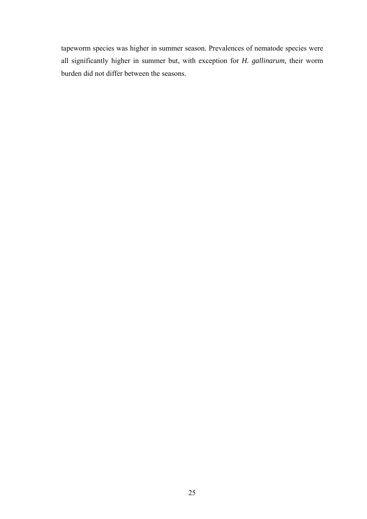tapeworm species was higher in summer season. Prevalences of nematode species were all significantly higher in summer but, with exception for *H. gallinarum,* their worm burden did not differ between the seasons.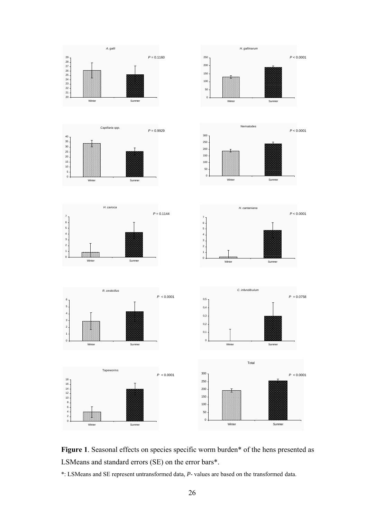<span id="page-35-1"></span>

<span id="page-35-0"></span>

\*: LSMeans and SE represent untransformed data, *P*- values are based on the transformed data.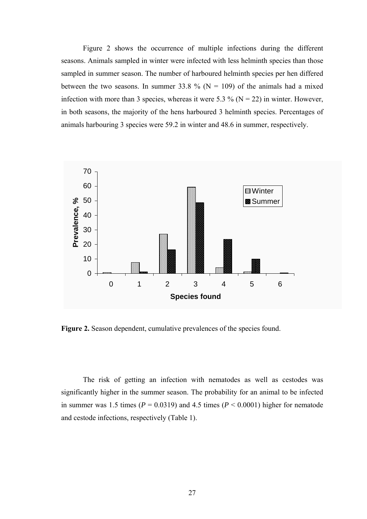<span id="page-36-1"></span>[Figure 2](#page-36-0) shows the occurrence of multiple infections during the different seasons. Animals sampled in winter were infected with less helminth species than those sampled in summer season. The number of harboured helminth species per hen differed between the two seasons. In summer 33.8 % ( $N = 109$ ) of the animals had a mixed infection with more than 3 species, whereas it were 5.3 % ( $N = 22$ ) in winter. However, in both seasons, the majority of the hens harboured 3 helminth species. Percentages of animals harbouring 3 species were 59.2 in winter and 48.6 in summer, respectively.



<span id="page-36-0"></span>Figure 2. Season dependent, cumulative prevalences of the species found.

The risk of getting an infection with nematodes as well as cestodes was significantly higher in the summer season. The probability for an animal to be infected in summer was 1.5 times ( $P = 0.0319$ ) and 4.5 times ( $P < 0.0001$ ) higher for nematode and cestode infections, respectively ([Table 1](#page-37-0)).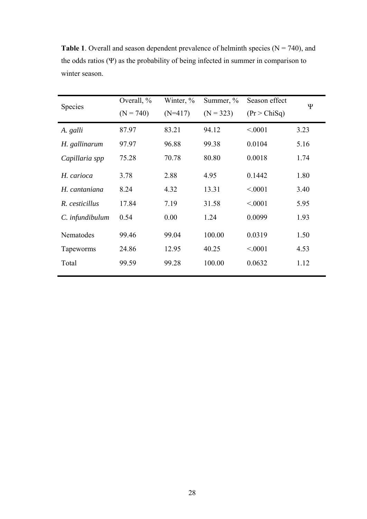| Species         | Overall, %<br>$(N = 740)$ | Winter, $\%$<br>Season effect<br>Summer, $\%$<br>$(N=417)$<br>$(N = 323)$<br>(Pr > ChiSq) |        | Ψ       |      |
|-----------------|---------------------------|-------------------------------------------------------------------------------------------|--------|---------|------|
| A. galli        | 87.97                     | 83.21                                                                                     | 94.12  | < 0.001 | 3.23 |
| H. gallinarum   | 97.97                     | 96.88                                                                                     | 99.38  | 0.0104  | 5.16 |
| Capillaria spp  | 75.28                     | 70.78                                                                                     | 80.80  | 0.0018  | 1.74 |
| H. carioca      | 3.78                      | 2.88                                                                                      | 4.95   | 0.1442  | 1.80 |
| H. cantaniana   | 8.24                      | 4.32                                                                                      | 13.31  | < 0001  | 3.40 |
| R. cesticillus  | 17.84                     | 7.19                                                                                      | 31.58  | < 0001  | 5.95 |
| C. infundibulum | 0.54                      | 0.00                                                                                      | 1.24   | 0.0099  | 1.93 |
| Nematodes       | 99.46                     | 99.04                                                                                     | 100.00 | 0.0319  | 1.50 |
| Tapeworms       | 24.86                     | 12.95                                                                                     | 40.25  | < 0001  | 4.53 |
| Total           | 99.59                     | 99.28                                                                                     | 100.00 | 0.0632  | 1.12 |

<span id="page-37-0"></span>**Table 1**. Overall and season dependent prevalence of helminth species ( $N = 740$ ), and the odds ratios (Ψ) as the probability of being infected in summer in comparison to winter season.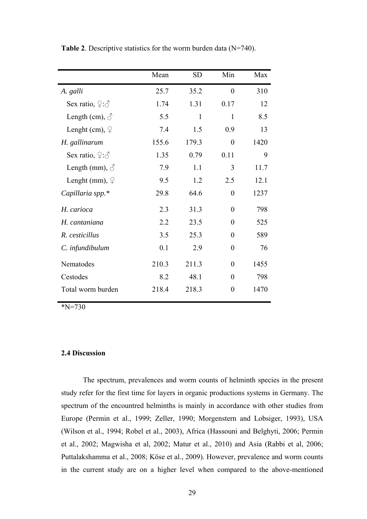|                                  | Mean  | <b>SD</b> | Min              | Max  |
|----------------------------------|-------|-----------|------------------|------|
| A. galli                         | 25.7  | 35.2      | $\theta$         | 310  |
| Sex ratio, $\varphi$ : $\varphi$ | 1.74  | 1.31      | 0.17             | 12   |
| Length (cm), $\circlearrowleft$  | 5.5   | 1         | 1                | 8.5  |
| Lenght (cm), $\varphi$           | 7.4   | 1.5       | 0.9              | 13   |
| H. gallinarum                    | 155.6 | 179.3     | $\boldsymbol{0}$ | 1420 |
| Sex ratio, $2:\delta$            | 1.35  | 0.79      | 0.11             | 9    |
| Length (mm), $\delta$            | 7.9   | 1.1       | 3                | 11.7 |
| Lenght (mm), $\varphi$           | 9.5   | 1.2       | 2.5              | 12.1 |
| Capillaria spp.*                 | 29.8  | 64.6      | $\overline{0}$   | 1237 |
| H. carioca                       | 2.3   | 31.3      | $\overline{0}$   | 798  |
| H. cantaniana                    | 2.2   | 23.5      | $\overline{0}$   | 525  |
| R. cesticillus                   | 3.5   | 25.3      | $\overline{0}$   | 589  |
| C. infundibulum                  | 0.1   | 2.9       | $\overline{0}$   | 76   |
| Nematodes                        | 210.3 | 211.3     | $\theta$         | 1455 |
| Cestodes                         | 8.2   | 48.1      | $\overline{0}$   | 798  |
| Total worm burden                | 218.4 | 218.3     | $\overline{0}$   | 1470 |

**Table 2**. Descriptive statistics for the worm burden data (N=740).

\*N=730

## **2.4 Discussion**

The spectrum, prevalences and worm counts of helminth species in the present study refer for the first time for layers in organic productions systems in Germany. The spectrum of the encountred helminths is mainly in accordance with other studies from Europe (Permin et al., 1999; Zeller, 1990; Morgenstern and Lobsiger, 1993), USA (Wilson et al., 1994; Robel et al., 2003), Africa (Hassouni and Belghyti, 2006; Permin et al., 2002; Magwisha et al, 2002; Matur et al., 2010) and Asia (Rabbi et al, 2006; Puttalakshamma et al., 2008; Köse et al., 2009). However, prevalence and worm counts in the current study are on a higher level when compared to the above-mentioned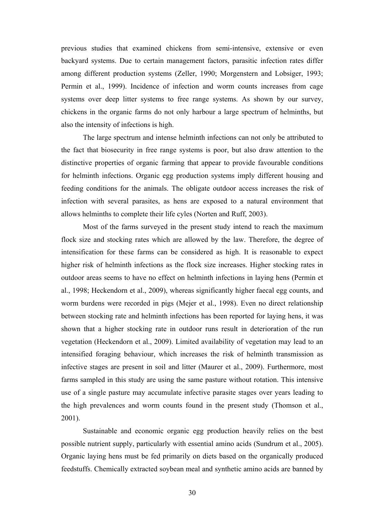previous studies that examined chickens from semi-intensive, extensive or even backyard systems. Due to certain management factors, parasitic infection rates differ among different production systems (Zeller, 1990; Morgenstern and Lobsiger, 1993; Permin et al., 1999). Incidence of infection and worm counts increases from cage systems over deep litter systems to free range systems. As shown by our survey, chickens in the organic farms do not only harbour a large spectrum of helminths, but also the intensity of infections is high.

The large spectrum and intense helminth infections can not only be attributed to the fact that biosecurity in free range systems is poor, but also draw attention to the distinctive properties of organic farming that appear to provide favourable conditions for helminth infections. Organic egg production systems imply different housing and feeding conditions for the animals. The obligate outdoor access increases the risk of infection with several parasites, as hens are exposed to a natural environment that allows helminths to complete their life cyles (Norten and Ruff, 2003).

Most of the farms surveyed in the present study intend to reach the maximum flock size and stocking rates which are allowed by the law. Therefore, the degree of intensification for these farms can be considered as high. It is reasonable to expect higher risk of helminth infections as the flock size increases. Higher stocking rates in outdoor areas seems to have no effect on helminth infections in laying hens (Permin et al., 1998; Heckendorn et al., 2009), whereas significantly higher faecal egg counts, and worm burdens were recorded in pigs (Mejer et al., 1998). Even no direct relationship between stocking rate and helminth infections has been reported for laying hens, it was shown that a higher stocking rate in outdoor runs result in deterioration of the run vegetation (Heckendorn et al., 2009). Limited availability of vegetation may lead to an intensified foraging behaviour, which increases the risk of helminth transmission as infective stages are present in soil and litter (Maurer et al., 2009). Furthermore, most farms sampled in this study are using the same pasture without rotation. This intensive use of a single pasture may accumulate infective parasite stages over years leading to the high prevalences and worm counts found in the present study (Thomson et al., 2001).

Sustainable and economic organic egg production heavily relies on the best possible nutrient supply, particularly with essential amino acids (Sundrum et al., 2005). Organic laying hens must be fed primarily on diets based on the organically produced feedstuffs. Chemically extracted soybean meal and synthetic amino acids are banned by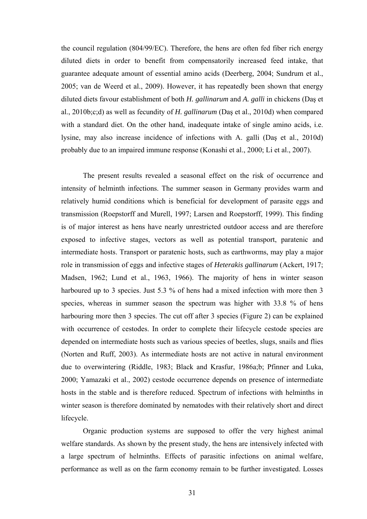the council regulation (804/99/EC). Therefore, the hens are often fed fiber rich energy diluted diets in order to benefit from compensatorily increased feed intake, that guarantee adequate amount of essential amino acids (Deerberg, 2004; Sundrum et al., 2005; van de Weerd et al., 2009). However, it has repeatedly been shown that energy diluted diets favour establishment of both *H. gallinarum* and *A. galli* in chickens (Daş et al., 2010b;c;d) as well as fecundity of *H. gallinarum* (Daş et al., 2010d) when compared with a standard diet. On the other hand, inadequate intake of single amino acids, i.e. lysine, may also increase incidence of infections with A. galli (Daş et al., 2010d) probably due to an impaired immune response (Konashi et al., 2000; Li et al., 2007).

The present results revealed a seasonal effect on the risk of occurrence and intensity of helminth infections. The summer season in Germany provides warm and relatively humid conditions which is beneficial for development of parasite eggs and transmission (Roepstorff and Murell, 1997; Larsen and Roepstorff, 1999). This finding is of major interest as hens have nearly unrestricted outdoor access and are therefore exposed to infective stages, vectors as well as potential transport, paratenic and intermediate hosts. Transport or paratenic hosts, such as earthworms, may play a major role in transmission of eggs and infective stages of *Heterakis gallinarum* (Ackert, 1917; Madsen, 1962; Lund et al., 1963, 1966). The majority of hens in winter season harboured up to 3 species. Just 5.3 % of hens had a mixed infection with more then 3 species, whereas in summer season the spectrum was higher with 33.8 % of hens harbouring more then 3 species. The cut off after 3 species [\(Figure 2\)](#page-36-1) can be explained with occurrence of cestodes. In order to complete their lifecycle cestode species are depended on intermediate hosts such as various species of beetles, slugs, snails and flies (Norten and Ruff, 2003). As intermediate hosts are not active in natural environment due to overwintering (Riddle, 1983; Black and Krasfur, 1986a;b; Pfinner and Luka, 2000; Yamazaki et al., 2002) cestode occurrence depends on presence of intermediate hosts in the stable and is therefore reduced. Spectrum of infections with helminths in winter season is therefore dominated by nematodes with their relatively short and direct lifecycle.

Organic production systems are supposed to offer the very highest animal welfare standards. As shown by the present study, the hens are intensively infected with a large spectrum of helminths. Effects of parasitic infections on animal welfare, performance as well as on the farm economy remain to be further investigated. Losses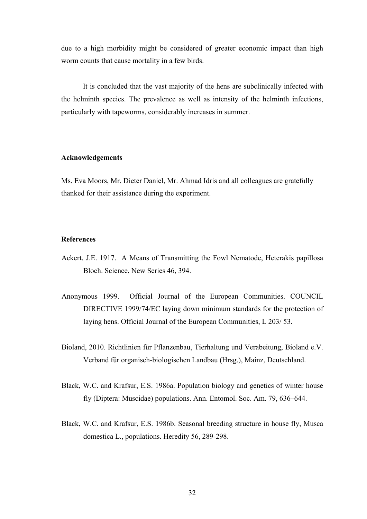due to a high morbidity might be considered of greater economic impact than high worm counts that cause mortality in a few birds.

It is concluded that the vast majority of the hens are subclinically infected with the helminth species. The prevalence as well as intensity of the helminth infections, particularly with tapeworms, considerably increases in summer.

#### **Acknowledgements**

Ms. Eva Moors, Mr. Dieter Daniel, Mr. Ahmad Idris and all colleagues are gratefully thanked for their assistance during the experiment.

## **References**

- Ackert, J.E. 1917. A Means of Transmitting the Fowl Nematode, Heterakis papillosa Bloch. Science, New Series 46, 394.
- Anonymous 1999. Official Journal of the European Communities. COUNCIL DIRECTIVE 1999/74/EC laying down minimum standards for the protection of laying hens. Official Journal of the European Communities, L 203/ 53.
- Bioland, 2010. Richtlinien für Pflanzenbau, Tierhaltung und Verabeitung, Bioland e.V. Verband für organisch-biologischen Landbau (Hrsg.), Mainz, Deutschland.
- Black, W.C. and Krafsur, E.S. 1986a. Population biology and genetics of winter house fly (Diptera: Muscidae) populations. Ann. Entomol. Soc. Am. 79, 636–644.
- Black, W.C. and Krafsur, E.S. 1986b. Seasonal breeding structure in house fly, Musca domestica L., populations. Heredity 56, 289-298.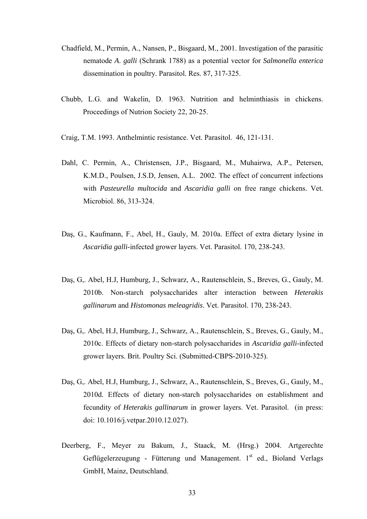- Chadfield, M., Permin, A., Nansen, P., Bisgaard, M., 2001. Investigation of the parasitic nematode *A*. *galli* (Schrank 1788) as a potential vector for *Salmonella enterica* dissemination in poultry. Parasitol. Res. 87, 317-325.
- Chubb, L.G. and Wakelin, D. 1963. Nutrition and helminthiasis in chickens. Proceedings of Nutrion Society 22, 20-25.
- Craig, T.M. 1993. Anthelmintic resistance. Vet. Parasitol. 46, 121-131.
- Dahl, C. Permin, A., Christensen, J.P., Bisgaard, M., Muhairwa, A.P., Petersen, K.M.D., Poulsen, J.S.D, Jensen, A.L. 2002. The effect of concurrent infections with *Pasteurella multocida* and *Ascaridia galli* on free range chickens. Vet. Microbiol. 86, 313-324.
- Daş, G., Kaufmann, F., Abel, H., Gauly, M. 2010a. Effect of extra dietary lysine in *Ascaridia galli*-infected grower layers. Vet. Parasitol. 170, 238-243.
- Daş, G,. Abel, H.J, Humburg, J., Schwarz, A., Rautenschlein, S., Breves, G., Gauly, M. 2010b. Non-starch polysaccharides alter interaction between *Heterakis gallinarum* and *Histomonas meleagridis*. Vet. Parasitol. 170, 238-243.
- Daş, G,. Abel, H.J, Humburg, J., Schwarz, A., Rautenschlein, S., Breves, G., Gauly, M., 2010c. Effects of dietary non-starch polysaccharides in *Ascaridia galli*-infected grower layers. Brit. Poultry Sci. (Submitted-CBPS-2010-325).
- Daş, G,. Abel, H.J, Humburg, J., Schwarz, A., Rautenschlein, S., Breves, G., Gauly, M., 2010d. Effects of dietary non-starch polysaccharides on establishment and fecundity of *Heterakis gallinarum* in grower layers. Vet. Parasitol. (in press: doi: 10.1016/j.vetpar.2010.12.027).
- Deerberg, F., Meyer zu Bakum, J., Staack, M. (Hrsg.) 2004. Artgerechte Geflügelerzeugung - Fütterung und Management.  $1<sup>st</sup>$  ed., Bioland Verlags GmbH, Mainz, Deutschland.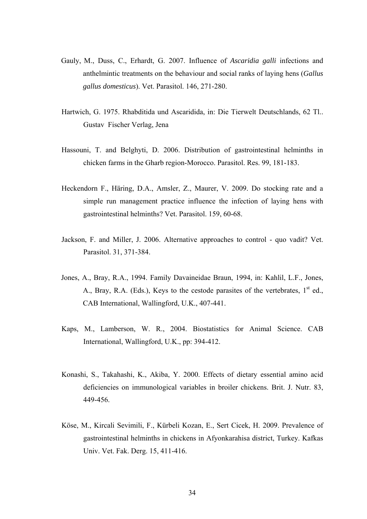- Gauly, M., Duss, C., Erhardt, G. 2007. Influence of *Ascaridia galli* infections and anthelmintic treatments on the behaviour and social ranks of laying hens (*Gallus gallus domesticus*). Vet. Parasitol. 146, 271-280.
- Hartwich, G. 1975. Rhabditida und Ascaridida, in: Die Tierwelt Deutschlands, 62 Tl.. Gustav Fischer Verlag, Jena
- Hassouni, T. and Belghyti, D. 2006. Distribution of gastrointestinal helminths in chicken farms in the Gharb region-Morocco. Parasitol. Res. 99, 181-183.
- Heckendorn F., Häring, D.A., Amsler, Z., Maurer, V. 2009. Do stocking rate and a simple run management practice influence the infection of laying hens with gastrointestinal helminths? Vet. Parasitol. 159, 60-68.
- Jackson, F. and Miller, J. 2006. Alternative approaches to control quo vadit? Vet. Parasitol. 31, 371-384.
- Jones, A., Bray, R.A., 1994. Family Davaineidae Braun, 1994, in: Kahlil, L.F., Jones, A., Bray, R.A. (Eds.), Keys to the cestode parasites of the vertebrates,  $1<sup>st</sup>$  ed., CAB International, Wallingford, U.K., 407-441.
- Kaps, M., Lamberson, W. R., 2004. Biostatistics for Animal Science. CAB International, Wallingford, U.K., pp: 394-412.
- Konashi, S., Takahashi, K., Akiba, Y. 2000. Effects of dietary essential amino acid deficiencies on immunological variables in broiler chickens. Brit. J. Nutr. 83, 449-456.
- Köse, M., Kircali Sevimili, F., Kürbeli Kozan, E., Sert Cicek, H. 2009. Prevalence of gastrointestinal helminths in chickens in Afyonkarahisa district, Turkey. Kafkas Univ. Vet. Fak. Derg. 15, 411-416.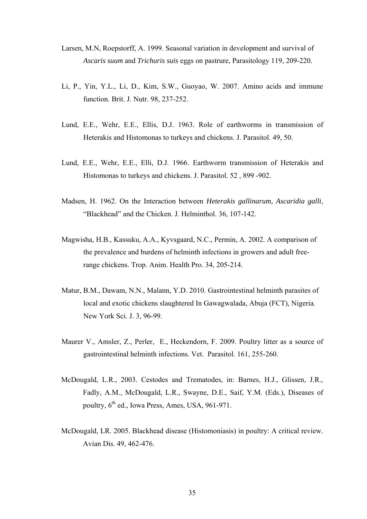- Larsen, M.N, Roepstorff, A. 1999. Seasonal variation in development and survival of *Ascaris suum* and *Trichuris suis* eggs on pastrure, Parasitology 119, 209-220.
- Li, P., Yin, Y.L., Li, D., Kim, S.W., Guoyao, W. 2007. Amino acids and immune function. Brit. J. Nutr. 98, 237-252.
- Lund, E.E., Wehr, E.E., Ellis, D.J. 1963. Role of earthworms in transmission of Heterakis and Histomonas to turkeys and chickens. J. Parasitol. 49, 50.
- Lund, E.E., Wehr, E.E., Elli, D.J. 1966. Earthworm transmission of Heterakis and Histomonas to turkeys and chickens. J. Parasitol. 52 , 899 -902.
- Madsen, H. 1962. On the Interaction between *Heterakis gallinarum, Ascaridia galli*, "Blackhead" and the Chicken. J. Helminthol. 36, 107-142.
- Magwisha, H.B., Kassuku, A.A., Kyvsgaard, N.C., Permin, A. 2002. A comparison of the prevalence and burdens of helminth infections in growers and adult freerange chickens. Trop. Anim. Health Pro. 34, 205-214.
- Matur, B.M., Dawam, N.N., Malann, Y.D. 2010. Gastrointestinal helminth parasites of local and exotic chickens slaughtered In Gawagwalada, Abuja (FCT), Nigeria. New York Sci. J. 3, 96-99.
- Maurer V., Amsler, Z., Perler, E., Heckendorn, F. 2009. Poultry litter as a source of gastrointestinal helminth infections. Vet. Parasitol. 161, 255-260.
- McDougald, L.R., 2003. Cestodes and Trematodes, in: Barnes, H.J., Glissen, J.R., Fadly, A.M., McDougald, L.R., Swayne, D.E., Saif, Y.M. (Eds.), Diseases of poultry,  $6<sup>th</sup>$  ed., Iowa Press, Ames, USA, 961-971.
- McDougald, LR. 2005. Blackhead disease (Histomoniasis) in poultry: A critical review. Avian Dis. 49, 462-476.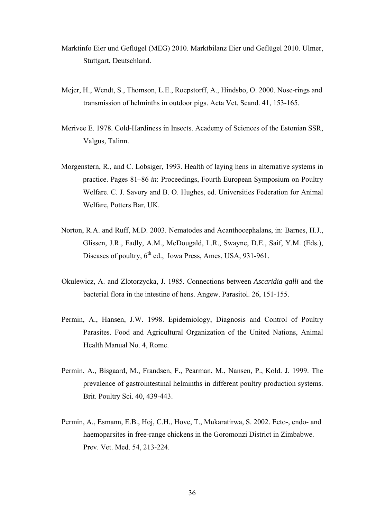- Marktinfo Eier und Geflügel (MEG) 2010. Marktbilanz Eier und Geflügel 2010. Ulmer, Stuttgart, Deutschland.
- Mejer, H., Wendt, S., Thomson, L.E., Roepstorff, A., Hindsbo, O. 2000. Nose-rings and transmission of helminths in outdoor pigs. Acta Vet. Scand. 41, 153-165.
- Merivee E. 1978. Cold-Hardiness in Insects. Academy of Sciences of the Estonian SSR, Valgus, Talinn.
- Morgenstern, R., and C. Lobsiger, 1993. Health of laying hens in alternative systems in practice. Pages 81–86 *in*: Proceedings, Fourth European Symposium on Poultry Welfare. C. J. Savory and B. O. Hughes, ed. Universities Federation for Animal Welfare, Potters Bar, UK.
- Norton, R.A. and Ruff, M.D. 2003. Nematodes and Acanthocephalans, in: Barnes, H.J., Glissen, J.R., Fadly, A.M., McDougald, L.R., Swayne, D.E., Saif, Y.M. (Eds.), Diseases of poultry, 6<sup>th</sup> ed., Iowa Press, Ames, USA, 931-961.
- Okulewicz, A. and Zlotorzycka, J. 1985. Connections between *Ascaridia galli* and the bacterial flora in the intestine of hens. Angew. Parasitol. 26, 151-155.
- Permin, A., Hansen, J.W. 1998. Epidemiology, Diagnosis and Control of Poultry Parasites. Food and Agricultural Organization of the United Nations, Animal Health Manual No. 4, Rome.
- Permin, A., Bisgaard, M., Frandsen, F., Pearman, M., Nansen, P., Kold. J. 1999. The prevalence of gastrointestinal helminths in different poultry production systems. Brit. Poultry Sci. 40, 439-443.
- Permin, A., Esmann, E.B., Hoj, C.H., Hove, T., Mukaratirwa, S. 2002. Ecto-, endo- and haemoparsites in free-range chickens in the Goromonzi District in Zimbabwe. Prev. Vet. Med. 54, 213-224.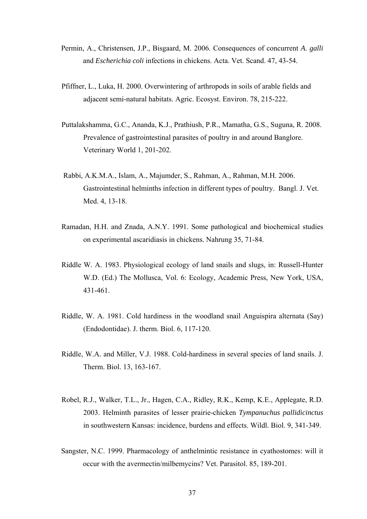- Permin, A., Christensen, J.P., Bisgaard, M. 2006. Consequences of concurrent *A*. *galli* and *Escherichia coli* infections in chickens. Acta. Vet. Scand. 47, 43-54.
- Pfiffner, L., Luka, H. 2000. Overwintering of arthropods in soils of arable fields and adjacent semi-natural habitats. Agric. Ecosyst. Environ. 78, 215-222.
- Puttalakshamma, G.C., Ananda, K.J., Prathiush, P.R., Mamatha, G.S., Suguna, R. 2008. Prevalence of gastrointestinal parasites of poultry in and around Banglore. Veterinary World 1, 201-202.
- Rabbi, A.K.M.A., Islam, A., Majumder, S., Rahman, A., Rahman, M.H. 2006. Gastrointestinal helminths infection in different types of poultry. Bangl. J. Vet. Med. 4, 13-18.
- Ramadan, H.H. and Znada, A.N.Y. 1991. Some pathological and biochemical studies on experimental ascaridiasis in chickens. Nahrung 35, 71-84.
- Riddle W. A. 1983. Physiological ecology of land snails and slugs, in: Russell-Hunter W.D. (Ed.) The Mollusca, Vol. 6: Ecology, Academic Press, New York, USA, 431-461.
- Riddle, W. A. 1981. Cold hardiness in the woodland snail Anguispira alternata (Say) (Endodontidae). J. therm. Biol. 6, 117-120.
- Riddle, W.A. and Miller, V.J. 1988. Cold-hardiness in several species of land snails. J. Therm. Biol. 13, 163-167.
- Robel, R.J., Walker, T.L., Jr., Hagen, C.A., Ridley, R.K., Kemp, K.E., Applegate, R.D. 2003. Helminth parasites of lesser prairie-chicken *Tympanuchus pallidicinctus* in southwestern Kansas: incidence, burdens and effects. Wildl. Biol. 9, 341-349.
- Sangster, N.C. 1999. Pharmacology of anthelmintic resistance in cyathostomes: will it occur with the avermectin/milbemycins? Vet. Parasitol. 85, 189-201.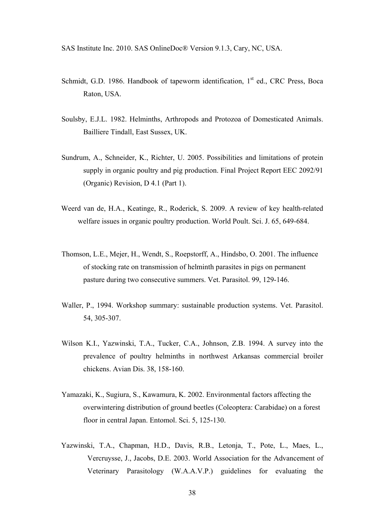SAS Institute Inc. 2010. SAS OnlineDoc® Version 9.1.3, Cary, NC, USA.

- Schmidt, G.D. 1986. Handbook of tapeworm identification,  $1<sup>st</sup>$  ed., CRC Press, Boca Raton, USA.
- Soulsby, E.J.L. 1982. Helminths, Arthropods and Protozoa of Domesticated Animals. Bailliere Tindall, East Sussex, UK.
- Sundrum, A., Schneider, K., Richter, U. 2005. Possibilities and limitations of protein supply in organic poultry and pig production. Final Project Report EEC 2092/91 (Organic) Revision, D 4.1 (Part 1).
- Weerd van de, H.A., Keatinge, R., Roderick, S. 2009. A review of key health-related welfare issues in organic poultry production. World Poult. Sci. J. 65, 649-684.
- Thomson, L.E., Mejer, H., Wendt, S., Roepstorff, A., Hindsbo, O. 2001. The influence of stocking rate on transmission of helminth parasites in pigs on permanent pasture during two consecutive summers. Vet. Parasitol. 99, 129-146.
- Waller, P., 1994. Workshop summary: sustainable production systems. Vet. Parasitol. 54, 305-307.
- Wilson K.I., Yazwinski, T.A., Tucker, C.A., Johnson, Z.B. 1994. A survey into the prevalence of poultry helminths in northwest Arkansas commercial broiler chickens. Avian Dis. 38, 158-160.
- Yamazaki, K., Sugiura, S., Kawamura, K. 2002. Environmental factors affecting the overwintering distribution of ground beetles (Coleoptera: Carabidae) on a forest floor in central Japan. Entomol. Sci. 5, 125-130.
- Yazwinski, T.A., Chapman, H.D., Davis, R.B., Letonja, T., Pote, L., Maes, L., Vercruysse, J., Jacobs, D.E. 2003. World Association for the Advancement of Veterinary Parasitology (W.A.A.V.P.) guidelines for evaluating the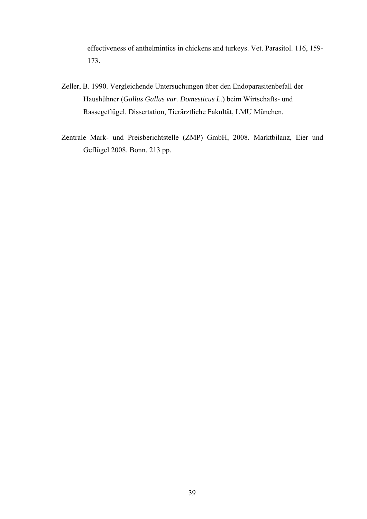effectiveness of anthelmintics in chickens and turkeys. Vet. Parasitol. 116, 159- 173.

- Zeller, B. 1990. Vergleichende Untersuchungen über den Endoparasitenbefall der Haushühner (*Gallus Gallus var. Domesticus L.*) beim Wirtschafts- und Rassegeflügel. Dissertation, Tierärztliche Fakultät, LMU München.
- Zentrale Mark- und Preisberichtstelle (ZMP) GmbH, 2008. Marktbilanz, Eier und Geflügel 2008. Bonn, 213 pp.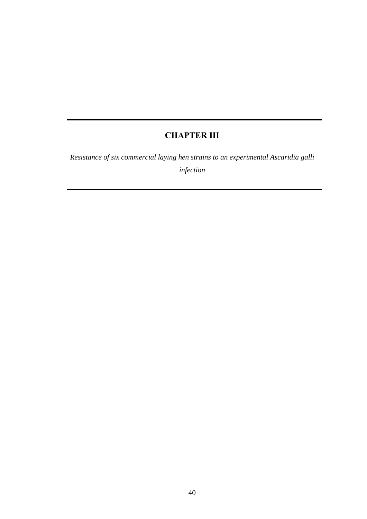## **CHAPTER III**

*Resistance of six commercial laying hen strains to an experimental Ascaridia galli infection*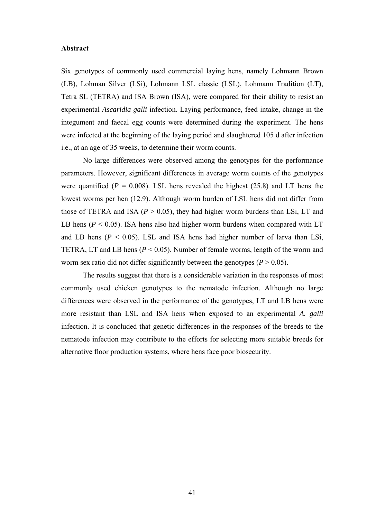#### **Abstract**

Six genotypes of commonly used commercial laying hens, namely Lohmann Brown (LB), Lohman Silver (LSi), Lohmann LSL classic (LSL), Lohmann Tradition (LT), Tetra SL (TETRA) and ISA Brown (ISA), were compared for their ability to resist an experimental *Ascaridia galli* infection. Laying performance, feed intake, change in the integument and faecal egg counts were determined during the experiment. The hens were infected at the beginning of the laying period and slaughtered 105 d after infection i.e., at an age of 35 weeks, to determine their worm counts.

No large differences were observed among the genotypes for the performance parameters. However, significant differences in average worm counts of the genotypes were quantified  $(P = 0.008)$ . LSL hens revealed the highest  $(25.8)$  and LT hens the lowest worms per hen (12.9). Although worm burden of LSL hens did not differ from those of TETRA and ISA ( $P > 0.05$ ), they had higher worm burdens than LSi, LT and LB hens ( $P < 0.05$ ). ISA hens also had higher worm burdens when compared with LT and LB hens ( $P < 0.05$ ). LSL and ISA hens had higher number of larva than LSi, TETRA, LT and LB hens (*P* < 0.05). Number of female worms, length of the worm and worm sex ratio did not differ significantly between the genotypes ( $P > 0.05$ ).

The results suggest that there is a considerable variation in the responses of most commonly used chicken genotypes to the nematode infection. Although no large differences were observed in the performance of the genotypes, LT and LB hens were more resistant than LSL and ISA hens when exposed to an experimental *A. galli*  infection. It is concluded that genetic differences in the responses of the breeds to the nematode infection may contribute to the efforts for selecting more suitable breeds for alternative floor production systems, where hens face poor biosecurity.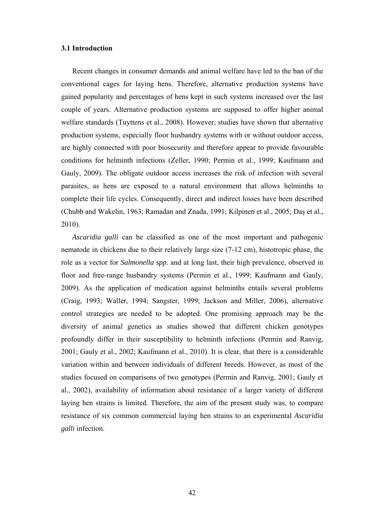## **3.1 Introduction**

Recent changes in consumer demands and animal welfare have led to the ban of the conventional cages for laying hens. Therefore, alternative production systems have gained popularity and percentages of hens kept in such systems increased over the last couple of years. Alternative production systems are supposed to offer higher animal welfare standards (Tuyttens et al., 2008). However, studies have shown that alternative production systems, especially floor husbandry systems with or without outdoor access, are highly connected with poor biosecurity and therefore appear to provide favourable conditions for helminth infections (Zeller, 1990; Permin et al., 1999; Kaufmann and Gauly, 2009). The obligate outdoor access increases the risk of infection with several parasites, as hens are exposed to a natural environment that allows helminths to complete their life cycles. Consequently, direct and indirect losses have been described (Chubb and Wakelin, 1963; Ramadan and Znada, 1991; Kilpinen et al., 2005; Daş et al., 2010).

*Ascaridia galli* can be classified as one of the most important and pathogenic nematode in chickens due to their relatively large size (7-12 cm), histotropic phase, the role as a vector for *Salmonella spp*. and at long last, their high prevalence, observed in floor and free-range husbandry systems (Permin et al., 1999; Kaufmann and Gauly, 2009). As the application of medication against helminths entails several problems (Craig, 1993; Waller, 1994; Sangster, 1999; Jackson and Miller, 2006), alternative control strategies are needed to be adopted. One promising approach may be the diversity of animal genetics as studies showed that different chicken genotypes profoundly differ in their susceptibility to helminth infections (Permin and Ranvig, 2001; Gauly et al., 2002; Kaufmann et al., 2010). It is clear, that there is a considerable variation within and between individuals of different breeds. However, as most of the studies focused on comparisons of two genotypes (Permin and Ranvig, 2001; Gauly et al., 2002), availability of information about resistance of a larger variety of different laying hen strains is limited. Therefore, the aim of the present study was, to compare resistance of six common commercial laying hen strains to an experimental *Ascaridia galli* infection.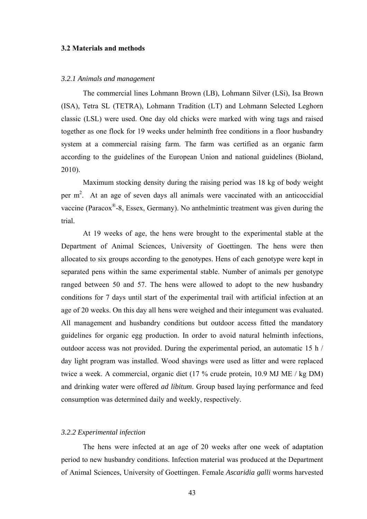## **3.2 Materials and methods**

#### *3.2.1 Animals and management*

The commercial lines Lohmann Brown (LB), Lohmann Silver (LSi), Isa Brown (ISA), Tetra SL (TETRA), Lohmann Tradition (LT) and Lohmann Selected Leghorn classic (LSL) were used. One day old chicks were marked with wing tags and raised together as one flock for 19 weeks under helminth free conditions in a floor husbandry system at a commercial raising farm. The farm was certified as an organic farm according to the guidelines of the European Union and national guidelines (Bioland, 2010).

Maximum stocking density during the raising period was 18 kg of body weight per m<sup>2</sup>. At an age of seven days all animals were vaccinated with an anticoccidial vaccine (Paracox®-8, Essex, Germany). No anthelmintic treatment was given during the trial.

At 19 weeks of age, the hens were brought to the experimental stable at the Department of Animal Sciences, University of Goettingen. The hens were then allocated to six groups according to the genotypes. Hens of each genotype were kept in separated pens within the same experimental stable. Number of animals per genotype ranged between 50 and 57. The hens were allowed to adopt to the new husbandry conditions for 7 days until start of the experimental trail with artificial infection at an age of 20 weeks. On this day all hens were weighed and their integument was evaluated. All management and husbandry conditions but outdoor access fitted the mandatory guidelines for organic egg production. In order to avoid natural helminth infections, outdoor access was not provided. During the experimental period, an automatic 15 h / day light program was installed. Wood shavings were used as litter and were replaced twice a week. A commercial, organic diet (17 % crude protein, 10.9 MJ ME / kg DM) and drinking water were offered *ad libitum*. Group based laying performance and feed consumption was determined daily and weekly, respectively.

#### *3.2.2 Experimental infection*

The hens were infected at an age of 20 weeks after one week of adaptation period to new husbandry conditions. Infection material was produced at the Department of Animal Sciences, University of Goettingen. Female *Ascaridia galli* worms harvested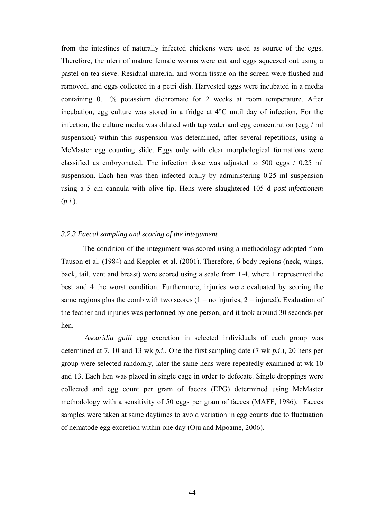from the intestines of naturally infected chickens were used as source of the eggs. Therefore, the uteri of mature female worms were cut and eggs squeezed out using a pastel on tea sieve. Residual material and worm tissue on the screen were flushed and removed, and eggs collected in a petri dish. Harvested eggs were incubated in a media containing 0.1 % potassium dichromate for 2 weeks at room temperature. After incubation, egg culture was stored in a fridge at 4°C until day of infection. For the infection, the culture media was diluted with tap water and egg concentration (egg / ml suspension) within this suspension was determined, after several repetitions, using a McMaster egg counting slide. Eggs only with clear morphological formations were classified as embryonated. The infection dose was adjusted to 500 eggs / 0.25 ml suspension. Each hen was then infected orally by administering 0.25 ml suspension using a 5 cm cannula with olive tip. Hens were slaughtered 105 d *post-infectionem* (*p.i*.).

## *3.2.3 Faecal sampling and scoring of the integument*

The condition of the integument was scored using a methodology adopted from Tauson et al. (1984) and Keppler et al. (2001). Therefore, 6 body regions (neck, wings, back, tail, vent and breast) were scored using a scale from 1-4, where 1 represented the best and 4 the worst condition. Furthermore, injuries were evaluated by scoring the same regions plus the comb with two scores  $(1 = no$  injuries,  $2 =$  injured). Evaluation of the feather and injuries was performed by one person, and it took around 30 seconds per hen.

*Ascaridia galli* egg excretion in selected individuals of each group was determined at 7, 10 and 13 wk *p.i*.. One the first sampling date (7 wk *p.i*.), 20 hens per group were selected randomly, later the same hens were repeatedly examined at wk 10 and 13. Each hen was placed in single cage in order to defecate. Single droppings were collected and egg count per gram of faeces (EPG) determined using McMaster methodology with a sensitivity of 50 eggs per gram of faeces (MAFF, 1986). Faeces samples were taken at same daytimes to avoid variation in egg counts due to fluctuation of nematode egg excretion within one day (Oju and Mpoame, 2006).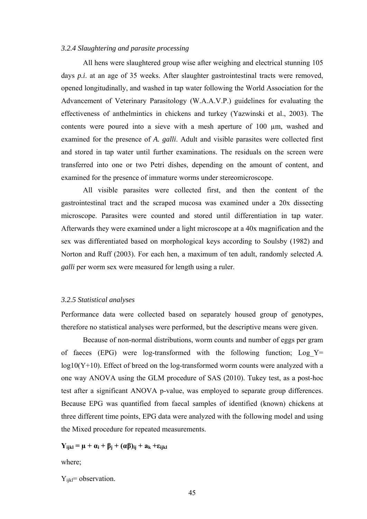## *3.2.4 Slaughtering and parasite processing*

All hens were slaughtered group wise after weighing and electrical stunning 105 days *p.i*. at an age of 35 weeks. After slaughter gastrointestinal tracts were removed, opened longitudinally, and washed in tap water following the World Association for the Advancement of Veterinary Parasitology (W.A.A.V.P.) guidelines for evaluating the effectiveness of anthelmintics in chickens and turkey (Yazwinski et al., 2003). The contents were poured into a sieve with a mesh aperture of 100 µm, washed and examined for the presence of *A. galli*. Adult and visible parasites were collected first and stored in tap water until further examinations. The residuals on the screen were transferred into one or two Petri dishes, depending on the amount of content, and examined for the presence of immature worms under stereomicroscope.

All visible parasites were collected first, and then the content of the gastrointestinal tract and the scraped mucosa was examined under a 20x dissecting microscope. Parasites were counted and stored until differentiation in tap water. Afterwards they were examined under a light microscope at a 40x magnification and the sex was differentiated based on morphological keys according to Soulsby (1982) and Norton and Ruff (2003). For each hen, a maximum of ten adult, randomly selected *A. galli* per worm sex were measured for length using a ruler.

#### *3.2.5 Statistical analyses*

Performance data were collected based on separately housed group of genotypes, therefore no statistical analyses were performed, but the descriptive means were given.

Because of non-normal distributions, worm counts and number of eggs per gram of faeces (EPG) were log-transformed with the following function; Log  $Y=$  $log10(Y+10)$ . Effect of breed on the  $log-$ transformed worm counts were analyzed with a one way ANOVA using the GLM procedure of SAS (2010). Tukey test, as a post-hoc test after a significant ANOVA p-value, was employed to separate group differences. Because EPG was quantified from faecal samples of identified (known) chickens at three different time points, EPG data were analyzed with the following model and using the Mixed procedure for repeated measurements.

 $Y_{ijkl} = \mu + \alpha_i + \beta_j + (\alpha \beta)_{ij} + \alpha_k + \varepsilon_{ijkl}$ 

where;

 $Y_{ijkl}$ = observation.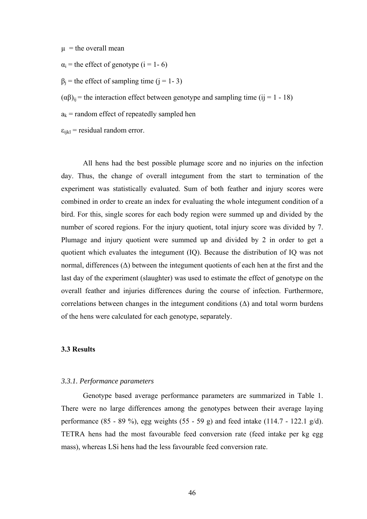$\mu$  = the overall mean

 $\alpha_i$  = the effect of genotype (i = 1- 6)

 $\beta_i$  = the effect of sampling time (j = 1- 3)

 $(\alpha\beta)_{ii}$  = the interaction effect between genotype and sampling time (ij = 1 - 18)

 $a_k$  = random effect of repeatedly sampled hen

 $\varepsilon_{ijkl}$  = residual random error.

All hens had the best possible plumage score and no injuries on the infection day. Thus, the change of overall integument from the start to termination of the experiment was statistically evaluated. Sum of both feather and injury scores were combined in order to create an index for evaluating the whole integument condition of a bird. For this, single scores for each body region were summed up and divided by the number of scored regions. For the injury quotient, total injury score was divided by 7. Plumage and injury quotient were summed up and divided by 2 in order to get a quotient which evaluates the integument (IQ). Because the distribution of IQ was not normal, differences ( $Δ$ ) between the integument quotients of each hen at the first and the last day of the experiment (slaughter) was used to estimate the effect of genotype on the overall feather and injuries differences during the course of infection. Furthermore, correlations between changes in the integument conditions  $(\Delta)$  and total worm burdens of the hens were calculated for each genotype, separately.

## **3.3 Results**

#### *3.3.1. Performance parameters*

Genotype based average performance parameters are summarized in [T](#page-56-1)[able](#page-56-0) [1.](#page-56-1) There were no large differences among the genotypes between their average laying performance (85 - 89 %), egg weights (55 - 59 g) and feed intake (114.7 - 122.1 g/d). TETRA hens had the most favourable feed conversion rate (feed intake per kg egg mass), whereas LSi hens had the less favourable feed conversion rate.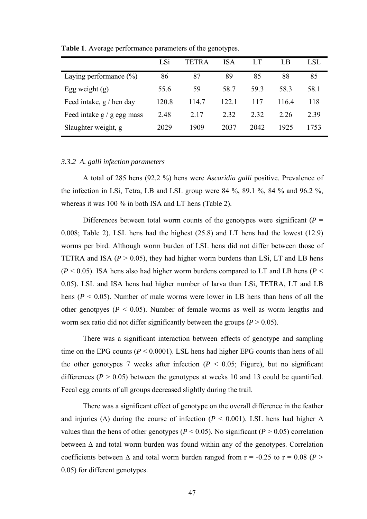|                            | LSi   | TETRA | <b>ISA</b> |       | LB   | LSL  |
|----------------------------|-------|-------|------------|-------|------|------|
| Laying performance $(\% )$ | 86    | 87    | 89         | 85    | 88   | 85   |
| Egg weight $(g)$           | 55.6  | 59    | 58.7       | 593   | 58.3 | 58.1 |
| Feed intake, $g /$ hen day | 120.8 | 114.7 | 122.1      | 117   | 1164 | 118  |
| Feed intake g / g egg mass | 2.48  | 2.17  | 2.32       | 2 3 2 | 2 26 | 2.39 |
| Slaughter weight, g        | 2029  | 1909  | 2037       | 2042  | 1925 | 1753 |

<span id="page-56-1"></span><span id="page-56-0"></span>**Table 1**. Average performance parameters of the genotypes.

## *3.3.2 A. galli infection parameters*

A total of 285 hens (92.2 %) hens were *Ascaridia galli* positive. Prevalence of the infection in LSi, Tetra, LB and LSL group were  $84\%$ ,  $89.1\%$ ,  $84\%$  and  $96.2\%$ , whereas it was 100 % in both ISA and LT hens [\(T](#page-58-1)[able](#page-58-0) [2\).](#page-58-1)

Differences between total worm counts of the genotypes were significant  $(P =$ 0.008; [Table 2\).](#page-58-1) LSL hens had the highest (25.8) and LT hens had the lowest (12.9) worms per bird. Although worm burden of LSL hens did not differ between those of TETRA and ISA  $(P > 0.05)$ , they had higher worm burdens than LSi, LT and LB hens  $(P < 0.05)$ . ISA hens also had higher worm burdens compared to LT and LB hens  $(P <$ 0.05). LSL and ISA hens had higher number of larva than LSi, TETRA, LT and LB hens ( $P < 0.05$ ). Number of male worms were lower in LB hens than hens of all the other genotpyes ( $P < 0.05$ ). Number of female worms as well as worm lengths and worm sex ratio did not differ significantly between the groups ( $P > 0.05$ ).

There was a significant interaction between effects of genotype and sampling time on the EPG counts  $(P < 0.0001)$ . LSL hens had higher EPG counts than hens of all the other genotypes 7 weeks after infection  $(P < 0.05$ ; [Figure\)](#page-57-0), but no significant differences  $(P > 0.05)$  between the genotypes at weeks 10 and 13 could be quantified. Fecal egg counts of all groups decreased slightly during the trail.

There was a significant effect of genotype on the overall difference in the feather and injuries ( $\Delta$ ) during the course of infection ( $P < 0.001$ ). LSL hens had higher  $\Delta$ values than the hens of other genotypes ( $P < 0.05$ ). No significant ( $P > 0.05$ ) correlation between  $\Delta$  and total worm burden was found within any of the genotypes. Correlation coefficients between  $\Delta$  and total worm burden ranged from  $r = -0.25$  to  $r = 0.08$  (*P* > 0.05) for different genotypes.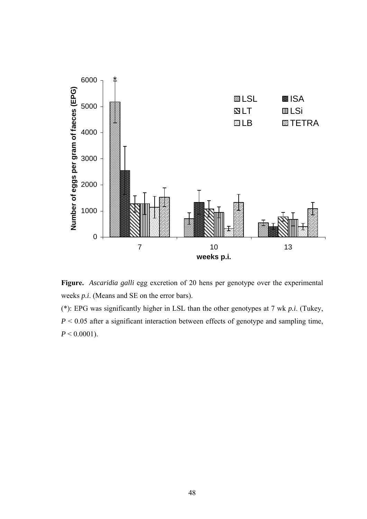<span id="page-57-1"></span>

<span id="page-57-0"></span>**Figure.** *Ascaridia galli* egg excretion of 20 hens per genotype over the experimental weeks *p.i*. (Means and SE on the error bars).

(\*): EPG was significantly higher in LSL than the other genotypes at 7 wk *p.i*. (Tukey, *P* < 0.05 after a significant interaction between effects of genotype and sampling time,  $P < 0.0001$ ).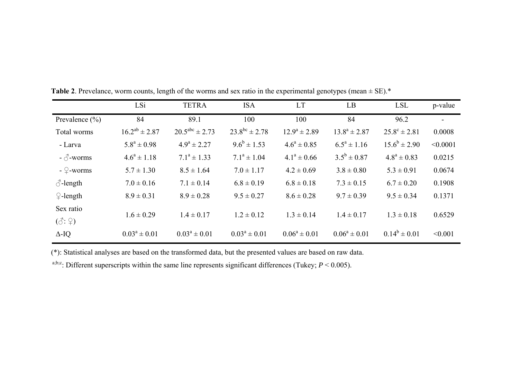|                            | LSi                  | <b>TETRA</b>          | <b>ISA</b>           | <b>LT</b>         | LB                | <b>LSL</b>              | p-value  |
|----------------------------|----------------------|-----------------------|----------------------|-------------------|-------------------|-------------------------|----------|
| Prevalence $(\% )$         | 84                   | 89.1                  | 100                  | 100               | 84                | 96.2                    |          |
| Total worms                | $16.2^{ab} \pm 2.87$ | $20.5^{abc} \pm 2.73$ | $23.8^{bc} \pm 2.78$ | $12.9^a \pm 2.89$ | $13.8^a \pm 2.87$ | $25.8^{\circ} \pm 2.81$ | 0.0008   |
| - Larva                    | $5.8^a \pm 0.98$     | $4.9^a \pm 2.27$      | $9.6^b \pm 1.53$     | $4.6^a \pm 0.85$  | $6.5^a \pm 1.16$  | $15.6^b \pm 2.90$       | < 0.0001 |
| $-\sigma$ -worms           | $4.6^a \pm 1.18$     | $7.1^a \pm 1.33$      | $7.1^a \pm 1.04$     | $4.1^a \pm 0.66$  | $3.5^b \pm 0.87$  | $4.8^a \pm 0.83$        | 0.0215   |
| - $\mathcal{Q}$ -worms     | $5.7 \pm 1.30$       | $8.5 \pm 1.64$        | $7.0 \pm 1.17$       | $4.2 \pm 0.69$    | $3.8 \pm 0.80$    | $5.3 \pm 0.91$          | 0.0674   |
| $\circ$ -length            | $7.0 \pm 0.16$       | $7.1 \pm 0.14$        | $6.8 \pm 0.19$       | $6.8 \pm 0.18$    | $7.3 \pm 0.15$    | $6.7 \pm 0.20$          | 0.1908   |
| $\mathcal{Q}$ -length      | $8.9 \pm 0.31$       | $8.9 \pm 0.28$        | $9.5 \pm 0.27$       | $8.6 \pm 0.28$    | $9.7 \pm 0.39$    | $9.5 \pm 0.34$          | 0.1371   |
| Sex ratio                  | $1.6 \pm 0.29$       | $1.4 \pm 0.17$        | $1.2 \pm 0.12$       | $1.3 \pm 0.14$    | $1.4 \pm 0.17$    | $1.3 \pm 0.18$          | 0.6529   |
| $(\vec{\Diamond}:\varphi)$ |                      |                       |                      |                   |                   |                         |          |
| $\Delta$ -IQ               | $0.03^a \pm 0.01$    | $0.03^a \pm 0.01$     | $0.03^a \pm 0.01$    | $0.06^a \pm 0.01$ | $0.06^a \pm 0.01$ | $0.14^b \pm 0.01$       | < 0.001  |

<span id="page-58-1"></span>**Table 2**. Prevelance, worm counts, length of the worms and sex ratio in the experimental genotypes (mean  $\pm$  SE).\*

(\*): Statistical analyses are based on the transformed data, but the presented values are based on raw data.

<span id="page-58-0"></span>a;b;c: Different superscripts within the same line represents significant differences (Tukey;  $P < 0.005$ ).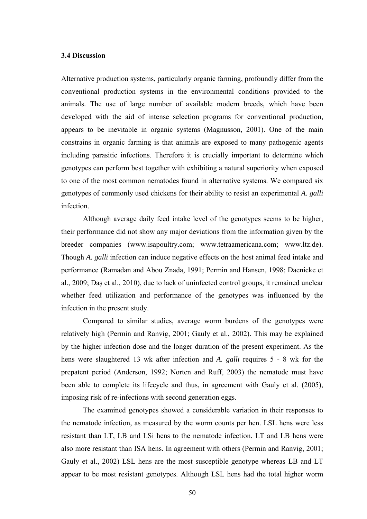## **3.4 Discussion**

Alternative production systems, particularly organic farming, profoundly differ from the conventional production systems in the environmental conditions provided to the animals. The use of large number of available modern breeds, which have been developed with the aid of intense selection programs for conventional production, appears to be inevitable in organic systems (Magnusson, 2001). One of the main constrains in organic farming is that animals are exposed to many pathogenic agents including parasitic infections. Therefore it is crucially important to determine which genotypes can perform best together with exhibiting a natural superiority when exposed to one of the most common nematodes found in alternative systems. We compared six genotypes of commonly used chickens for their ability to resist an experimental *A. galli* infection.

Although average daily feed intake level of the genotypes seems to be higher, their performance did not show any major deviations from the information given by the breeder companies (www.isapoultry.com; www.tetraamericana.com; www.ltz.de). Though *A. galli* infection can induce negative effects on the host animal feed intake and performance (Ramadan and Abou Znada, 1991; Permin and Hansen, 1998; Daenicke et al., 2009; Daş et al., 2010), due to lack of uninfected control groups, it remained unclear whether feed utilization and performance of the genotypes was influenced by the infection in the present study.

Compared to similar studies, average worm burdens of the genotypes were relatively high (Permin and Ranvig, 2001; Gauly et al., 2002). This may be explained by the higher infection dose and the longer duration of the present experiment. As the hens were slaughtered 13 wk after infection and *A. galli* requires 5 - 8 wk for the prepatent period (Anderson, 1992; Norten and Ruff, 2003) the nematode must have been able to complete its lifecycle and thus, in agreement with Gauly et al. (2005), imposing risk of re-infections with second generation eggs.

The examined genotypes showed a considerable variation in their responses to the nematode infection, as measured by the worm counts per hen. LSL hens were less resistant than LT, LB and LSi hens to the nematode infection. LT and LB hens were also more resistant than ISA hens. In agreement with others (Permin and Ranvig, 2001; Gauly et al., 2002) LSL hens are the most susceptible genotype whereas LB and LT appear to be most resistant genotypes. Although LSL hens had the total higher worm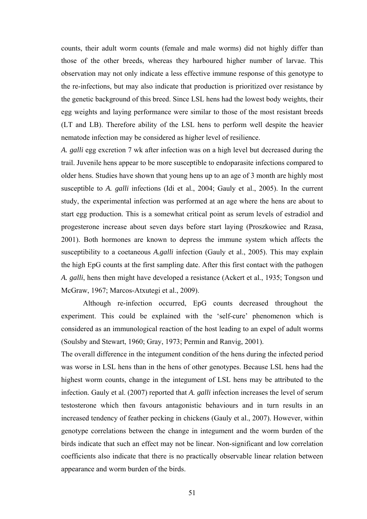counts, their adult worm counts (female and male worms) did not highly differ than those of the other breeds, whereas they harboured higher number of larvae. This observation may not only indicate a less effective immune response of this genotype to the re-infections, but may also indicate that production is prioritized over resistance by the genetic background of this breed. Since LSL hens had the lowest body weights, their egg weights and laying performance were similar to those of the most resistant breeds (LT and LB). Therefore ability of the LSL hens to perform well despite the heavier nematode infection may be considered as higher level of resilience.

*A. galli* egg excretion 7 wk after infection was on a high level but decreased during the trail. Juvenile hens appear to be more susceptible to endoparasite infections compared to older hens. Studies have shown that young hens up to an age of 3 month are highly most susceptible to *A. galli* infections (Idi et al., 2004; Gauly et al., 2005). In the current study, the experimental infection was performed at an age where the hens are about to start egg production. This is a somewhat critical point as serum levels of estradiol and progesterone increase about seven days before start laying (Proszkowiec and Rzasa, 2001). Both hormones are known to depress the immune system which affects the susceptibility to a coetaneous *A.galli* infection (Gauly et al., 2005). This may explain the high EpG counts at the first sampling date. After this first contact with the pathogen *A. galli*, hens then might have developed a resistance (Ackert et al., 1935; Tongson und McGraw, 1967; Marcos-Atxutegi et al., 2009).

Although re-infection occurred, EpG counts decreased throughout the experiment. This could be explained with the 'self-cure' phenomenon which is considered as an immunological reaction of the host leading to an expel of adult worms (Soulsby and Stewart, 1960; Gray, 1973; Permin and Ranvig, 2001).

The overall difference in the integument condition of the hens during the infected period was worse in LSL hens than in the hens of other genotypes. Because LSL hens had the highest worm counts, change in the integument of LSL hens may be attributed to the infection. Gauly et al. (2007) reported that *A. galli* infection increases the level of serum testosterone which then favours antagonistic behaviours and in turn results in an increased tendency of feather pecking in chickens (Gauly et al., 2007). However, within genotype correlations between the change in integument and the worm burden of the birds indicate that such an effect may not be linear. Non-significant and low correlation coefficients also indicate that there is no practically observable linear relation between appearance and worm burden of the birds.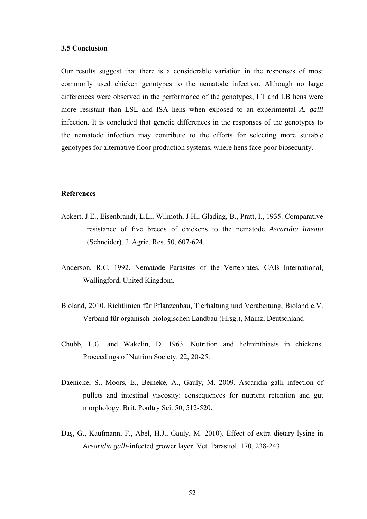#### **3.5 Conclusion**

Our results suggest that there is a considerable variation in the responses of most commonly used chicken genotypes to the nematode infection. Although no large differences were observed in the performance of the genotypes, LT and LB hens were more resistant than LSL and ISA hens when exposed to an experimental *A. galli*  infection. It is concluded that genetic differences in the responses of the genotypes to the nematode infection may contribute to the efforts for selecting more suitable genotypes for alternative floor production systems, where hens face poor biosecurity.

#### **References**

- Ackert, J.E., Eisenbrandt, L.L., Wilmoth, J.H., Glading, B., Pratt, I., 1935. Comparative resistance of five breeds of chickens to the nematode *Ascaridia lineata* (Schneider). J. Agric. Res. 50, 607-624.
- Anderson, R.C. 1992. Nematode Parasites of the Vertebrates. CAB International, Wallingford, United Kingdom.
- Bioland, 2010. Richtlinien für Pflanzenbau, Tierhaltung und Verabeitung, Bioland e.V. Verband für organisch-biologischen Landbau (Hrsg.), Mainz, Deutschland
- Chubb, L.G. and Wakelin, D. 1963. Nutrition and helminthiasis in chickens. Proceedings of Nutrion Society. 22, 20-25.
- Daenicke, S., Moors, E., Beineke, A., Gauly, M. 2009. Ascaridia galli infection of pullets and intestinal viscosity: consequences for nutrient retention and gut morphology. Brit. Poultry Sci. 50, 512-520.
- Daş, G., Kaufmann, F., Abel, H.J., Gauly, M. 2010). Effect of extra dietary lysine in *Acsaridia galli*-infected grower layer. Vet. Parasitol. 170, 238-243.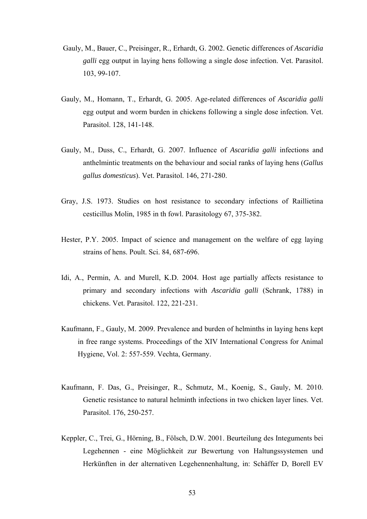- Gauly, M., Bauer, C., Preisinger, R., Erhardt, G. 2002. Genetic differences of *Ascaridia galli* egg output in laying hens following a single dose infection. Vet. Parasitol. 103, 99-107.
- Gauly, M., Homann, T., Erhardt, G. 2005. Age-related differences of *Ascaridia galli* egg output and worm burden in chickens following a single dose infection. Vet. Parasitol. 128, 141-148.
- Gauly, M., Duss, C., Erhardt, G. 2007. Influence of *Ascaridia galli* infections and anthelmintic treatments on the behaviour and social ranks of laying hens (*Gallus gallus domesticus*). Vet. Parasitol. 146, 271-280.
- Gray, J.S. 1973. Studies on host resistance to secondary infections of Raillietina cesticillus Molin, 1985 in th fowl. Parasitology 67, 375-382.
- Hester, P.Y. 2005. Impact of science and management on the welfare of egg laying strains of hens. Poult. Sci. 84, 687-696.
- Idi, A., Permin, A. and Murell, K.D. 2004. Host age partially affects resistance to primary and secondary infections with *Ascaridia galli* (Schrank, 1788) in chickens. Vet. Parasitol. 122, 221-231.
- Kaufmann, F., Gauly, M. 2009. Prevalence and burden of helminths in laying hens kept in free range systems. Proceedings of the XIV International Congress for Animal Hygiene, Vol. 2: 557-559. Vechta, Germany.
- Kaufmann, F. Das, G., Preisinger, R., Schmutz, M., Koenig, S., Gauly, M. 2010. Genetic resistance to natural helminth infections in two chicken layer lines. Vet. Parasitol. 176, 250-257.
- Keppler, C., Trei, G., Hörning, B., Fölsch, D.W. 2001. Beurteilung des Integuments bei Legehennen - eine Möglichkeit zur Bewertung von Haltungssystemen und Herkünften in der alternativen Legehennenhaltung, in: Schäffer D, Borell EV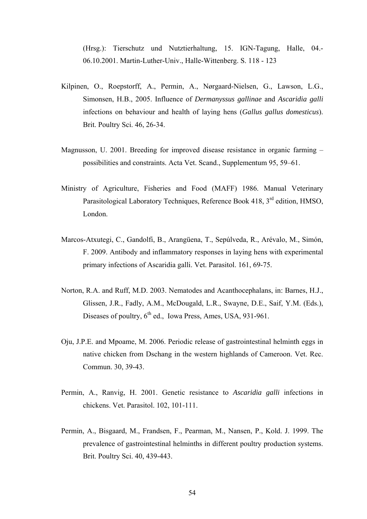(Hrsg.): Tierschutz und Nutztierhaltung, 15. IGN-Tagung, Halle, 04.- 06.10.2001. Martin-Luther-Univ., Halle-Wittenberg. S. 118 - 123

- Kilpinen, O., Roepstorff, A., Permin, A., Nørgaard-Nielsen, G., Lawson, L.G., Simonsen, H.B., 2005. Influence of *Dermanyssus gallinae* and *Ascaridia galli* infections on behaviour and health of laying hens (*Gallus gallus domesticus*). Brit. Poultry Sci. 46, 26-34.
- Magnusson, U. 2001. Breeding for improved disease resistance in organic farming possibilities and constraints. Acta Vet. Scand., Supplementum 95, 59–61.
- Ministry of Agriculture, Fisheries and Food (MAFF) 1986. Manual Veterinary Parasitological Laboratory Techniques, Reference Book 418, 3<sup>rd</sup> edition, HMSO, London.
- Marcos-Atxutegi, C., Gandolfi, B., Arangüena, T., Sepúlveda, R., Arévalo, M., Simón, F. 2009. Antibody and inflammatory responses in laying hens with experimental primary infections of Ascaridia galli. Vet. Parasitol. 161, 69-75.
- Norton, R.A. and Ruff, M.D. 2003. Nematodes and Acanthocephalans, in: Barnes, H.J., Glissen, J.R., Fadly, A.M., McDougald, L.R., Swayne, D.E., Saif, Y.M. (Eds.), Diseases of poultry,  $6<sup>th</sup>$  ed., Iowa Press, Ames, USA, 931-961.
- Oju, J.P.E. and Mpoame, M. 2006. Periodic release of gastrointestinal helminth eggs in native chicken from Dschang in the western highlands of Cameroon. Vet. Rec. Commun. 30, 39-43.
- Permin, A., Ranvig, H. 2001. Genetic resistance to *Ascaridia galli* infections in chickens. Vet. Parasitol. 102, 101-111.
- Permin, A., Bisgaard, M., Frandsen, F., Pearman, M., Nansen, P., Kold. J. 1999. The prevalence of gastrointestinal helminths in different poultry production systems. Brit. Poultry Sci. 40, 439-443.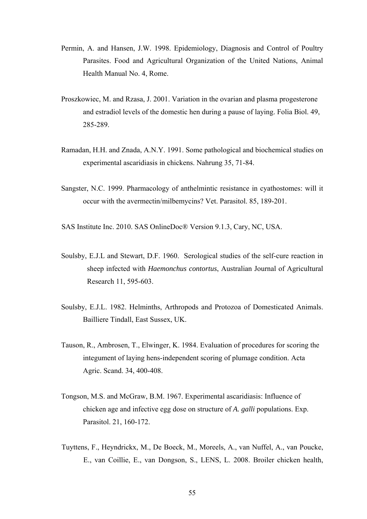- Permin, A. and Hansen, J.W. 1998. Epidemiology, Diagnosis and Control of Poultry Parasites. Food and Agricultural Organization of the United Nations, Animal Health Manual No. 4, Rome.
- Proszkowiec, M. and Rzasa, J. 2001. Variation in the ovarian and plasma progesterone and estradiol levels of the domestic hen during a pause of laying. Folia Biol. 49, 285-289.
- Ramadan, H.H. and Znada, A.N.Y. 1991. Some pathological and biochemical studies on experimental ascaridiasis in chickens. Nahrung 35, 71-84.
- Sangster, N.C. 1999. Pharmacology of anthelmintic resistance in cyathostomes: will it occur with the avermectin/milbemycins? Vet. Parasitol. 85, 189-201.

SAS Institute Inc. 2010. SAS OnlineDoc® Version 9.1.3, Cary, NC, USA.

- Soulsby, E.J.L and Stewart, D.F. 1960. Serological studies of the self-cure reaction in sheep infected with *Haemonchus contortus*, Australian Journal of Agricultural Research 11, 595-603.
- Soulsby, E.J.L. 1982. Helminths, Arthropods and Protozoa of Domesticated Animals. Bailliere Tindall, East Sussex, UK.
- Tauson, R., Ambrosen, T., Elwinger, K. 1984. Evaluation of procedures for scoring the integument of laying hens-independent scoring of plumage condition. Acta Agric. Scand. 34, 400-408.
- Tongson, M.S. and McGraw, B.M. 1967. Experimental ascaridiasis: Influence of chicken age and infective egg dose on structure of *A. galli* populations. Exp. Parasitol. 21, 160-172.
- Tuyttens, F., Heyndrickx, M., De Boeck, M., Moreels, A., van Nuffel, A., van Poucke, E., van Coillie, E., van Dongson, S., LENS, L. 2008. Broiler chicken health,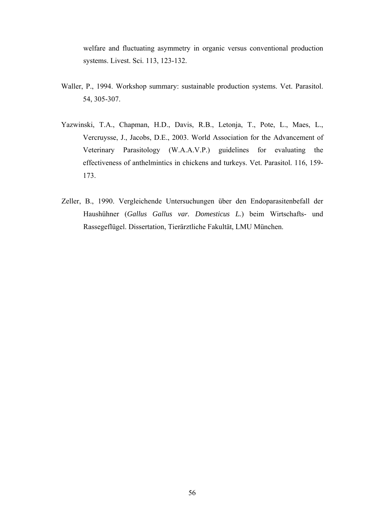welfare and fluctuating asymmetry in organic versus conventional production systems. Livest. Sci. 113, 123-132.

- Waller, P., 1994. Workshop summary: sustainable production systems. Vet. Parasitol. 54, 305-307.
- Yazwinski, T.A., Chapman, H.D., Davis, R.B., Letonja, T., Pote, L., Maes, L., Vercruysse, J., Jacobs, D.E., 2003. World Association for the Advancement of Veterinary Parasitology (W.A.A.V.P.) guidelines for evaluating the effectiveness of anthelmintics in chickens and turkeys. Vet. Parasitol. 116, 159- 173.
- Zeller, B., 1990. Vergleichende Untersuchungen über den Endoparasitenbefall der Haushühner (*Gallus Gallus var. Domesticus L.*) beim Wirtschafts- und Rassegeflügel. Dissertation, Tierärztliche Fakultät, LMU München.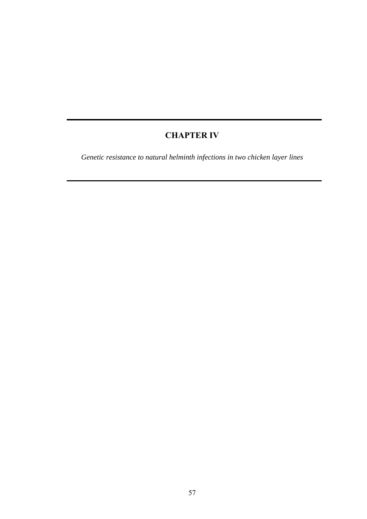# **CHAPTER IV**

*Genetic resistance to natural helminth infections in two chicken layer lines*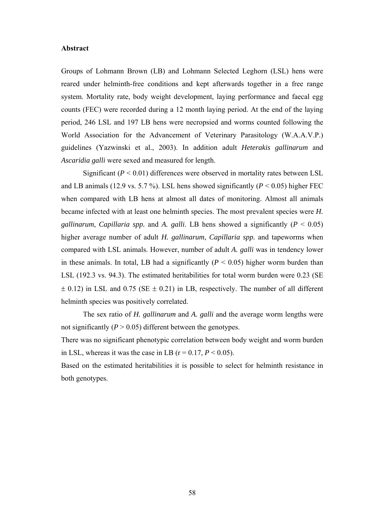#### **Abstract**

Groups of Lohmann Brown (LB) and Lohmann Selected Leghorn (LSL) hens were reared under helminth-free conditions and kept afterwards together in a free range system. Mortality rate, body weight development, laying performance and faecal egg counts (FEC) were recorded during a 12 month laying period. At the end of the laying period, 246 LSL and 197 LB hens were necropsied and worms counted following the World Association for the Advancement of Veterinary Parasitology (W.A.A.V.P.) guidelines (Yazwinski et al., 2003). In addition adult *Heterakis gallinarum* and *Ascaridia galli* were sexed and measured for length.

Significant  $(P < 0.01)$  differences were observed in mortality rates between LSL and LB animals (12.9 vs. 5.7 %). LSL hens showed significantly ( $P < 0.05$ ) higher FEC when compared with LB hens at almost all dates of monitoring. Almost all animals became infected with at least one helminth species. The most prevalent species were *H. gallinarum, Capillaria spp.* and *A. galli.* LB hens showed a significantly ( $P < 0.05$ ) higher average number of adult *H. gallinarum*, *Capillaria spp.* and tapeworms when compared with LSL animals. However, number of adult *A. galli* was in tendency lower in these animals. In total, LB had a significantly  $(P < 0.05)$  higher worm burden than LSL (192.3 vs. 94.3). The estimated heritabilities for total worm burden were 0.23 (SE  $\pm$  0.12) in LSL and 0.75 (SE  $\pm$  0.21) in LB, respectively. The number of all different helminth species was positively correlated.

 The sex ratio of *H. gallinarum* and *A. galli* and the average worm lengths were not significantly  $(P > 0.05)$  different between the genotypes.

There was no significant phenotypic correlation between body weight and worm burden in LSL, whereas it was the case in LB ( $r = 0.17$ ,  $P < 0.05$ ).

Based on the estimated heritabilities it is possible to select for helminth resistance in both genotypes.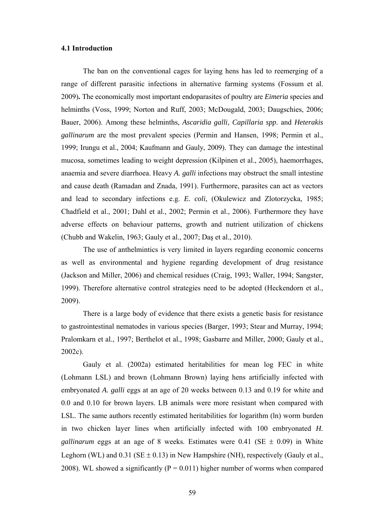## **4.1 Introduction**

 The ban on the conventional cages for laying hens has led to reemerging of a range of different parasitic infections in alternative farming systems (Fossum et al. 2009)**.** The economically most important endoparasites of poultry are *Eimeria* species and helminths (Voss, 1999; Norton and Ruff, 2003; McDougald, 2003; Daugschies, 2006; Bauer, 2006). Among these helminths, *Ascaridia galli*, *Capillaria spp*. and *Heterakis gallinarum* are the most prevalent species (Permin and Hansen, 1998; Permin et al., 1999; Irungu et al., 2004; Kaufmann and Gauly, 2009). They can damage the intestinal mucosa, sometimes leading to weight depression (Kilpinen et al., 2005), haemorrhages, anaemia and severe diarrhoea. Heavy *A. galli* infections may obstruct the small intestine and cause death (Ramadan and Znada, 1991). Furthermore, parasites can act as vectors and lead to secondary infections e.g. *E. coli*, (Okulewicz and Zlotorzycka, 1985; Chadfield et al., 2001; Dahl et al., 2002; Permin et al., 2006). Furthermore they have adverse effects on behaviour patterns, growth and nutrient utilization of chickens (Chubb and Wakelin, 1963; Gauly et al., 2007; Daş et al., 2010).

The use of anthelmintics is very limited in layers regarding economic concerns as well as environmental and hygiene regarding development of drug resistance (Jackson and Miller, 2006) and chemical residues (Craig, 1993; Waller, 1994; Sangster, 1999). Therefore alternative control strategies need to be adopted (Heckendorn et al., 2009).

There is a large body of evidence that there exists a genetic basis for resistance to gastrointestinal nematodes in various species (Barger, 1993; Stear and Murray, 1994; Pralomkarn et al., 1997; Berthelot et al., 1998; Gasbarre and Miller, 2000; Gauly et al., 2002c).

Gauly et al. (2002a) estimated heritabilities for mean log FEC in white (Lohmann LSL) and brown (Lohmann Brown) laying hens artificially infected with embryonated *A. galli* eggs at an age of 20 weeks between 0.13 and 0.19 for white and 0.0 and 0.10 for brown layers. LB animals were more resistant when compared with LSL. The same authors recently estimated heritabilities for logarithm (ln) worm burden in two chicken layer lines when artificially infected with 100 embryonated *H. gallinarum* eggs at an age of 8 weeks. Estimates were 0.41 (SE  $\pm$  0.09) in White Leghorn (WL) and  $0.31$  (SE  $\pm$  0.13) in New Hampshire (NH), respectively (Gauly et al., 2008). WL showed a significantly ( $P = 0.011$ ) higher number of worms when compared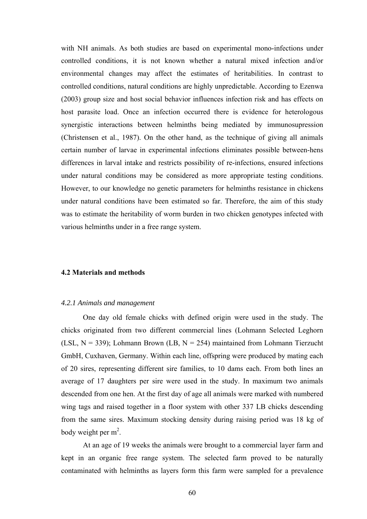with NH animals. As both studies are based on experimental mono-infections under controlled conditions, it is not known whether a natural mixed infection and/or environmental changes may affect the estimates of heritabilities. In contrast to controlled conditions, natural conditions are highly unpredictable. According to Ezenwa (2003) group size and host social behavior influences infection risk and has effects on host parasite load. Once an infection occurred there is evidence for heterologous synergistic interactions between helminths being mediated by immunosupression (Christensen et al., 1987). On the other hand, as the technique of giving all animals certain number of larvae in experimental infections eliminates possible between-hens differences in larval intake and restricts possibility of re-infections, ensured infections under natural conditions may be considered as more appropriate testing conditions. However, to our knowledge no genetic parameters for helminths resistance in chickens under natural conditions have been estimated so far. Therefore, the aim of this study was to estimate the heritability of worm burden in two chicken genotypes infected with various helminths under in a free range system.

#### **4.2 Materials and methods**

#### *4.2.1 Animals and management*

One day old female chicks with defined origin were used in the study. The chicks originated from two different commercial lines (Lohmann Selected Leghorn (LSL,  $N = 339$ ); Lohmann Brown (LB,  $N = 254$ ) maintained from Lohmann Tierzucht GmbH, Cuxhaven, Germany. Within each line, offspring were produced by mating each of 20 sires, representing different sire families, to 10 dams each. From both lines an average of 17 daughters per sire were used in the study. In maximum two animals descended from one hen. At the first day of age all animals were marked with numbered wing tags and raised together in a floor system with other 337 LB chicks descending from the same sires. Maximum stocking density during raising period was 18 kg of body weight per  $m^2$ .

 At an age of 19 weeks the animals were brought to a commercial layer farm and kept in an organic free range system. The selected farm proved to be naturally contaminated with helminths as layers form this farm were sampled for a prevalence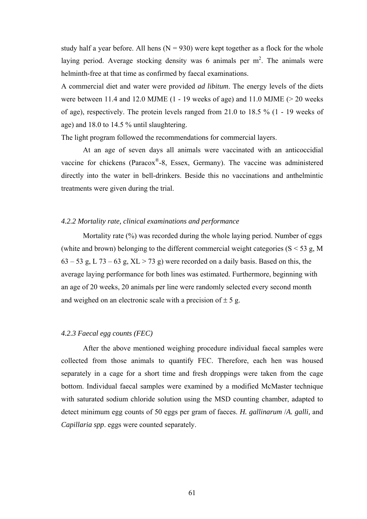study half a year before. All hens  $(N = 930)$  were kept together as a flock for the whole laying period. Average stocking density was 6 animals per  $m^2$ . The animals were helminth-free at that time as confirmed by faecal examinations.

A commercial diet and water were provided *ad libitum*. The energy levels of the diets were between 11.4 and 12.0 MJME  $(1 - 19$  weeks of age) and 11.0 MJME  $(> 20$  weeks of age), respectively. The protein levels ranged from 21.0 to 18.5 % (1 - 19 weeks of age) and 18.0 to 14.5 % until slaughtering.

The light program followed the recommendations for commercial layers.

 At an age of seven days all animals were vaccinated with an anticoccidial vaccine for chickens (Paracox®-8, Essex, Germany). The vaccine was administered directly into the water in bell-drinkers. Beside this no vaccinations and anthelmintic treatments were given during the trial.

#### *4.2.2 Mortality rate, clinical examinations and performance*

Mortality rate (%) was recorded during the whole laying period. Number of eggs (white and brown) belonging to the different commercial weight categories ( $S < 53$  g, M  $63 - 53$  g, L  $73 - 63$  g,  $XL > 73$  g) were recorded on a daily basis. Based on this, the average laying performance for both lines was estimated. Furthermore, beginning with an age of 20 weeks, 20 animals per line were randomly selected every second month and weighed on an electronic scale with a precision of  $\pm$  5 g.

#### *4.2.3 Faecal egg counts (FEC)*

After the above mentioned weighing procedure individual faecal samples were collected from those animals to quantify FEC. Therefore, each hen was housed separately in a cage for a short time and fresh droppings were taken from the cage bottom. Individual faecal samples were examined by a modified McMaster technique with saturated sodium chloride solution using the MSD counting chamber, adapted to detect minimum egg counts of 50 eggs per gram of faeces. *H. gallinarum* /*A. galli,* and *Capillaria spp*. eggs were counted separately.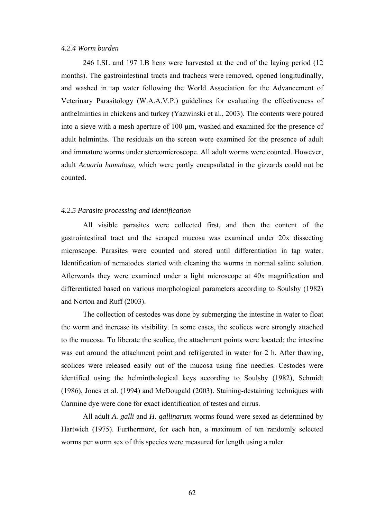#### *4.2.4 Worm burden*

246 LSL and 197 LB hens were harvested at the end of the laying period (12 months). The gastrointestinal tracts and tracheas were removed, opened longitudinally, and washed in tap water following the World Association for the Advancement of Veterinary Parasitology (W.A.A.V.P.) guidelines for evaluating the effectiveness of anthelmintics in chickens and turkey (Yazwinski et al., 2003). The contents were poured into a sieve with a mesh aperture of 100 µm, washed and examined for the presence of adult helminths. The residuals on the screen were examined for the presence of adult and immature worms under stereomicroscope. All adult worms were counted. However, adult *Acuaria hamulosa*, which were partly encapsulated in the gizzards could not be counted.

#### *4.2.5 Parasite processing and identification*

All visible parasites were collected first, and then the content of the gastrointestinal tract and the scraped mucosa was examined under 20x dissecting microscope. Parasites were counted and stored until differentiation in tap water. Identification of nematodes started with cleaning the worms in normal saline solution. Afterwards they were examined under a light microscope at 40x magnification and differentiated based on various morphological parameters according to Soulsby (1982) and Norton and Ruff (2003).

 The collection of cestodes was done by submerging the intestine in water to float the worm and increase its visibility. In some cases, the scolices were strongly attached to the mucosa. To liberate the scolice, the attachment points were located; the intestine was cut around the attachment point and refrigerated in water for 2 h. After thawing, scolices were released easily out of the mucosa using fine needles. Cestodes were identified using the helminthological keys according to Soulsby (1982), Schmidt (1986), Jones et al. (1994) and McDougald (2003). Staining-destaining techniques with Carmine dye were done for exact identification of testes and cirrus.

 All adult *A. galli* and *H. gallinarum* worms found were sexed as determined by Hartwich (1975). Furthermore, for each hen, a maximum of ten randomly selected worms per worm sex of this species were measured for length using a ruler.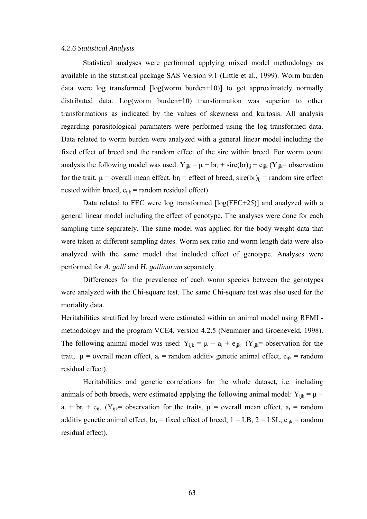#### *4.2.6 Statistical Analysis*

 Statistical analyses were performed applying mixed model methodology as available in the statistical package SAS Version 9.1 (Little et al., 1999). Worm burden data were log transformed [log(worm burden+10)] to get approximately normally distributed data. Log(worm burden+10) transformation was superior to other transformations as indicated by the values of skewness and kurtosis. All analysis regarding parasitological paramaters were performed using the log transformed data. Data related to worm burden were analyzed with a general linear model including the fixed effect of breed and the random effect of the sire within breed. For worm count analysis the following model was used:  $Y_{ijk} = \mu + br_i + \text{sire}(br)_{ij} + e_{ijk} (Y_{ijk} = \text{observation})$ for the trait,  $\mu$  = overall mean effect, br<sub>i</sub> = effect of breed, sire(br)<sub>ij</sub> = random sire effect nested within breed,  $e_{ijk}$  = random residual effect).

 Data related to FEC were log transformed [log(FEC+25)] and analyzed with a general linear model including the effect of genotype. The analyses were done for each sampling time separately. The same model was applied for the body weight data that were taken at different sampling dates. Worm sex ratio and worm length data were also analyzed with the same model that included effect of genotype. Analyses were performed for *A. galli* and *H. gallinarum* separately.

 Differences for the prevalence of each worm species between the genotypes were analyzed with the Chi-square test. The same Chi-square test was also used for the mortality data.

Heritabilities stratified by breed were estimated within an animal model using REMLmethodology and the program VCE4, version 4.2.5 (Neumaier and Groeneveld, 1998). The following animal model was used:  $Y_{ijk} = \mu + a_i + e_{ijk}$  ( $Y_{ijk} =$  observation for the trait,  $\mu$  = overall mean effect,  $a_i$  = random additiv genetic animal effect,  $e_{iik}$  = random residual effect).

 Heritabilities and genetic correlations for the whole dataset, i.e. including animals of both breeds, were estimated applying the following animal model:  $Y_{ijk} = \mu +$  $a_i$  + br<sub>i</sub> + e<sub>ijk</sub> (Y<sub>ijk</sub>= observation for the traits,  $\mu$  = overall mean effect,  $a_i$  = random additiv genetic animal effect,  $br_i = fixed$  effect of breed;  $1 = LB$ ,  $2 = LSL$ ,  $e_{ijk} = random$ residual effect).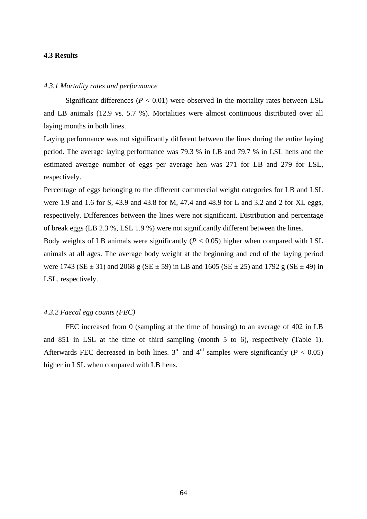#### **4.3 Results**

#### *4.3.1 Mortality rates and performance*

Significant differences  $(P < 0.01)$  were observed in the mortality rates between LSL and LB animals (12.9 vs. 5.7 %). Mortalities were almost continuous distributed over all laying months in both lines.

Laying performance was not significantly different between the lines during the entire laying period. The average laying performance was 79.3 % in LB and 79.7 % in LSL hens and the estimated average number of eggs per average hen was 271 for LB and 279 for LSL, respectively.

Percentage of eggs belonging to the different commercial weight categories for LB and LSL were 1.9 and 1.6 for S, 43.9 and 43.8 for M, 47.4 and 48.9 for L and 3.2 and 2 for XL eggs, respectively. Differences between the lines were not significant. Distribution and percentage of break eggs (LB 2.3 %, LSL 1.9 %) were not significantly different between the lines.

Body weights of LB animals were significantly  $(P < 0.05)$  higher when compared with LSL animals at all ages. The average body weight at the beginning and end of the laying period were 1743 ( $SE \pm 31$ ) and 2068 g ( $SE \pm 59$ ) in LB and 1605 ( $SE \pm 25$ ) and 1792 g ( $SE \pm 49$ ) in LSL, respectively.

#### *4.3.2 Faecal egg counts (FEC)*

FEC increased from 0 (sampling at the time of housing) to an average of 402 in LB and 851 in LSL at the time of third sampling (month 5 to 6), respectively [\(Table 1\).](#page-74-0) Afterwards FEC decreased in both lines.  $3<sup>rd</sup>$  and  $4<sup>rd</sup>$  samples were significantly (*P* < 0.05) higher in LSL when compared with LB hens.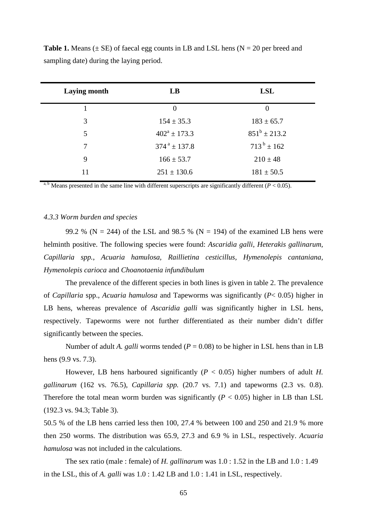| <b>Laying month</b> | LB                         | <b>LSL</b>        |
|---------------------|----------------------------|-------------------|
|                     | $\theta$                   | $\overline{0}$    |
| 3                   | $154 \pm 35.3$             | $183 \pm 65.7$    |
| 5                   | $402^a \pm 173.3$          | $851^b \pm 213.2$ |
| 7                   | $374^{\text{a}} \pm 137.8$ | $713^b \pm 162$   |
| 9                   | $166 \pm 53.7$             | $210 \pm 48$      |
| 11                  | $251 \pm 130.6$            | $181 \pm 50.5$    |

<span id="page-74-0"></span>**Table 1.** Means  $(\pm SE)$  of faecal egg counts in LB and LSL hens  $(N = 20$  per breed and sampling date) during the laying period.

<sup>a, b</sup> Means presented in the same line with different superscripts are significantly different ( $P < 0.05$ ).

#### *4.3.3 Worm burden and species*

99.2 % (N = 244) of the LSL and 98.5 % (N = 194) of the examined LB hens were helminth positive. The following species were found: *Ascaridia galli, Heterakis gallinarum, Capillaria spp.*, *Acuaria hamulosa, Raillietina cesticillus, Hymenolepis cantaniana, Hymenolepis carioca* and *Choanotaenia infundibulum* 

 The prevalence of the different species in both lines is given in [table 2.](#page-75-0) The prevalence of *Capillaria* spp., *Acuaria hamulosa* and Tapeworms was significantly (*P*< 0.05) higher in LB hens, whereas prevalence of *Ascaridia galli* was significantly higher in LSL hens, respectively. Tapeworms were not further differentiated as their number didn't differ significantly between the species.

Number of adult *A. galli* worms tended ( $P = 0.08$ ) to be higher in LSL hens than in LB hens (9.9 vs. 7.3).

However, LB hens harboured significantly  $(P < 0.05)$  higher numbers of adult *H*. *gallinarum* (162 vs. 76.5), *Capillaria spp.* (20.7 vs. 7.1) and tapeworms (2.3 vs. 0.8). Therefore the total mean worm burden was significantly  $(P < 0.05)$  higher in LB than LSL (192.3 vs. 94.3; [Table 3\).](#page-75-0)

50.5 % of the LB hens carried less then 100, 27.4 % between 100 and 250 and 21.9 % more then 250 worms. The distribution was 65.9, 27.3 and 6.9 % in LSL, respectively. *Acuaria hamulosa* was not included in the calculations.

 The sex ratio (male : female) of *H. gallinarum* was 1.0 : 1.52 in the LB and 1.0 : 1.49 in the LSL, this of *A. galli* was 1.0 : 1.42 LB and 1.0 : 1.41 in LSL, respectively.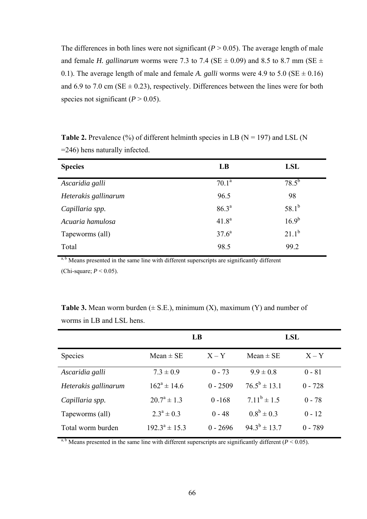<span id="page-75-0"></span>The differences in both lines were not significant  $(P > 0.05)$ . The average length of male and female *H. gallinarum* worms were 7.3 to 7.4 (SE  $\pm$  0.09) and 8.5 to 8.7 mm (SE  $\pm$ 0.1). The average length of male and female *A. galli* worms were 4.9 to 5.0 ( $SE \pm 0.16$ ) and 6.9 to 7.0 cm ( $SE \pm 0.23$ ), respectively. Differences between the lines were for both species not significant  $(P > 0.05)$ .

**Table 2.** Prevalence  $\frac{6}{9}$  of different helminth species in LB (N = 197) and LSL (N =246) hens naturally infected.

| <b>Species</b>       | LB                | <b>LSL</b> |
|----------------------|-------------------|------------|
| Ascaridia galli      | $70.1^a$          | $78.5^{b}$ |
| Heterakis gallinarum | 96.5              | 98         |
| Capillaria spp.      | $86.3^{a}$        | $58.1^{b}$ |
| Acuaria hamulosa     | 41.8 <sup>a</sup> | $16.9^{b}$ |
| Tapeworms (all)      | $37.6^a$          | $21.1^{b}$ |
| Total                | 98.5              | 99.2       |

a, b Means presented in the same line with different superscripts are significantly different (Chi-square; *P* < 0.05).

|                      | LB                 |            | LSL                     |           |
|----------------------|--------------------|------------|-------------------------|-----------|
| <b>Species</b>       | $Mean \pm SE$      | $X - Y$    | $Mean \pm SE$           | $X - Y$   |
| Ascaridia galli      | $7.3 \pm 0.9$      | $0 - 73$   | $9.9 \pm 0.8$           | $0 - 81$  |
| Heterakis gallinarum | $162^a \pm 14.6$   | $0 - 2509$ | $76.5^{\rm b} \pm 13.1$ | $0 - 728$ |
| Capillaria spp.      | $20.7^a \pm 1.3$   | $0 - 168$  | $7.11^b \pm 1.5$        | $0 - 78$  |
| Tapeworms (all)      | $2.3^a \pm 0.3$    | $0 - 48$   | $0.8^b \pm 0.3$         | $0 - 12$  |
| Total worm burden    | $192.3^a \pm 15.3$ | $0 - 2696$ | $94.3^{b} \pm 13.7$     | $0 - 789$ |

**Table 3.** Mean worm burden  $(\pm S.E.)$ , minimum  $(X)$ , maximum  $(Y)$  and number of worms in LB and LSL hens.

<sup>a, b</sup> Means presented in the same line with different superscripts are significantly different ( $P < 0.05$ ).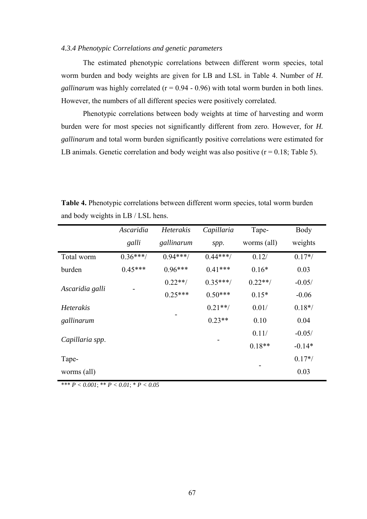#### *4.3.4 Phenotypic Correlations and genetic parameters*

 The estimated phenotypic correlations between different worm species, total worm burden and body weights are given for LB and LSL in [Table 4.](#page-76-0) Number of *H. gallinarum* was highly correlated  $(r = 0.94 - 0.96)$  with total worm burden in both lines. However, the numbers of all different species were positively correlated.

Phenotypic correlations between body weights at time of harvesting and worm burden were for most species not significantly different from zero. However, for *H. gallinarum* and total worm burden significantly positive correlations were estimated for LB animals. Genetic correlation and body weight was also positive  $(r = 0.18;$  [Table 5](#page-77-0)).

|                 | Ascaridia<br>galli | <b>Heterakis</b><br>gallinarum | Capillaria<br>spp. | Tape-<br>worms (all) | Body<br>weights |
|-----------------|--------------------|--------------------------------|--------------------|----------------------|-----------------|
| Total worm      | $0.36***/$         | $0.94***$                      | $0.44***$          | 0.12/                | $0.17*/$        |
| burden          | $0.45***$          | $0.96***$                      | $0.41***$          | $0.16*$              | 0.03            |
| Ascaridia galli |                    | $0.22**/$                      | $0.35***/$         | $0.22**/$            | $-0.05/$        |
|                 |                    | $0.25***$                      | $0.50***$          | $0.15*$              | $-0.06$         |
| Heterakis       |                    |                                | $0.21**/$          | 0.01/                | $0.18*/$        |
| gallinarum      |                    |                                | $0.23**$           | 0.10                 | 0.04            |
| Capillaria spp. |                    |                                |                    | 0.11/                | $-0.05/$        |
|                 |                    |                                |                    | $0.18**$             | $-0.14*$        |
| Tape-           |                    |                                |                    |                      | $0.17*/$        |
| worms (all)     |                    |                                |                    |                      | 0.03            |

<span id="page-76-0"></span>**Table 4.** Phenotypic correlations between different worm species, total worm burden and body weights in LB / LSL hens.

\*\*\*  $P < 0.001$ ; \*\*  $P < 0.01$ ; \*  $P < 0.05$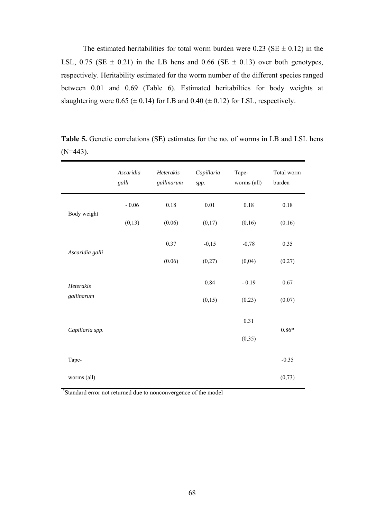<span id="page-77-1"></span>The estimated heritabilities for total worm burden were 0.23 (SE  $\pm$  0.12) in the LSL, 0.75 (SE  $\pm$  0.21) in the LB hens and 0.66 (SE  $\pm$  0.13) over both genotypes, respectively. Heritability estimated for the worm number of the different species ranged between 0.01 and 0.69 [\(](#page-78-1)[Table](#page-78-0) [6\).](#page-78-1) Estimated heritabilties for body weights at slaughtering were  $0.65 \ (\pm 0.14)$  for LB and  $0.40 \ (\pm 0.12)$  for LSL, respectively.

|                 | Ascaridia<br>galli | Heterakis<br>gallinarum | Capillaria<br>spp. | Tape-<br>worms (all) | Total worm<br>burden |
|-----------------|--------------------|-------------------------|--------------------|----------------------|----------------------|
|                 | $-0.06$            | 0.18                    | $0.01\,$           | $0.18\,$             | $0.18\,$             |
| Body weight     | (0,13)             | (0.06)                  | (0,17)             | (0,16)               | (0.16)               |
| Ascaridia galli |                    | 0.37                    | $-0,15$            | $-0,78$              | 0.35                 |
|                 |                    | (0.06)                  | (0,27)             | (0,04)               | (0.27)               |
| Heterakis       |                    |                         | 0.84               | $-0.19$              | 0.67                 |
| gallinarum      |                    |                         | (0,15)             | (0.23)               | (0.07)               |
| Capillaria spp. |                    |                         |                    | 0.31                 | $0.86*$              |
|                 |                    |                         |                    | (0, 35)              |                      |
| Tape-           |                    |                         |                    |                      | $-0.35$              |
| worms (all)     |                    |                         |                    |                      | (0, 73)              |

<span id="page-77-0"></span>Table 5. Genetic correlations (SE) estimates for the no. of worms in LB and LSL hens  $(N=443)$ .

\* Standard error not returned due to nonconvergence of the model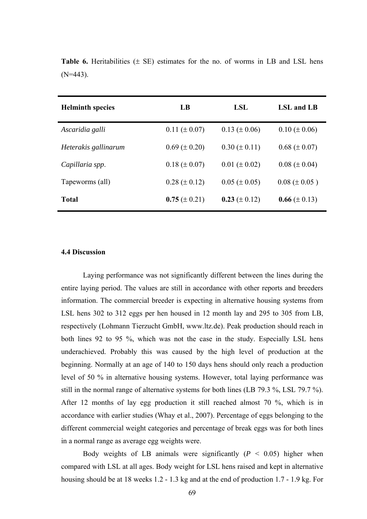| <b>Helminth species</b> | LB                  | <b>LSL</b>          | LSL and LB        |
|-------------------------|---------------------|---------------------|-------------------|
| Ascaridia galli         | $0.11 (\pm 0.07)$   | $0.13 \ (\pm 0.06)$ | $0.10 (\pm 0.06)$ |
| Heterakis gallinarum    | $0.69 \ (\pm 0.20)$ | $0.30 \ (\pm 0.11)$ | $0.68 (\pm 0.07)$ |
| Capillaria spp.         | $0.18 (\pm 0.07)$   | $0.01 (\pm 0.02)$   | $0.08 (\pm 0.04)$ |
| Tapeworms (all)         | $0.28 (\pm 0.12)$   | $0.05 (\pm 0.05)$   | $0.08 (\pm 0.05)$ |
| <b>Total</b>            | $0.75 \ (\pm 0.21)$ | 0.23 ( $\pm$ 0.12)  | 0.66 $(\pm 0.13)$ |

<span id="page-78-1"></span><span id="page-78-0"></span>**Table 6.** Heritabilities  $(\pm \text{ SE})$  estimates for the no. of worms in LB and LSL hens  $(N=443)$ .

#### **4.4 Discussion**

Laying performance was not significantly different between the lines during the entire laying period. The values are still in accordance with other reports and breeders information. The commercial breeder is expecting in alternative housing systems from LSL hens 302 to 312 eggs per hen housed in 12 month lay and 295 to 305 from LB, respectively (Lohmann Tierzucht GmbH, www.ltz.de). Peak production should reach in both lines 92 to 95 %, which was not the case in the study. Especially LSL hens underachieved. Probably this was caused by the high level of production at the beginning. Normally at an age of 140 to 150 days hens should only reach a production level of 50 % in alternative housing systems. However, total laying performance was still in the normal range of alternative systems for both lines (LB 79.3 %, LSL 79.7 %). After 12 months of lay egg production it still reached almost 70 %, which is in accordance with earlier studies (Whay et al., 2007). Percentage of eggs belonging to the different commercial weight categories and percentage of break eggs was for both lines in a normal range as average egg weights were.

Body weights of LB animals were significantly  $(P < 0.05)$  higher when compared with LSL at all ages. Body weight for LSL hens raised and kept in alternative housing should be at 18 weeks 1.2 - 1.3 kg and at the end of production 1.7 - 1.9 kg. For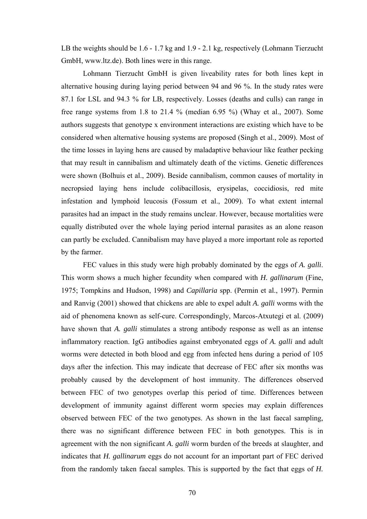LB the weights should be 1.6 - 1.7 kg and 1.9 - 2.1 kg, respectively (Lohmann Tierzucht GmbH, www.ltz.de). Both lines were in this range.

 Lohmann Tierzucht GmbH is given liveability rates for both lines kept in alternative housing during laying period between 94 and 96 %. In the study rates were 87.1 for LSL and 94.3 % for LB, respectively. Losses (deaths and culls) can range in free range systems from 1.8 to 21.4 % (median  $6.95$  %) (Whay et al., 2007). Some authors suggests that genotype x environment interactions are existing which have to be considered when alternative housing systems are proposed (Singh et al., 2009). Most of the time losses in laying hens are caused by maladaptive behaviour like feather pecking that may result in cannibalism and ultimately death of the victims. Genetic differences were shown (Bolhuis et al., 2009). Beside cannibalism, common causes of mortality in necropsied laying hens include colibacillosis, erysipelas, coccidiosis, red mite infestation and lymphoid leucosis (Fossum et al., 2009). To what extent internal parasites had an impact in the study remains unclear. However, because mortalities were equally distributed over the whole laying period internal parasites as an alone reason can partly be excluded. Cannibalism may have played a more important role as reported by the farmer.

FEC values in this study were high probably dominated by the eggs of *A. galli*. This worm shows a much higher fecundity when compared with *H. gallinarum* (Fine, 1975; Tompkins and Hudson, 1998) and *Capillaria* spp. (Permin et al., 1997). Permin and Ranvig (2001) showed that chickens are able to expel adult *A. galli* worms with the aid of phenomena known as self-cure. Correspondingly, Marcos-Atxutegi et al. (2009) have shown that *A. galli* stimulates a strong antibody response as well as an intense inflammatory reaction. IgG antibodies against embryonated eggs of *A. galli* and adult worms were detected in both blood and egg from infected hens during a period of 105 days after the infection. This may indicate that decrease of FEC after six months was probably caused by the development of host immunity. The differences observed between FEC of two genotypes overlap this period of time. Differences between development of immunity against different worm species may explain differences observed between FEC of the two genotypes. As shown in the last faecal sampling, there was no significant difference between FEC in both genotypes. This is in agreement with the non significant *A. galli* worm burden of the breeds at slaughter, and indicates that *H. gallinarum* eggs do not account for an important part of FEC derived from the randomly taken faecal samples. This is supported by the fact that eggs of *H.*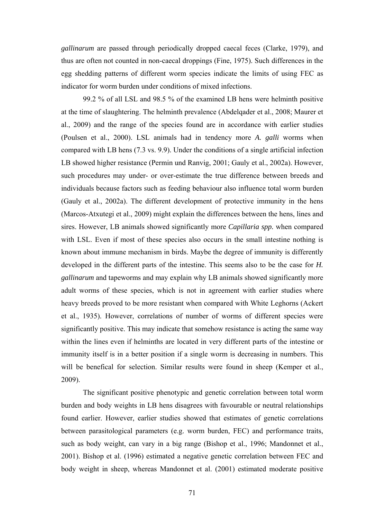*gallinarum* are passed through periodically dropped caecal feces (Clarke, 1979), and thus are often not counted in non-caecal droppings (Fine, 1975). Such differences in the egg shedding patterns of different worm species indicate the limits of using FEC as indicator for worm burden under conditions of mixed infections.

 99.2 % of all LSL and 98.5 % of the examined LB hens were helminth positive at the time of slaughtering. The helminth prevalence (Abdelqader et al., 2008; Maurer et al., 2009) and the range of the species found are in accordance with earlier studies (Poulsen et al., 2000). LSL animals had in tendency more *A. galli* worms when compared with LB hens (7.3 vs. 9.9). Under the conditions of a single artificial infection LB showed higher resistance (Permin und Ranvig, 2001; Gauly et al., 2002a). However, such procedures may under- or over-estimate the true difference between breeds and individuals because factors such as feeding behaviour also influence total worm burden (Gauly et al., 2002a). The different development of protective immunity in the hens (Marcos-Atxutegi et al., 2009) might explain the differences between the hens, lines and sires. However, LB animals showed significantly more *Capillaria spp.* when compared with LSL. Even if most of these species also occurs in the small intestine nothing is known about immune mechanism in birds. Maybe the degree of immunity is differently developed in the different parts of the intestine. This seems also to be the case for *H. gallinarum* and tapeworms and may explain why LB animals showed significantly more adult worms of these species, which is not in agreement with earlier studies where heavy breeds proved to be more resistant when compared with White Leghorns (Ackert et al., 1935). However, correlations of number of worms of different species were significantly positive. This may indicate that somehow resistance is acting the same way within the lines even if helminths are located in very different parts of the intestine or immunity itself is in a better position if a single worm is decreasing in numbers. This will be benefical for selection. Similar results were found in sheep (Kemper et al., 2009).

The significant positive phenotypic and genetic correlation between total worm burden and body weights in LB hens disagrees with favourable or neutral relationships found earlier. However, earlier studies showed that estimates of genetic correlations between parasitological parameters (e.g. worm burden, FEC) and performance traits, such as body weight, can vary in a big range (Bishop et al., 1996; Mandonnet et al., 2001). Bishop et al. (1996) estimated a negative genetic correlation between FEC and body weight in sheep, whereas Mandonnet et al. (2001) estimated moderate positive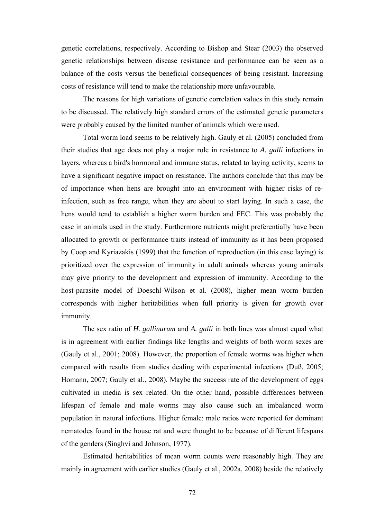genetic correlations, respectively. According to Bishop and Stear (2003) the observed genetic relationships between disease resistance and performance can be seen as a balance of the costs versus the beneficial consequences of being resistant. Increasing costs of resistance will tend to make the relationship more unfavourable.

 The reasons for high variations of genetic correlation values in this study remain to be discussed. The relatively high standard errors of the estimated genetic parameters were probably caused by the limited number of animals which were used.

 Total worm load seems to be relatively high. Gauly et al. (2005) concluded from their studies that age does not play a major role in resistance to *A. galli* infections in layers, whereas a bird's hormonal and immune status, related to laying activity, seems to have a significant negative impact on resistance. The authors conclude that this may be of importance when hens are brought into an environment with higher risks of reinfection, such as free range, when they are about to start laying. In such a case, the hens would tend to establish a higher worm burden and FEC. This was probably the case in animals used in the study. Furthermore nutrients might preferentially have been allocated to growth or performance traits instead of immunity as it has been proposed by Coop and Kyriazakis (1999) that the function of reproduction (in this case laying) is prioritized over the expression of immunity in adult animals whereas young animals may give priority to the development and expression of immunity. According to the host-parasite model of Doeschl-Wilson et al. (2008), higher mean worm burden corresponds with higher heritabilities when full priority is given for growth over immunity.

 The sex ratio of *H. gallinarum* and *A. galli* in both lines was almost equal what is in agreement with earlier findings like lengths and weights of both worm sexes are (Gauly et al., 2001; 2008). However, the proportion of female worms was higher when compared with results from studies dealing with experimental infections (Duß, 2005; Homann, 2007; Gauly et al., 2008). Maybe the success rate of the development of eggs cultivated in media is sex related. On the other hand, possible differences between lifespan of female and male worms may also cause such an imbalanced worm population in natural infections. Higher female: male ratios were reported for dominant nematodes found in the house rat and were thought to be because of different lifespans of the genders (Singhvi and Johnson, 1977).

Estimated heritabilities of mean worm counts were reasonably high. They are mainly in agreement with earlier studies (Gauly et al., 2002a, 2008) beside the relatively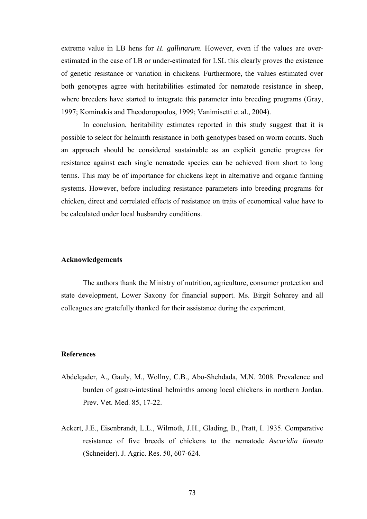extreme value in LB hens for *H. gallinarum*. However, even if the values are overestimated in the case of LB or under-estimated for LSL this clearly proves the existence of genetic resistance or variation in chickens. Furthermore, the values estimated over both genotypes agree with heritabilities estimated for nematode resistance in sheep, where breeders have started to integrate this parameter into breeding programs (Gray, 1997; Kominakis and Theodoropoulos, 1999; Vanimisetti et al., 2004).

 In conclusion, heritability estimates reported in this study suggest that it is possible to select for helminth resistance in both genotypes based on worm counts. Such an approach should be considered sustainable as an explicit genetic progress for resistance against each single nematode species can be achieved from short to long terms. This may be of importance for chickens kept in alternative and organic farming systems. However, before including resistance parameters into breeding programs for chicken, direct and correlated effects of resistance on traits of economical value have to be calculated under local husbandry conditions.

#### **Acknowledgements**

The authors thank the Ministry of nutrition, agriculture, consumer protection and state development, Lower Saxony for financial support. Ms. Birgit Sohnrey and all colleagues are gratefully thanked for their assistance during the experiment.

### **References**

- Abdelqader, A., Gauly, M., Wollny, C.B., Abo-Shehdada, M.N. 2008. Prevalence and burden of gastro-intestinal helminths among local chickens in northern Jordan*.*  Prev. Vet. Med. 85, 17-22.
- Ackert, J.E., Eisenbrandt, L.L., Wilmoth, J.H., Glading, B., Pratt, I. 1935. Comparative resistance of five breeds of chickens to the nematode *Ascaridia lineata* (Schneider). J. Agric. Res. 50, 607-624.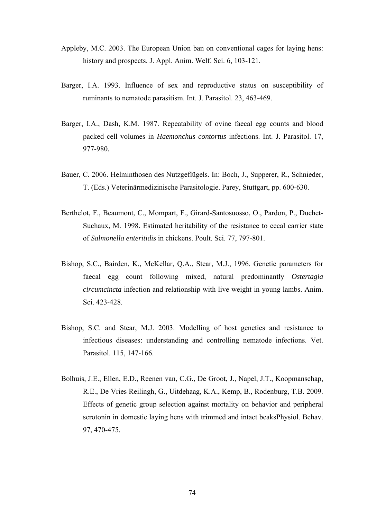- Appleby, M.C. 2003. The European Union ban on conventional cages for laying hens: history and prospects. J. Appl. Anim. Welf. Sci. 6, 103-121.
- Barger, I.A. 1993. Influence of sex and reproductive status on susceptibility of ruminants to nematode parasitism. Int. J. Parasitol. 23, 463-469.
- Barger, I.A., Dash, K.M. 1987. Repeatability of ovine faecal egg counts and blood packed cell volumes in *Haemonchus contortus* infections. Int. J. Parasitol. 17, 977-980.
- Bauer, C. 2006. Helminthosen des Nutzgeflügels. In: Boch, J., Supperer, R., Schnieder, T. (Eds.) Veterinärmedizinische Parasitologie. Parey, Stuttgart, pp. 600-630.
- Berthelot, F., Beaumont, C., Mompart, F., Girard-Santosuosso, O., Pardon, P., Duchet-Suchaux, M. 1998. Estimated heritability of the resistance to cecal carrier state of *Salmonella enteritidis* in chickens. Poult. Sci. 77, 797-801.
- Bishop, S.C., Bairden, K., McKellar, Q.A., Stear, M.J., 1996. Genetic parameters for faecal egg count following mixed, natural predominantly *Ostertagia circumcincta* infection and relationship with live weight in young lambs. Anim. Sci. 423-428.
- Bishop, S.C. and Stear, M.J. 2003. Modelling of host genetics and resistance to infectious diseases: understanding and controlling nematode infections. Vet. Parasitol. 115, 147-166.
- Bolhuis, J.E., Ellen, E.D., Reenen van, C.G., De Groot, J., Napel, J.T., Koopmanschap, R.E., De Vries Reilingh, G., Uitdehaag, K.A., Kemp, B., Rodenburg, T.B. 2009. Effects of genetic group selection against mortality on behavior and peripheral serotonin in domestic laying hens with trimmed and intact beaksPhysiol. Behav. 97, 470-475.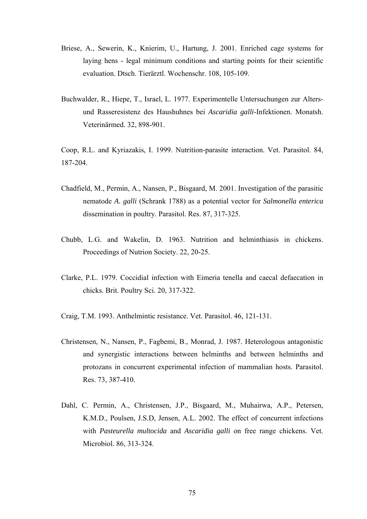- Briese, A., Sewerin, K., Knierim, U., Hartung, J. 2001. Enriched cage systems for laying hens - legal minimum conditions and starting points for their scientific evaluation. Dtsch. Tierärztl. Wochenschr. 108, 105-109.
- Buchwalder, R., Hiepe, T., Israel, L. 1977. Experimentelle Untersuchungen zur Altersund Rasseresistenz des Haushuhnes bei *Ascaridia galli*-Infektionen. Monatsh. Veterinärmed. 32, 898-901.

Coop, R.L. and Kyriazakis, I. 1999. Nutrition-parasite interaction. Vet. Parasitol. 84, 187-204.

- Chadfield, M., Permin, A., Nansen, P., Bisgaard, M. 2001. Investigation of the parasitic nematode *A*. *galli* (Schrank 1788) as a potential vector for *Salmonella enterica* dissemination in poultry. Parasitol. Res. 87, 317-325.
- Chubb, L.G. and Wakelin, D. 1963. Nutrition and helminthiasis in chickens. Proceedings of Nutrion Society. 22, 20-25.
- Clarke, P.L. 1979. Coccidial infection with Eimeria tenella and caecal defaecation in chicks. Brit. Poultry Sci. 20, 317-322.
- Craig, T.M. 1993. Anthelmintic resistance. Vet. Parasitol. 46, 121-131.
- Christensen, N., Nansen, P., Fagbemi, B., Monrad, J. 1987. Heterologous antagonistic and synergistic interactions between helminths and between helminths and protozans in concurrent experimental infection of mammalian hosts. Parasitol. Res. 73, 387-410.
- Dahl, C. Permin, A., Christensen, J.P., Bisgaard, M., Muhairwa, A.P., Petersen, K.M.D., Poulsen, J.S.D, Jensen, A.L. 2002. The effect of concurrent infections with *Pasteurella multocida* and *Ascaridia galli* on free range chickens. Vet. Microbiol. 86, 313-324.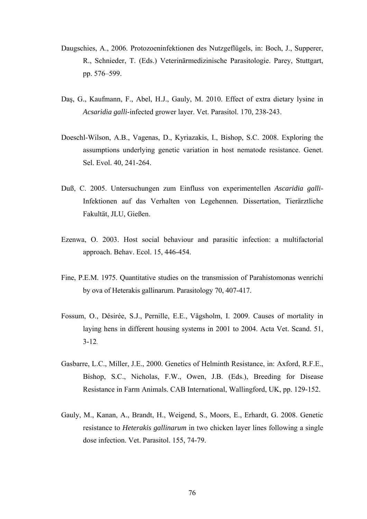- Daugschies, A., 2006. Protozoeninfektionen des Nutzgeflügels, in: Boch, J., Supperer, R., Schnieder, T. (Eds.) Veterinärmedizinische Parasitologie. Parey, Stuttgart, pp. 576–599.
- Daş, G., Kaufmann, F., Abel, H.J., Gauly, M. 2010. Effect of extra dietary lysine in *Acsaridia galli*-infected grower layer. Vet. Parasitol. 170, 238-243.
- Doeschl-Wilson, A.B., Vagenas, D., Kyriazakis, I., Bishop, S.C. 2008. Exploring the assumptions underlying genetic variation in host nematode resistance. Genet. Sel. Evol. 40, 241-264.
- Duß, C. 2005. Untersuchungen zum Einfluss von experimentellen *Ascaridia galli*-Infektionen auf das Verhalten von Legehennen. Dissertation, Tierärztliche Fakultät, JLU, Gießen.
- Ezenwa, O. 2003. Host social behaviour and parasitic infection: a multifactorial approach. Behav. Ecol. 15, 446-454.
- Fine, P.E.M. 1975. Quantitative studies on the transmission of Parahistomonas wenrichi by ova of Heterakis gallinarum. Parasitology 70, 407-417.
- Fossum, O., Désirée, S.J., Pernille, E.E., Vågsholm, I. 2009. Causes of mortality in laying hens in different housing systems in 2001 to 2004. Acta Vet. Scand. 51, 3-12.
- Gasbarre, L.C., Miller, J.E., 2000. Genetics of Helminth Resistance, in: Axford, R.F.E., Bishop, S.C., Nicholas, F.W., Owen, J.B. (Eds.), Breeding for Disease Resistance in Farm Animals. CAB International, Wallingford, UK, pp. 129-152.
- Gauly, M., Kanan, A., Brandt, H., Weigend, S., Moors, E., Erhardt, G. 2008. Genetic resistance to *Heterakis gallinarum* in two chicken layer lines following a single dose infection. Vet. Parasitol. 155, 74-79.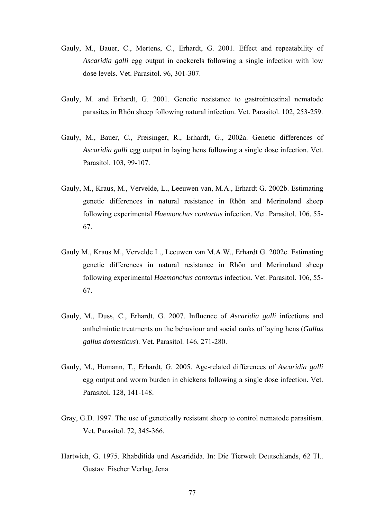- Gauly, M., Bauer, C., Mertens, C., Erhardt, G. 2001. Effect and repeatability of *Ascaridia galli* egg output in cockerels following a single infection with low dose levels. Vet. Parasitol. 96, 301-307.
- Gauly, M. and Erhardt, G. 2001. Genetic resistance to gastrointestinal nematode parasites in Rhön sheep following natural infection. Vet. Parasitol. 102, 253-259.
- Gauly, M., Bauer, C., Preisinger, R., Erhardt, G., 2002a. Genetic differences of *Ascaridia galli* egg output in laying hens following a single dose infection. Vet. Parasitol. 103, 99-107.
- Gauly, M., Kraus, M., Vervelde, L., Leeuwen van, M.A., Erhardt G. 2002b. Estimating genetic differences in natural resistance in Rhön and Merinoland sheep following experimental *Haemonchus contortus* infection. Vet. Parasitol. 106, 55- 67.
- Gauly M., Kraus M., Vervelde L., Leeuwen van M.A.W., Erhardt G. 2002c. Estimating genetic differences in natural resistance in Rhön and Merinoland sheep following experimental *Haemonchus contortus* infection. Vet. Parasitol. 106, 55- 67.
- Gauly, M., Duss, C., Erhardt, G. 2007. Influence of *Ascaridia galli* infections and anthelmintic treatments on the behaviour and social ranks of laying hens (*Gallus gallus domesticus*). Vet. Parasitol. 146, 271-280.
- Gauly, M., Homann, T., Erhardt, G. 2005. Age-related differences of *Ascaridia galli* egg output and worm burden in chickens following a single dose infection. Vet. Parasitol. 128, 141-148.
- Gray, G.D. 1997. The use of genetically resistant sheep to control nematode parasitism. Vet. Parasitol. 72, 345-366.
- Hartwich, G. 1975. Rhabditida und Ascaridida. In: Die Tierwelt Deutschlands, 62 Tl.. Gustav Fischer Verlag, Jena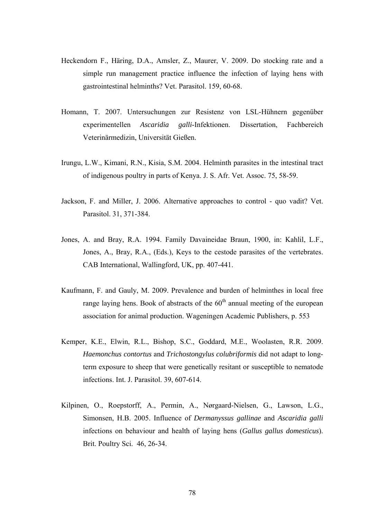- Heckendorn F., Häring, D.A., Amsler, Z., Maurer, V. 2009. Do stocking rate and a simple run management practice influence the infection of laying hens with gastrointestinal helminths? Vet. Parasitol. 159, 60-68.
- Homann, T. 2007. Untersuchungen zur Resistenz von LSL-Hühnern gegenüber experimentellen *Ascaridia galli*-Infektionen. Dissertation, Fachbereich Veterinärmedizin, Universität Gießen.
- Irungu, L.W., Kimani, R.N., Kisia, S.M. 2004. Helminth parasites in the intestinal tract of indigenous poultry in parts of Kenya. J. S. Afr. Vet. Assoc. 75, 58-59.
- Jackson, F. and Miller, J. 2006. Alternative approaches to control quo vadit? Vet. Parasitol. 31, 371-384.
- Jones, A. and Bray, R.A. 1994. Family Davaineidae Braun, 1900, in: Kahlil, L.F., Jones, A., Bray, R.A., (Eds.), Keys to the cestode parasites of the vertebrates. CAB International, Wallingford, UK, pp. 407-441.
- Kaufmann, F. and Gauly, M. 2009. Prevalence and burden of helminthes in local free range laying hens. Book of abstracts of the  $60<sup>th</sup>$  annual meeting of the european association for animal production. Wageningen Academic Publishers, p. 553
- Kemper, K.E., Elwin, R.L., Bishop, S.C., Goddard, M.E., Woolasten, R.R. 2009. *Haemonchus contortus* and *Trichostongylus colubriformis* did not adapt to longterm exposure to sheep that were genetically resitant or susceptible to nematode infections. Int. J. Parasitol. 39, 607-614.
- Kilpinen, O., Roepstorff, A., Permin, A., Nørgaard-Nielsen, G., Lawson, L.G., Simonsen, H.B. 2005. Influence of *Dermanyssus gallinae* and *Ascaridia galli* infections on behaviour and health of laying hens (*Gallus gallus domesticus*). Brit. Poultry Sci. 46, 26-34.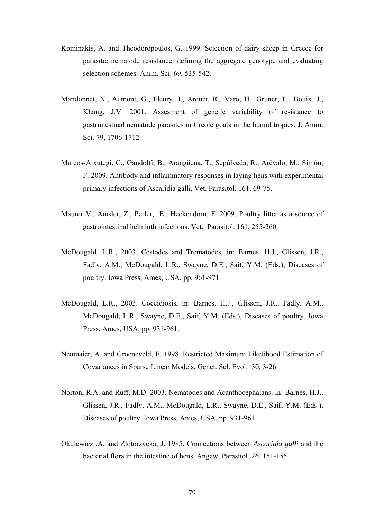- Kominakis, A. and Theodoropoulos, G. 1999. Selection of dairy sheep in Greece for parasitic nematode resistance: defining the aggregate genotype and evaluating selection schemes. Anim. Sci. 69, 535-542.
- Mandonnet, N., Aumont, G., Fleury, J., Arquet, R., Varo, H., Gruner, L., Bouix, J., Khang, J.V. 2001. Assesment of genetic variability of resistance to gastrintestinal nematode parasites in Creole goats in the humid tropics. J. Anim. Sci. 79, 1706-1712.
- Marcos-Atxutegi, C., Gandolfi, B., Arangüena, T., Sepúlveda, R., Arévalo, M., Simón, F. 2009. Antibody and inflammatory responses in laying hens with experimental primary infections of Ascaridia galli. Vet. Parasitol. 161, 69-75.
- Maurer V., Amsler, Z., Perler, E., Heckendorn, F. 2009. Poultry litter as a source of gastrointestinal helminth infections. Vet. Parasitol. 161, 255-260.
- McDougald, L.R., 2003. Cestodes and Trematodes, in: Barnes, H.J., Glissen, J.R., Fadly, A.M., McDougald, L.R., Swayne, D.E., Saif, Y.M. (Eds.), Diseases of poultry. Iowa Press, Ames, USA, pp. 961-971.
- McDougald, L.R., 2003. Coccidiosis, in: Barnes, H.J., Glissen, J.R., Fadly, A.M., McDougald, L.R., Swayne, D.E., Saif, Y.M. (Eds.), Diseases of poultry. Iowa Press, Ames, USA, pp. 931-961.
- Neumaier, A. and Groeneveld, E. 1998. Restricted Maximum Likelihood Estimation of Covariances in Sparse Linear Models. Genet. Sel. Evol. 30, 3-26.
- Norton, R.A. and Ruff, M.D. 2003. Nematodes and Acanthocephalans. in: Barnes, H.J., Glissen, J.R., Fadly, A.M., McDougald, L.R., Swayne, D.E., Saif, Y.M. (Eds.), Diseases of poultry. Iowa Press, Ames, USA, pp. 931-961.
- Okulewicz ,A. and Zlotorzycka, J. 1985. Connections between *Ascaridia galli* and the bacterial flora in the intestine of hens. Angew. Parasitol. 26, 151-155.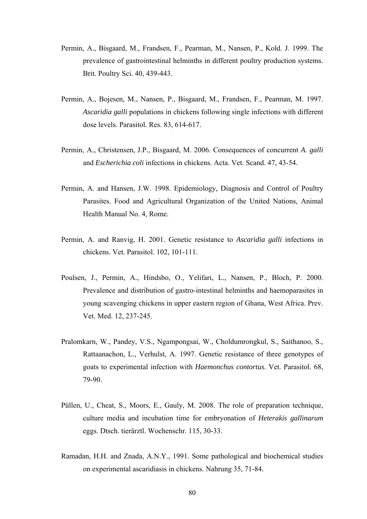- Permin, A., Bisgaard, M., Frandsen, F., Pearman, M., Nansen, P., Kold. J. 1999. The prevalence of gastrointestinal helminths in different poultry production systems. Brit. Poultry Sci. 40, 439-443.
- Permin, A., Bojesen, M., Nansen, P., Bisgaard, M., Frandsen, F., Pearman, M. 1997. *Ascaridia galli* populations in chickens following single infections with different dose levels. Parasitol. Res. 83, 614-617.
- Permin, A., Christensen, J.P., Bisgaard, M. 2006. Consequences of concurrent *A*. *galli* and *Escherichia coli* infections in chickens. Acta. Vet. Scand. 47, 43-54.
- Permin, A. and Hansen, J.W. 1998. Epidemiology, Diagnosis and Control of Poultry Parasites. Food and Agricultural Organization of the United Nations, Animal Health Manual No. 4, Rome.
- Permin, A. and Ranvig, H. 2001. Genetic resistance to *Ascaridia galli* infections in chickens. Vet. Parasitol. 102, 101-111.
- Poulsen, J., Permin, A., Hindsbo, O., Yelifari, L., Nansen, P., Bloch, P. 2000. Prevalence and distribution of gastro-intestinal helminths and haemoparasites in young scavenging chickens in upper eastern region of Ghana, West Africa. Prev. Vet. Med. 12, 237-245.
- Pralomkarn, W., Pandey, V.S., Ngampongsai, W., Choldumrongkul, S., Saithanoo, S., Rattaanachon, L., Verhulst, A. 1997. Genetic resistance of three genotypes of goats to experimental infection with *Haemonchus contortus*. Vet. Parasitol. 68, 79-90.
- Püllen, U., Cheat, S., Moors, E., Gauly, M. 2008. The role of preparation technique, culture media and incubation time for embryonation of *Heterakis gallinarum* eggs. Dtsch. tierärztl. Wochenschr. 115, 30-33.
- Ramadan, H.H. and Znada, A.N.Y., 1991. Some pathological and biochemical studies on experimental ascaridiasis in chickens. Nahrung 35, 71-84.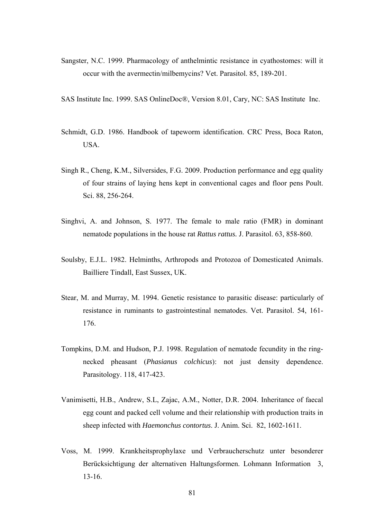- Sangster, N.C. 1999. Pharmacology of anthelmintic resistance in cyathostomes: will it occur with the avermectin/milbemycins? Vet. Parasitol. 85, 189-201.
- SAS Institute Inc. 1999. SAS OnlineDoc®, Version 8.01, Cary, NC: SAS Institute Inc.
- Schmidt, G.D. 1986. Handbook of tapeworm identification. CRC Press, Boca Raton, USA.
- Singh R., Cheng, K.M., Silversides, F.G. 2009. Production performance and egg quality of four strains of laying hens kept in conventional cages and floor pens Poult. Sci. 88, 256-264.
- Singhvi, A. and Johnson, S. 1977. The female to male ratio (FMR) in dominant nematode populations in the house rat *Rattus rattus.* J. Parasitol. 63, 858-860.
- Soulsby, E.J.L. 1982. Helminths, Arthropods and Protozoa of Domesticated Animals. Bailliere Tindall, East Sussex, UK.
- Stear, M. and Murray, M. 1994. Genetic resistance to parasitic disease: particularly of resistance in ruminants to gastrointestinal nematodes. Vet. Parasitol. 54, 161- 176.
- Tompkins, D.M. and Hudson, P.J. 1998. Regulation of nematode fecundity in the ringnecked pheasant (*Phasianus colchicus*): not just density dependence. Parasitology. 118, 417-423.
- Vanimisetti, H.B., Andrew, S.L, Zajac, A.M., Notter, D.R. 2004. Inheritance of faecal egg count and packed cell volume and their relationship with production traits in sheep infected with *Haemonchus contortus*. J. Anim. Sci. 82, 1602-1611.
- Voss, M. 1999. Krankheitsprophylaxe und Verbraucherschutz unter besonderer Berücksichtigung der alternativen Haltungsformen. Lohmann Information 3, 13-16.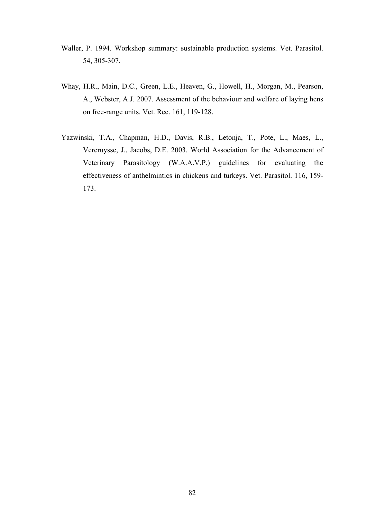- Waller, P. 1994. Workshop summary: sustainable production systems. Vet. Parasitol. 54, 305-307.
- Whay, H.R., Main, D.C., Green, L.E., Heaven, G., Howell, H., Morgan, M., Pearson, A., Webster, A.J. 2007. Assessment of the behaviour and welfare of laying hens on free-range units. Vet. Rec. 161, 119-128.
- Yazwinski, T.A., Chapman, H.D., Davis, R.B., Letonja, T., Pote, L., Maes, L., Vercruysse, J., Jacobs, D.E. 2003. World Association for the Advancement of Veterinary Parasitology (W.A.A.V.P.) guidelines for evaluating the effectiveness of anthelmintics in chickens and turkeys. Vet. Parasitol. 116, 159- 173.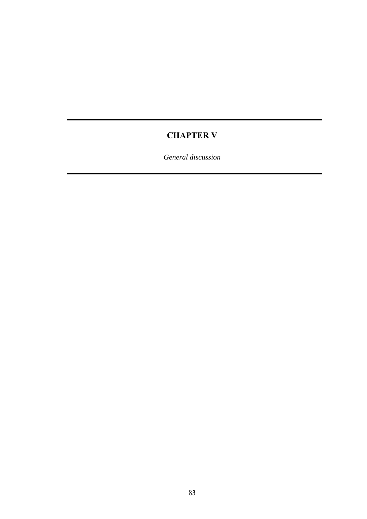# **CHAPTER V**

*General discussion*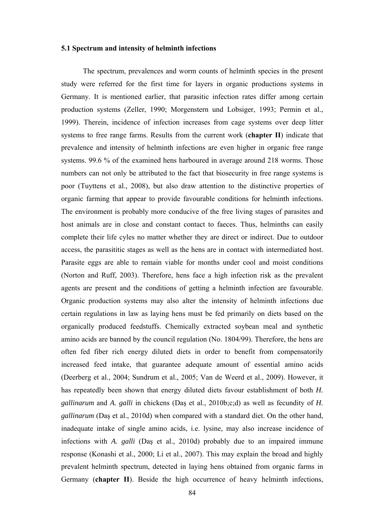#### **5.1 Spectrum and intensity of helminth infections**

The spectrum, prevalences and worm counts of helminth species in the present study were referred for the first time for layers in organic productions systems in Germany. It is mentioned earlier, that parasitic infection rates differ among certain production systems (Zeller, 1990; Morgenstern und Lobsiger, 1993; Permin et al., 1999). Therein, incidence of infection increases from cage systems over deep litter systems to free range farms. Results from the current work (**[chapter II](#page-28-0)**) indicate that prevalence and intensity of helminth infections are even higher in organic free range systems. 99.6 % of the examined hens harboured in average around 218 worms. Those numbers can not only be attributed to the fact that biosecurity in free range systems is poor (Tuyttens et al., 2008), but also draw attention to the distinctive properties of organic farming that appear to provide favourable conditions for helminth infections. The environment is probably more conducive of the free living stages of parasites and host animals are in close and constant contact to faeces. Thus, helminths can easily complete their life cyles no matter whether they are direct or indirect. Due to outdoor access, the parasititic stages as well as the hens are in contact with intermediated host. Parasite eggs are able to remain viable for months under cool and moist conditions (Norton and Ruff, 2003). Therefore, hens face a high infection risk as the prevalent agents are present and the conditions of getting a helminth infection are favourable. Organic production systems may also alter the intensity of helminth infections due certain regulations in law as laying hens must be fed primarily on diets based on the organically produced feedstuffs. Chemically extracted soybean meal and synthetic amino acids are banned by the council regulation (No. 1804/99). Therefore, the hens are often fed fiber rich energy diluted diets in order to benefit from compensatorily increased feed intake, that guarantee adequate amount of essential amino acids (Deerberg et al., 2004; Sundrum et al., 2005; Van de Weerd et al., 2009). However, it has repeatedly been shown that energy diluted diets favour establishment of both *H. gallinarum* and *A. galli* in chickens (Daş et al., 2010b;c;d) as well as fecundity of *H. gallinarum* (Daş et al., 2010d) when compared with a standard diet. On the other hand, inadequate intake of single amino acids, i.e. lysine, may also increase incidence of infections with *A. galli* (Daş et al., 2010d) probably due to an impaired immune response (Konashi et al., 2000; Li et al., 2007). This may explain the broad and highly prevalent helminth spectrum, detected in laying hens obtained from organic farms in Germany (**chapter II**). Beside the high occurrence of heavy helminth infections,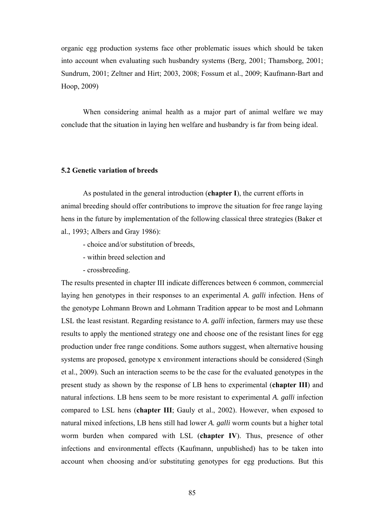organic egg production systems face other problematic issues which should be taken into account when evaluating such husbandry systems (Berg, 2001; Thamsborg, 2001; Sundrum, 2001; Zeltner and Hirt; 2003, 2008; Fossum et al., 2009; Kaufmann-Bart and Hoop, 2009)

When considering animal health as a major part of animal welfare we may conclude that the situation in laying hen welfare and husbandry is far from being ideal.

### **5.2 Genetic variation of breeds**

As postulated in the general introduction (**[chapter I](#page-14-0)**), the current efforts in animal breeding should offer contributions to improve the situation for free range laying hens in the future by implementation of the following classical three strategies (Baker et al., 1993; Albers and Gray 1986):

- choice and/or substitution of breeds,
- within breed selection and
- crossbreeding.

The results presented in chapter III indicate differences between 6 common, commercial laying hen genotypes in their responses to an experimental *A. galli* infection. Hens of the genotype Lohmann Brown and Lohmann Tradition appear to be most and Lohmann LSL the least resistant. Regarding resistance to *A. galli* infection, farmers may use these results to apply the mentioned strategy one and choose one of the resistant lines for egg production under free range conditions. Some authors suggest, when alternative housing systems are proposed, genotype x environment interactions should be considered (Singh et al., 2009). Such an interaction seems to be the case for the evaluated genotypes in the present study as shown by the response of LB hens to experimental (**[chapter III](#page-49-0)**) and natural infections. LB hens seem to be more resistant to experimental *A. galli* infection compared to LSL hens (**[chapter III](#page-49-0)**; Gauly et al., 2002). However, when exposed to natural mixed infections, LB hens still had lower *A. galli* worm counts but a higher total worm burden when compared with LSL (**[chapter IV](#page-66-0)**). Thus, presence of other infections and environmental effects (Kaufmann, unpublished) has to be taken into account when choosing and/or substituting genotypes for egg productions. But this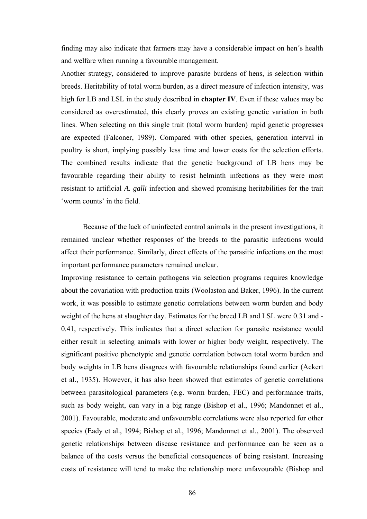finding may also indicate that farmers may have a considerable impact on hen´s health and welfare when running a favourable management.

Another strategy, considered to improve parasite burdens of hens, is selection within breeds. Heritability of total worm burden, as a direct measure of infection intensity, was high for LB and LSL in the study described in **[chapter IV](#page-49-1)**. Even if these values may be considered as overestimated, this clearly proves an existing genetic variation in both lines. When selecting on this single trait (total worm burden) rapid genetic progresses are expected (Falconer, 1989). Compared with other species, generation interval in poultry is short, implying possibly less time and lower costs for the selection efforts. The combined results indicate that the genetic background of LB hens may be favourable regarding their ability to resist helminth infections as they were most resistant to artificial *A. galli* infection and showed promising heritabilities for the trait 'worm counts' in the field.

 Because of the lack of uninfected control animals in the present investigations, it remained unclear whether responses of the breeds to the parasitic infections would affect their performance. Similarly, direct effects of the parasitic infections on the most important performance parameters remained unclear.

Improving resistance to certain pathogens via selection programs requires knowledge about the covariation with production traits (Woolaston and Baker, 1996). In the current work, it was possible to estimate genetic correlations between worm burden and body weight of the hens at slaughter day. Estimates for the breed LB and LSL were 0.31 and - 0.41, respectively. This indicates that a direct selection for parasite resistance would either result in selecting animals with lower or higher body weight, respectively. The significant positive phenotypic and genetic correlation between total worm burden and body weights in LB hens disagrees with favourable relationships found earlier (Ackert et al., 1935). However, it has also been showed that estimates of genetic correlations between parasitological parameters (e.g. worm burden, FEC) and performance traits, such as body weight, can vary in a big range (Bishop et al., 1996; Mandonnet et al., 2001). Favourable, moderate and unfavourable correlations were also reported for other species (Eady et al., 1994; Bishop et al., 1996; Mandonnet et al., 2001). The observed genetic relationships between disease resistance and performance can be seen as a balance of the costs versus the beneficial consequences of being resistant. Increasing costs of resistance will tend to make the relationship more unfavourable (Bishop and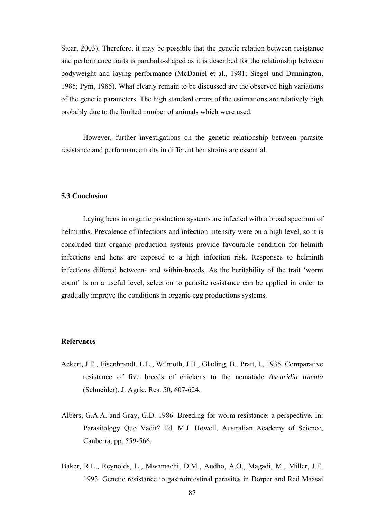Stear, 2003). Therefore, it may be possible that the genetic relation between resistance and performance traits is parabola-shaped as it is described for the relationship between bodyweight and laying performance (McDaniel et al., 1981; Siegel und Dunnington, 1985; Pym, 1985). What clearly remain to be discussed are the observed high variations of the genetic parameters. The high standard errors of the estimations are relatively high probably due to the limited number of animals which were used.

However, further investigations on the genetic relationship between parasite resistance and performance traits in different hen strains are essential.

#### **5.3 Conclusion**

Laying hens in organic production systems are infected with a broad spectrum of helminths. Prevalence of infections and infection intensity were on a high level, so it is concluded that organic production systems provide favourable condition for helmith infections and hens are exposed to a high infection risk. Responses to helminth infections differed between- and within-breeds. As the heritability of the trait 'worm count' is on a useful level, selection to parasite resistance can be applied in order to gradually improve the conditions in organic egg productions systems.

#### **References**

- Ackert, J.E., Eisenbrandt, L.L., Wilmoth, J.H., Glading, B., Pratt, I., 1935. Comparative resistance of five breeds of chickens to the nematode *Ascaridia lineata* (Schneider). J. Agric. Res. 50, 607-624.
- Albers, G.A.A. and Gray, G.D. 1986. Breeding for worm resistance: a perspective. In: Parasitology Quo Vadit? Ed. M.J. Howell, Australian Academy of Science, Canberra, pp. 559-566.
- Baker, R.L., Reynolds, L., Mwamachi, D.M., Audho, A.O., Magadi, M., Miller, J.E. 1993. Genetic resistance to gastrointestinal parasites in Dorper and Red Maasai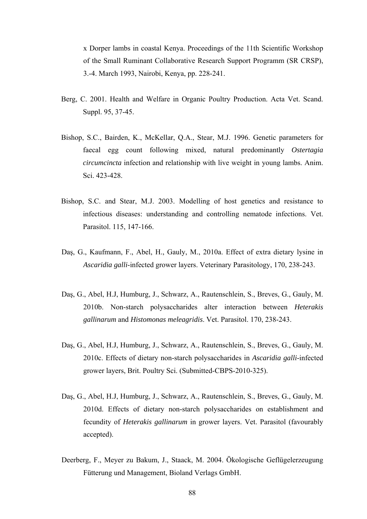x Dorper lambs in coastal Kenya. Proceedings of the 11th Scientific Workshop of the Small Ruminant Collaborative Research Support Programm (SR CRSP), 3.-4. March 1993, Nairobi, Kenya, pp. 228-241.

- Berg, C. 2001. Health and Welfare in Organic Poultry Production. Acta Vet. Scand. Suppl. 95, 37-45.
- Bishop, S.C., Bairden, K., McKellar, Q.A., Stear, M.J. 1996. Genetic parameters for faecal egg count following mixed, natural predominantly *Ostertagia circumcincta* infection and relationship with live weight in young lambs. Anim. Sci. 423-428.
- Bishop, S.C. and Stear, M.J. 2003. Modelling of host genetics and resistance to infectious diseases: understanding and controlling nematode infections. Vet. Parasitol. 115, 147-166.
- Daş, G., Kaufmann, F., Abel, H., Gauly, M., 2010a. Effect of extra dietary lysine in *Ascaridia galli*-infected grower layers. Veterinary Parasitology, 170, 238-243.
- Daş, G., Abel, H.J, Humburg, J., Schwarz, A., Rautenschlein, S., Breves, G., Gauly, M. 2010b. Non-starch polysaccharides alter interaction between *Heterakis gallinarum* and *Histomonas meleagridis*. Vet. Parasitol. 170, 238-243.
- Daş, G., Abel, H.J, Humburg, J., Schwarz, A., Rautenschlein, S., Breves, G., Gauly, M. 2010c. Effects of dietary non-starch polysaccharides in *Ascaridia galli*-infected grower layers, Brit. Poultry Sci. (Submitted-CBPS-2010-325).
- Daş, G., Abel, H.J, Humburg, J., Schwarz, A., Rautenschlein, S., Breves, G., Gauly, M. 2010d. Effects of dietary non-starch polysaccharides on establishment and fecundity of *Heterakis gallinarum* in grower layers. Vet. Parasitol (favourably accepted).
- Deerberg, F., Meyer zu Bakum, J., Staack, M. 2004. Ökologische Geflügelerzeugung Fütterung und Management, Bioland Verlags GmbH.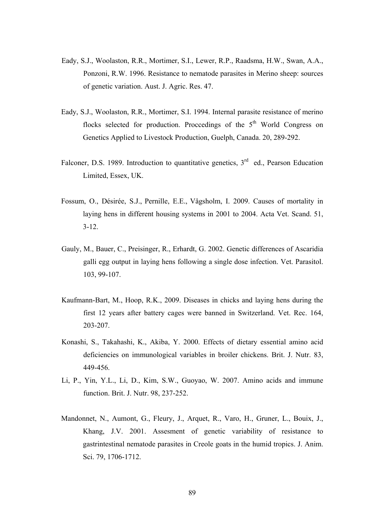- Eady, S.J., Woolaston, R.R., Mortimer, S.I., Lewer, R.P., Raadsma, H.W., Swan, A.A., Ponzoni, R.W. 1996. Resistance to nematode parasites in Merino sheep: sources of genetic variation. Aust. J. Agric. Res. 47.
- Eady, S.J., Woolaston, R.R., Mortimer, S.I. 1994. Internal parasite resistance of merino flocks selected for production. Proccedings of the  $5<sup>th</sup>$  World Congress on Genetics Applied to Livestock Production, Guelph, Canada. 20, 289-292.
- Falconer, D.S. 1989. Introduction to quantitative genetics, 3<sup>rd</sup> ed., Pearson Education Limited, Essex, UK.
- Fossum, O., Désirée, S.J., Pernille, E.E., Vågsholm, I. 2009. Causes of mortality in laying hens in different housing systems in 2001 to 2004. Acta Vet. Scand. 51,  $3 - 12$ .
- Gauly, M., Bauer, C., Preisinger, R., Erhardt, G. 2002. Genetic differences of Ascaridia galli egg output in laying hens following a single dose infection. Vet. Parasitol. 103, 99-107.
- Kaufmann-Bart, M., Hoop, R.K., 2009. Diseases in chicks and laying hens during the first 12 years after battery cages were banned in Switzerland. Vet. Rec. 164, 203-207.
- Konashi, S., Takahashi, K., Akiba, Y. 2000. Effects of dietary essential amino acid deficiencies on immunological variables in broiler chickens. Brit. J. Nutr. 83, 449-456.
- Li, P., Yin, Y.L., Li, D., Kim, S.W., Guoyao, W. 2007. Amino acids and immune function. Brit. J. Nutr. 98, 237-252.
- Mandonnet, N., Aumont, G., Fleury, J., Arquet, R., Varo, H., Gruner, L., Bouix, J., Khang, J.V. 2001. Assesment of genetic variability of resistance to gastrintestinal nematode parasites in Creole goats in the humid tropics. J. Anim. Sci. 79, 1706-1712.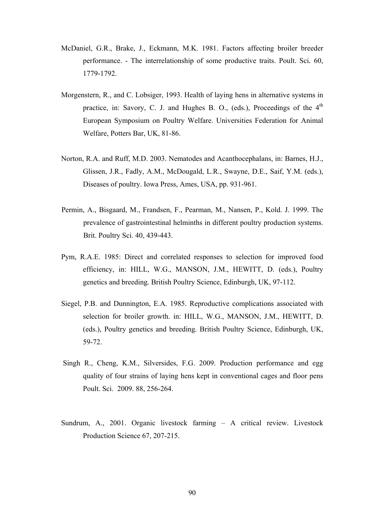- McDaniel, G.R., Brake, J., Eckmann, M.K. 1981. Factors affecting broiler breeder performance. - The interrelationship of some productive traits. Poult. Sci*.* 60, 1779-1792.
- Morgenstern, R., and C. Lobsiger, 1993. Health of laying hens in alternative systems in practice, in: Savory, C. J. and Hughes B. O., (eds.), Proceedings of the  $4<sup>th</sup>$ European Symposium on Poultry Welfare. Universities Federation for Animal Welfare, Potters Bar, UK, 81-86.
- Norton, R.A. and Ruff, M.D. 2003. Nematodes and Acanthocephalans, in: Barnes, H.J., Glissen, J.R., Fadly, A.M., McDougald, L.R., Swayne, D.E., Saif, Y.M. (eds.), Diseases of poultry. Iowa Press, Ames, USA, pp. 931-961.
- Permin, A., Bisgaard, M., Frandsen, F., Pearman, M., Nansen, P., Kold. J. 1999. The prevalence of gastrointestinal helminths in different poultry production systems. Brit. Poultry Sci. 40, 439-443.
- Pym, R.A.E. 1985: Direct and correlated responses to selection for improved food efficiency, in: HILL, W.G., MANSON, J.M., HEWITT, D. (eds.), Poultry genetics and breeding*.* British Poultry Science, Edinburgh, UK, 97-112.
- Siegel, P.B. and Dunnington, E.A. 1985. Reproductive complications associated with selection for broiler growth. in: HILL, W.G., MANSON, J.M., HEWITT, D. (eds.), Poultry genetics and breeding*.* British Poultry Science, Edinburgh, UK, 59-72.
- Singh R., Cheng, K.M., Silversides, F.G. 2009. Production performance and egg quality of four strains of laying hens kept in conventional cages and floor pens Poult. Sci. 2009. 88, 256-264.
- Sundrum, A., 2001. Organic livestock farming A critical review. Livestock Production Science 67, 207-215.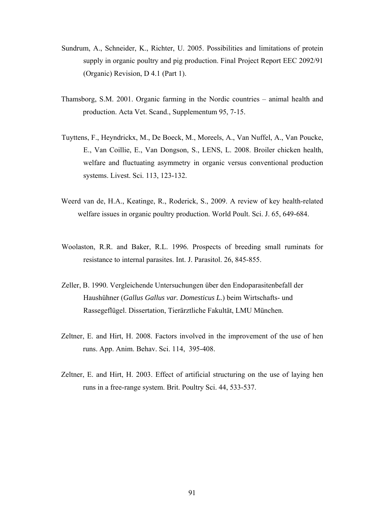- Sundrum, A., Schneider, K., Richter, U. 2005. Possibilities and limitations of protein supply in organic poultry and pig production. Final Project Report EEC 2092/91 (Organic) Revision, D 4.1 (Part 1).
- Thamsborg, S.M. 2001. Organic farming in the Nordic countries animal health and production. Acta Vet. Scand., Supplementum 95, 7-15.
- Tuyttens, F., Heyndrickx, M., De Boeck, M., Moreels, A., Van Nuffel, A., Van Poucke, E., Van Coillie, E., Van Dongson, S., LENS, L. 2008. Broiler chicken health, welfare and fluctuating asymmetry in organic versus conventional production systems. Livest. Sci. 113, 123-132.
- Weerd van de, H.A., Keatinge, R., Roderick, S., 2009. A review of key health-related welfare issues in organic poultry production. World Poult. Sci. J. 65, 649-684.
- Woolaston, R.R. and Baker, R.L. 1996. Prospects of breeding small ruminats for resistance to internal parasites. Int. J. Parasitol. 26, 845-855.
- Zeller, B. 1990. Vergleichende Untersuchungen über den Endoparasitenbefall der Haushühner (*Gallus Gallus var. Domesticus L.*) beim Wirtschafts- und Rassegeflügel. Dissertation, Tierärztliche Fakultät, LMU München.
- Zeltner, E. and Hirt, H. 2008. Factors involved in the improvement of the use of hen runs. App. Anim. Behav. Sci. 114, 395-408.
- Zeltner, E. and Hirt, H. 2003. Effect of artificial structuring on the use of laying hen runs in a free-range system. Brit. Poultry Sci. 44, 533-537.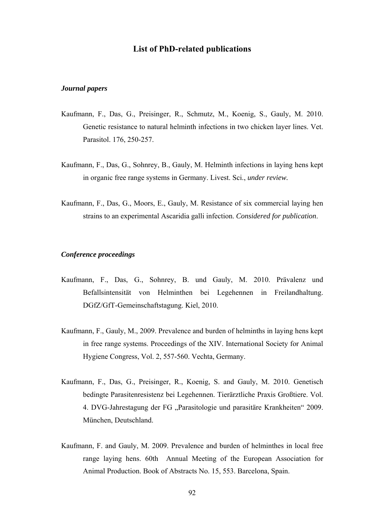## **List of PhD-related publications**

#### *Journal papers*

- Kaufmann, F., Das, G., Preisinger, R., Schmutz, M., Koenig, S., Gauly, M. 2010. Genetic resistance to natural helminth infections in two chicken layer lines. Vet. Parasitol. 176, 250-257.
- Kaufmann, F., Das, G., Sohnrey, B., Gauly, M. Helminth infections in laying hens kept in organic free range systems in Germany. Livest. Sci., *under review.*
- Kaufmann, F., Das, G., Moors, E., Gauly, M. Resistance of six commercial laying hen strains to an experimental Ascaridia galli infection. *Considered for publication*.

#### *Conference proceedings*

- Kaufmann, F., Das, G., Sohnrey, B. und Gauly, M. 2010. Prävalenz und Befallsintensität von Helminthen bei Legehennen in Freilandhaltung. DGfZ/GfT-Gemeinschaftstagung. Kiel, 2010.
- Kaufmann, F., Gauly, M., 2009. Prevalence and burden of helminths in laying hens kept in free range systems. Proceedings of the XIV. International Society for Animal Hygiene Congress, Vol. 2, 557-560. Vechta, Germany.
- Kaufmann, F., Das, G., Preisinger, R., Koenig, S. and Gauly, M. 2010. Genetisch bedingte Parasitenresistenz bei Legehennen. Tierärztliche Praxis Großtiere. Vol. 4. DVG-Jahrestagung der FG "Parasitologie und parasitäre Krankheiten" 2009. München, Deutschland.
- Kaufmann, F. and Gauly, M. 2009. Prevalence and burden of helminthes in local free range laying hens. 60th Annual Meeting of the European Association for Animal Production. Book of Abstracts No. 15, 553. Barcelona, Spain.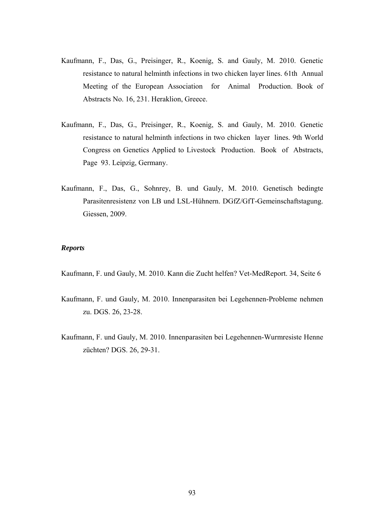- Kaufmann, F., Das, G., Preisinger, R., Koenig, S. and Gauly, M. 2010. Genetic resistance to natural helminth infections in two chicken layer lines. 61th Annual Meeting of the European Association for Animal Production. Book of Abstracts No. 16, 231. Heraklion, Greece.
- Kaufmann, F., Das, G., Preisinger, R., Koenig, S. and Gauly, M. 2010. Genetic resistance to natural helminth infections in two chicken layer lines. 9th World Congress on Genetics Applied to Livestock Production. Book of Abstracts, Page 93. Leipzig, Germany.
- Kaufmann, F., Das, G., Sohnrey, B. und Gauly, M. 2010. Genetisch bedingte Parasitenresistenz von LB und LSL-Hühnern. DGfZ/GfT-Gemeinschaftstagung. Giessen, 2009.

# *Reports*

Kaufmann, F. und Gauly, M. 2010. Kann die Zucht helfen? Vet-MedReport. 34, Seite 6

- Kaufmann, F. und Gauly, M. 2010. Innenparasiten bei Legehennen-Probleme nehmen zu. DGS. 26, 23-28.
- Kaufmann, F. und Gauly, M. 2010. Innenparasiten bei Legehennen-Wurmresiste Henne züchten? DGS. 26, 29-31.